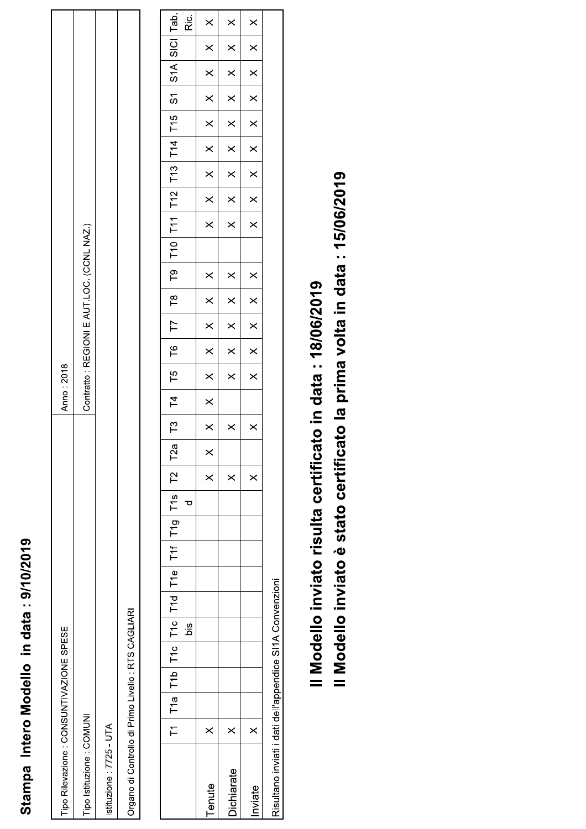## Stampa Intero Modello in data: 9/10/2019

| Tipo Rilevazione : CONSUNTIVAZIONE SPESE            | Anno: 2018                                |
|-----------------------------------------------------|-------------------------------------------|
| Tipo Istituzione: COMUNI                            | Contratto: REGIONI E AUT.LOC. (CCNL NAZ.) |
| stituzione: 7725 - UTA                              |                                           |
| Organo di Controllo di Primo Livello : RTS CAGLIARI |                                           |

|                   |          |  |            |  | T1   T1a   T1b   T1c   T1d   T1e   T1f   T1g   T1s   T2   T2a |   |          | T3   T4                 |          | $\overline{15}$ | $\overline{16}$ | $\overline{1}$ | $\begin{array}{c} 78 \\ \hline \end{array}$ | $\overline{P}$ |          |          | T10 T11 T12 T13 T14 T15 |          |          | $\overline{5}$ |          | S <sub>1</sub> A SICI | Tab.     |
|-------------------|----------|--|------------|--|---------------------------------------------------------------|---|----------|-------------------------|----------|-----------------|-----------------|----------------|---------------------------------------------|----------------|----------|----------|-------------------------|----------|----------|----------------|----------|-----------------------|----------|
|                   |          |  | <u>siq</u> |  |                                                               | ರ |          |                         |          |                 |                 |                |                                             |                |          |          |                         |          |          |                |          |                       | Ric.     |
| Tenute            | $\times$ |  |            |  |                                                               |   | $\times$ | $\overline{\mathbf{x}}$ | $\times$ | $\times$        | $\times$        | $\times$       | $\times$                                    | $\times$       | $\times$ | $\times$ | $\times$                | $\times$ | $\times$ | $\times$       | $\times$ | $\times$              | $\times$ |
| <b>Dichiarate</b> | $\times$ |  |            |  |                                                               |   | $\times$ | $\times$                |          | $\times$        | $\times$        | $\times$       | $\times$                                    | $\times$       | $\times$ | $\times$ | $\times$                | $\times$ | $\times$ | $\times$       | $\times$ | $\times$              | $\times$ |
| nviate            | $\times$ |  |            |  |                                                               |   | $\times$ | $\times$                |          | $\times$        | $\times$        | $\times$       | $\times$                                    | $\times$       | $\times$ | $\times$ | $\times$                | $\times$ | $\times$ | $\times$       | $\times$ | $\times$              | $\times$ |
|                   |          |  |            |  |                                                               |   |          |                         |          |                 |                 |                |                                             |                |          |          |                         |          |          |                |          |                       |          |

Risultano inviati i dati dell'appendice SI1A Convenzioni

Il Modello inviato risulta certificato in data: 18/06/2019

Il Modello inviato è stato certificato la prima volta in data : 15/06/2019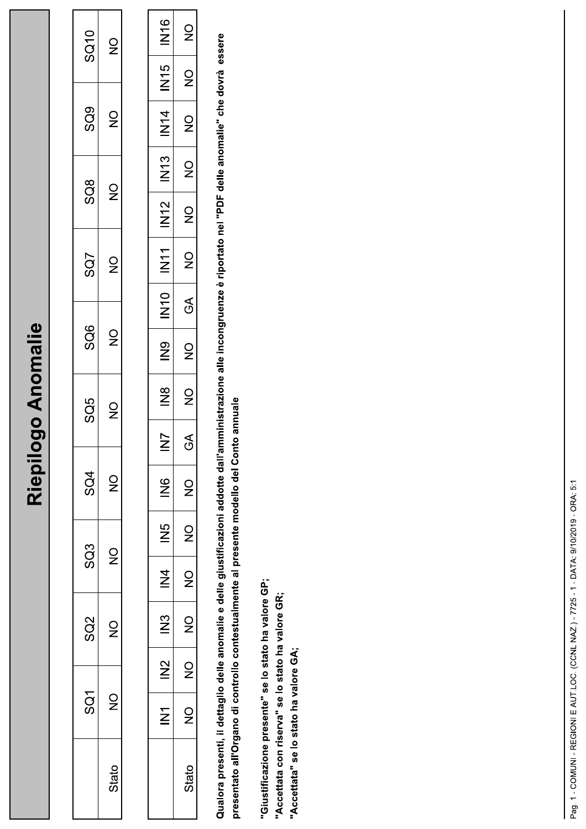## Riepilogo Anomalie

| <b>SQ10</b>                    | $\mathsf{Q}$                                   |
|--------------------------------|------------------------------------------------|
| SQ9                            | $\frac{\mathsf{O}}{\mathsf{P}}$                |
| $\overline{\text{S}}\text{O}8$ | $\frac{0}{2}$                                  |
| SQ7                            | $\supsetneq$                                   |
| SQ6                            | $\frac{0}{Z}$                                  |
| SQ5                            | $\mathsf{S}$                                   |
| SQ4                            | $\supsetneq$                                   |
| SQ3                            | $\mathrel{\mathop{\supset}_{\!\!\mathcal{P}}}$ |
| SQ2                            | $\mathsf{S}$                                   |
| $\overline{S}$                 | ò                                              |
|                                | Stato                                          |

| N1E                  | $\frac{1}{2}$                                           |
|----------------------|---------------------------------------------------------|
| 5<br>N∐              | $\frac{0}{2}$                                           |
| $\dot{\overline{z}}$ | $\frac{0}{2}$                                           |
| IN13                 | $\frac{0}{2}$                                           |
| N<br>N1              | $\frac{\mathsf{O}}{\mathsf{Z}}$                         |
| INT<br>M             | $\frac{1}{2}$                                           |
| $\frac{1}{2}$        | ∕े                                                      |
| $\frac{8}{5}$        | $\frac{1}{2}$                                           |
| $\frac{\infty}{Z}$   | $\frac{1}{2}$                                           |
| $\geq$               | A<br>רי                                                 |
| $\frac{6}{5}$        | $\frac{1}{2}$                                           |
| S<br>N               | $\mathsf{S}$                                            |
| $\frac{4}{5}$        | $\mathrel{\mathop{\supset}_{\!\!\!\!\!\!}}\,$           |
| $\frac{3}{2}$        | $\frac{1}{2}$                                           |
| $\frac{2}{2}$        | $\stackrel{\textstyle\circ}{\phantom{\textstyle\circ}}$ |
| $\sum$               | $\Im$                                                   |
|                      | Stato                                                   |

Qualora presenti, il dettaglio delle anomalie e delle giustificazioni addotte dall'amministrazione alle incongruenze è riportato nel "PDF delle anomalie" che dovrà essere presentato all'Organo di controllo contestualmente al presente modello del Conto annuale

"Giustificazione presente" se lo stato ha valore GP;

"Accettata con riserva" se lo stato ha valore GR;

"Accettata" se lo stato ha valore GA;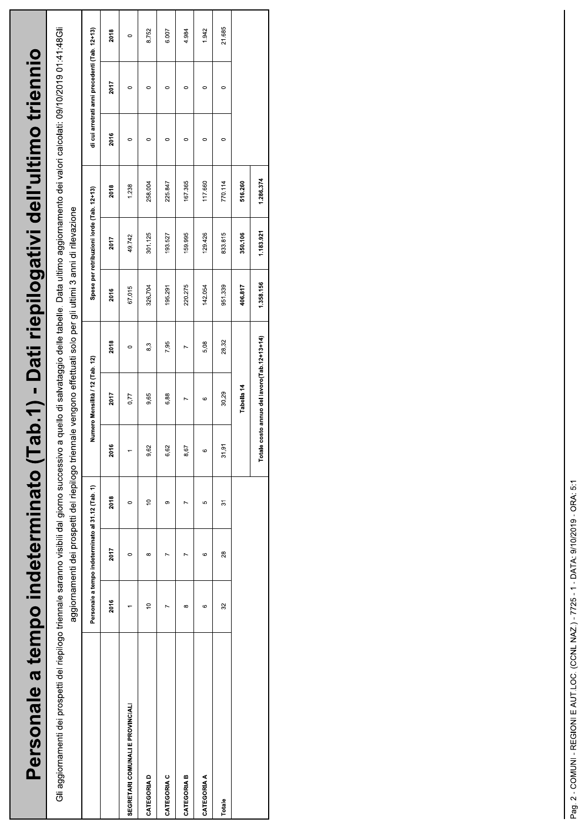| Personale a tempo indeterminato (T                                                             |             |                                                   |                                                                                                                  |         |                                 | ab.1) - Dati riepilogativi dell'ultimo triennio                                                            |         |                                           |         |         |                                               |         |
|------------------------------------------------------------------------------------------------|-------------|---------------------------------------------------|------------------------------------------------------------------------------------------------------------------|---------|---------------------------------|------------------------------------------------------------------------------------------------------------|---------|-------------------------------------------|---------|---------|-----------------------------------------------|---------|
| Gli aggiornamenti dei prospetti del riepilogo triennale saranno visibili dal giorno successivo |             |                                                   | aggiornamenti dei prospetti del riepilogo triennale vengono effettuati solo per gli ultimi 3 anni di rilevazione |         |                                 | a quello di salvataggio delle tabelle. Data ultimo aggiornamento dei valori calcolati: 09/10/2019 01:48Gli |         |                                           |         |         |                                               |         |
|                                                                                                |             | Personale a tempo indeterminato al 31.12 (Tab. 1) |                                                                                                                  |         | Numero Mensilità / 12 (Tab. 12) |                                                                                                            |         | Spese per retribuzioni lorde (Tab. 12+13) |         |         | di cui arretrati anni precedenti (Tab. 12+13) |         |
|                                                                                                | 2016        | 2017                                              | 2018                                                                                                             | 2016    | 2017                            | 2018                                                                                                       | 2016    | 2017                                      | 2018    | 2016    | 2017                                          | 2018    |
| SEGRETARI COMUNALI E PROVINCIALI                                                               |             | $\circ$                                           | 0                                                                                                                |         | 0,77                            | $\circ$                                                                                                    | 67.015  | 49.742                                    | 1.238   | $\circ$ | $\circ$                                       | $\circ$ |
| CATEGORIA D                                                                                    | $\tilde{=}$ | $\infty$                                          | ă                                                                                                                | 9,62    | 9,65                            | 8,3                                                                                                        | 326.704 | 301.125                                   | 258.004 | c       | $\circ$                                       | 8.752   |
| CATEGORIA C                                                                                    |             |                                                   | ග                                                                                                                | 6,62    | 6,88                            | 7,95                                                                                                       | 195.291 | 193.527                                   | 225.847 | 0       | $\circ$                                       | 6.007   |
| CATEGORIA B                                                                                    | ∞           |                                                   |                                                                                                                  | 8,67    |                                 |                                                                                                            | 220.275 | 159.995                                   | 167.365 | 0       | 0                                             | 4.984   |
| <b>CATEGORIA A</b>                                                                             | G           | G                                                 | 5                                                                                                                | $\circ$ | ဖ                               | 5,08                                                                                                       | 142.054 | 129.426                                   | 117.660 | 0       | $\circ$                                       | 1.942   |
| Totale                                                                                         | 32          | 28                                                | 51                                                                                                               | 31,91   | 30,29                           | 28,32                                                                                                      | 951.339 | 833.815                                   | 770.114 | 0       |                                               | 21.685  |

516.260 1.286.374

1.183.921 350.106

1.358.156 406.817

Totale costo annuo del lavoro(Tab. 12+13+14) Tabella 14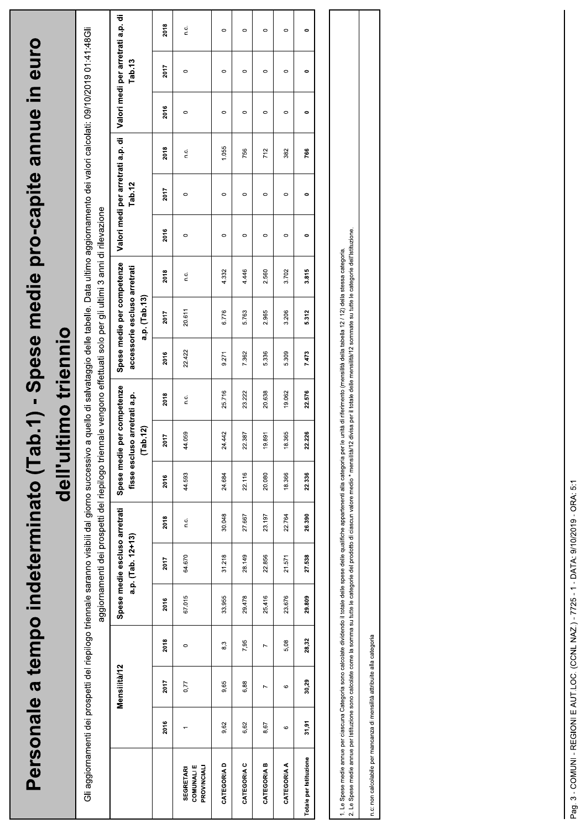|                                                                                                                                                                                                                                                                                                                                                                                                                                                                  |         |                |                | Personale a tempo indeterminato (1a |                                                    |                                                                                                                  | dell'u |                                                                               |               | timo triennio |                                                                                    |       |         |                                             |       |         | b.1) - Spese medie pro-capite anne in euro                                                                 |         |
|------------------------------------------------------------------------------------------------------------------------------------------------------------------------------------------------------------------------------------------------------------------------------------------------------------------------------------------------------------------------------------------------------------------------------------------------------------------|---------|----------------|----------------|-------------------------------------|----------------------------------------------------|------------------------------------------------------------------------------------------------------------------|--------|-------------------------------------------------------------------------------|---------------|---------------|------------------------------------------------------------------------------------|-------|---------|---------------------------------------------|-------|---------|------------------------------------------------------------------------------------------------------------|---------|
| Gli aggiornamenti dei prospetti del riepilogo triennale saranno visibili dal giorno successivo                                                                                                                                                                                                                                                                                                                                                                   |         |                |                |                                     |                                                    | aggiornamenti dei prospetti del riepilogo triennale vengono effettuati solo per gli ultimi 3 anni di rilevazione |        |                                                                               |               |               |                                                                                    |       |         |                                             |       |         | a quello di salvataggio delle tabelle. Data ultimo aggiornamento dei valori calcolati: 09/10/2019 01:48Gli |         |
|                                                                                                                                                                                                                                                                                                                                                                                                                                                                  |         | Mensilità/12   |                |                                     | Spese medie escluso arretrati<br>a.p. (Tab. 12+13) |                                                                                                                  |        | Spese medie per competenze<br>fisse escluso arretrati a.p.<br>$($ Tab. 12 $)$ |               |               | Spese medie per competenze<br>accessorie escluso arretrati<br>a.p. $($ Tab. 13 $)$ |       |         | Valori medi per arretrati a.p. di<br>Tab 12 |       |         | Valori medi per arretrati a.p. di<br>Tab.13                                                                |         |
|                                                                                                                                                                                                                                                                                                                                                                                                                                                                  | 2016    | 2017           | 2018           | 2016                                | 2017                                               | 2018                                                                                                             | 2016   | 2017                                                                          | 2018          | 2016          | 2017                                                                               | 2018  | 2016    | 2017                                        | 2018  | 2016    | 2017                                                                                                       | 2018    |
| <b>COMUNALIE</b><br>PROVINCIALI<br><b>SEGRETARI</b>                                                                                                                                                                                                                                                                                                                                                                                                              |         | 0,77           | $\circ$        | 67.015                              | 64.670                                             | $\frac{c}{c}$                                                                                                    | 44.593 | 44.059                                                                        | $\frac{c}{c}$ | 22.422        | 20.611                                                                             | Ω.    | $\circ$ | $\circ$                                     | n.c.  | $\circ$ | $\circ$                                                                                                    | C.      |
| CATEGORIA D                                                                                                                                                                                                                                                                                                                                                                                                                                                      | 9,62    | 9,65           | 8,3            | 33.955                              | 31.218                                             | 30.048                                                                                                           | 24.684 | 24.442                                                                        | 25.716        | 9.271         | 6.776                                                                              | 4.332 | $\circ$ | $\circ$                                     | 1.055 | $\circ$ | $\circ$                                                                                                    | $\circ$ |
| CATEGORIA C                                                                                                                                                                                                                                                                                                                                                                                                                                                      | 6,62    | 6,88           | 7,95           | 29.478                              | 28.149                                             | 27.667                                                                                                           | 22.116 | 22.387                                                                        | 23.222        | 7.362         | 5.763                                                                              | 4.446 | $\circ$ | $\circ$                                     | 756   | $\circ$ | $\circ$                                                                                                    | $\circ$ |
| CATEGORIA B                                                                                                                                                                                                                                                                                                                                                                                                                                                      | 8,67    | $\overline{ }$ | $\overline{ }$ | 25.416                              | 22.856                                             | 23.197                                                                                                           | 20.080 | 19.891                                                                        | 20.638        | 5.336         | 2.965                                                                              | 2.560 | $\circ$ | $\circ$                                     | 712   | $\circ$ | $\circ$                                                                                                    | $\circ$ |
| CATEGORIA A                                                                                                                                                                                                                                                                                                                                                                                                                                                      | $\circ$ | $\circ$        | 5,08           | 23.676                              | 21.571                                             | 22.764                                                                                                           | 18.366 | 18.365                                                                        | 19.062        | 5.309         | 3.206                                                                              | 3.702 | $\circ$ | $\circ$                                     | 382   | $\circ$ | $\circ$                                                                                                    | $\circ$ |
| Totale per Istituzione                                                                                                                                                                                                                                                                                                                                                                                                                                           | 31,91   | 30,29          | 28,32          | 29.809                              | 27.538                                             | 26.390                                                                                                           | 22 336 | 22226                                                                         | 22576         | 7473          | 5.312                                                                              | 3.815 | 0       | $\bullet$                                   | 766   | 0       | $\bullet$                                                                                                  | 0       |
|                                                                                                                                                                                                                                                                                                                                                                                                                                                                  |         |                |                |                                     |                                                    |                                                                                                                  |        |                                                                               |               |               |                                                                                    |       |         |                                             |       |         |                                                                                                            |         |
| 2. Le Spese medie annue per Istituzione sono calcolate come la sonma su tutte le categorie del prodotto di rascun valore media "nensilita"/2 divisa per il totale delle mensilita"/2 sommate su tutte le categorie dell'Istitu<br>1. Le Spese medie annue per ciascuna Categoria sono calcolate dividendo il totale delle spese delle qualifiche appartenenti alla categoria per le unità di riferimento (mensilità della tabella 12 / 12) della stessa categori |         |                |                |                                     |                                                    |                                                                                                                  |        |                                                                               |               |               |                                                                                    |       |         |                                             |       |         |                                                                                                            |         |
|                                                                                                                                                                                                                                                                                                                                                                                                                                                                  |         |                |                |                                     |                                                    |                                                                                                                  |        |                                                                               |               |               |                                                                                    |       |         |                                             |       |         |                                                                                                            |         |

 $\mathsf{n.c.}$  non calcolabile per mancanza di mensilità attribuite alla categoria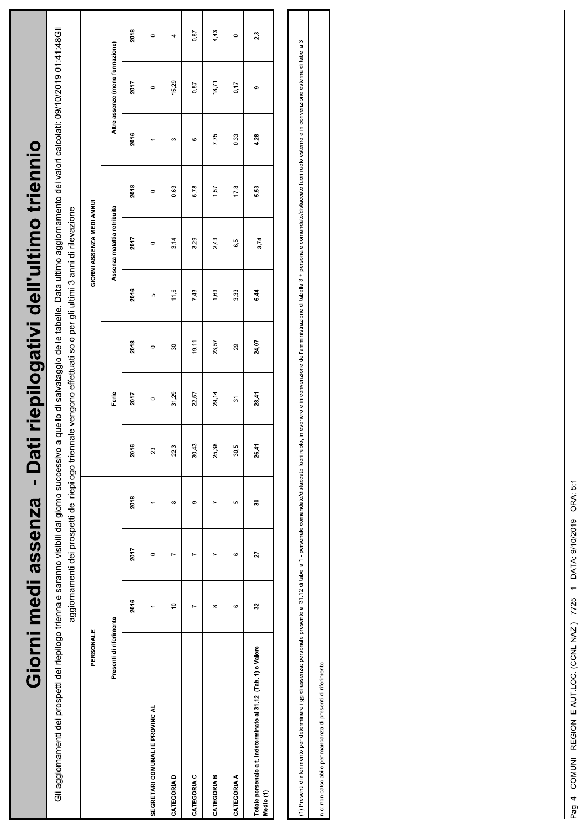| ti riepilogativi dell'ultimo triennio<br>Giorni medi assenza - Da | Gli aggiornamenti dei prospetti del riepilogo triennale saranno visibili dal giorno visibili dal giorno successivo a quello di salvataggio delle. Data ultimo aggiornamento dei valori calcolati: 09/10/2019 01:48Gli<br>aggiornamenti dei prospetti del riepilogo triennale vengono effettuati solo per gli ultimi 3 anni di rilevazione | GIORNI ASSENZA MEDI ANNU<br>PERSONALE | Altre assenze (meno formazione)<br>Assenza malattia retribuita<br>Ferie<br>Presenti di riferimento | 2018<br>2017<br>2016<br>2018<br>2017<br>2016<br>2018<br>2017<br>2016<br>2018<br>2017<br>2016 | $\circ$<br>$\circ$<br>$\circ$<br>$\circ$<br>Ю<br>$\circ$<br>$\circ$<br>23<br>$\circ$ | 4<br>15,29<br>S<br>0,63<br>3,14<br>11,6<br>$\overline{30}$<br>31,29<br>က္<br>22<br>$\infty$<br>$\overline{ }$<br>$\tilde{c}$ | 0,67<br>0,57<br>$\circ$<br>6,78<br>3,29<br>7,43<br>19, 11<br>22,57<br>30,43<br>တ<br>Z<br>Z | 4,43<br>18,71<br>7,75<br>1,57<br>2,43<br>1,63<br>23,57<br>29,14<br>25,38<br>$\overline{ }$<br>$\overline{ }$<br>$\infty$ | $\circ$<br>0,17<br>0,33<br>17,8<br>6,5<br>3,33<br>29<br>37<br>rù<br>8<br>မာ<br>$\circ$<br>$\circ$ | 2,3<br>တ<br>4,28<br>5,53<br>3,74<br>6,44<br>24,07<br>28,41<br>26,41<br>g<br>27<br>32   |  |
|-------------------------------------------------------------------|-------------------------------------------------------------------------------------------------------------------------------------------------------------------------------------------------------------------------------------------------------------------------------------------------------------------------------------------|---------------------------------------|----------------------------------------------------------------------------------------------------|----------------------------------------------------------------------------------------------|--------------------------------------------------------------------------------------|------------------------------------------------------------------------------------------------------------------------------|--------------------------------------------------------------------------------------------|--------------------------------------------------------------------------------------------------------------------------|---------------------------------------------------------------------------------------------------|----------------------------------------------------------------------------------------|--|
|                                                                   |                                                                                                                                                                                                                                                                                                                                           |                                       |                                                                                                    |                                                                                              | SEGRETARI COMUNALI E PROVINCIALI                                                     | <b>CATEGORIAD</b>                                                                                                            | CATEGORIA C                                                                                | CATEGORIA B                                                                                                              | <b>CATEGORIA A</b>                                                                                | Totale personale a t. indeterminato al 31.12 (Tab. 1) o Valore<br>Medio <sub>(1)</sub> |  |

(1) Presenti di riferimento per determinare i gg di assenza: personale presente a 1 - personale comandato/distaccato fuori ruolo, in esonero e in convenzione dell'amministrazione di tabella 3 + personale comandato/distacca

n.c: non calcolabile per mancanza di presenti di riferimento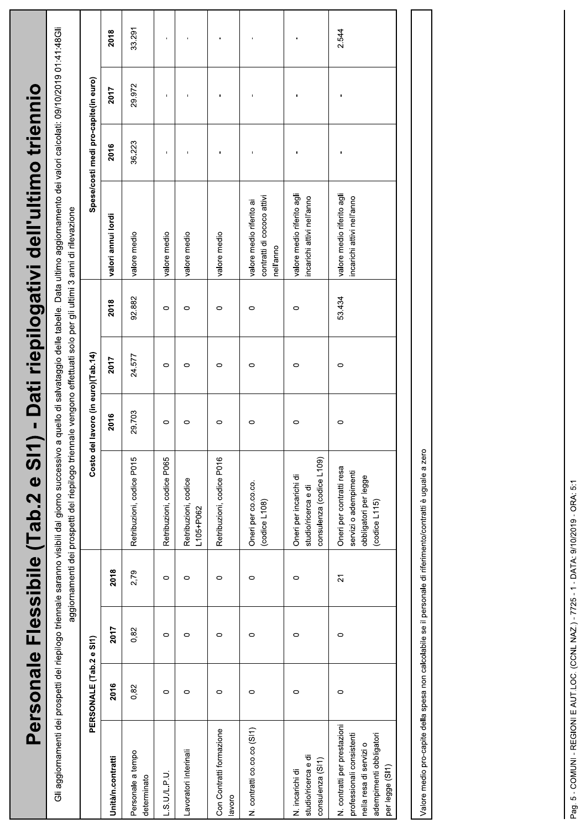| valore medio riferito agli<br>valore medio riferito agli<br>contratti di cococo attivi<br>incarichi attivi nell'anno<br>incarichi attivi nell'anno<br>valore medio riferito ai<br>valori annui lordi<br>valore medio<br>valore medio<br>valore medio<br>valore medio<br>nell'anno<br>92.882<br>53.434<br>2018<br>$\circ$<br>$\circ$<br>$\circ$<br>0<br>0<br>Costo del lavoro (in euro)(Tab.14)<br>24.577<br>2017<br>$\circ$<br>$\circ$<br>$\circ$<br>$\circ$<br>0<br>0<br>29.703<br>2016<br>$\circ$<br>$\circ$<br>0<br>$\circ$<br>0<br>0<br>Retribuzioni, codice P015<br>Retribuzioni, codice P065<br>Retribuzioni, codice P016<br>consulenza (codice L109)<br>Oneri per contratti resa<br>servizi o adempimenti<br>Oneri per incarichi di<br>Retribuzioni, codice<br>Oneri per co.co.co.<br>studio/ricerca e di<br>(codiced L108)<br>L105+P062<br>2018<br>2,79<br>21<br>$\circ$<br>$\circ$<br>$\circ$<br>$\circ$<br>$\circ$<br>2017<br>0,82<br>$\circ$<br>$\circ$<br>$\circ$<br>0<br>0<br>$\circ$<br>PERSONALE (Tab.2 e SI1)<br>2016<br>0,82<br>$\circ$<br>$\circ$<br>$\circ$<br>$\circ$<br>0<br>0<br>N. contratti per prestazioni<br>N. contratti co.co.co (SI1)<br>Con Contratti formazione<br>professionali consistenti<br>nella resa di servizi o<br>Lavoratori Interinali<br>Personale a tempo<br>studio/ricerca e di<br>Unità/n.contratti<br>consulenza (SI1)<br>N. incarichi di<br>$-5.01P.0$<br>determinato<br>avoro |  |  | Gli aggiornamenti dei prospetti del riepilogo triennale saranno visibili dal saranno visibili dal giorno successivo a quello di salvataggio delle. Data ultimo aggiornamento dei valori calcolati: 09/10/2019 01:48Gli<br>aggiornamenti dei prospetti del riepilogo triennale vengono effettuati solo per gli ultimi 3 anni di rilevazione |  |  |                                      |        |        |
|-------------------------------------------------------------------------------------------------------------------------------------------------------------------------------------------------------------------------------------------------------------------------------------------------------------------------------------------------------------------------------------------------------------------------------------------------------------------------------------------------------------------------------------------------------------------------------------------------------------------------------------------------------------------------------------------------------------------------------------------------------------------------------------------------------------------------------------------------------------------------------------------------------------------------------------------------------------------------------------------------------------------------------------------------------------------------------------------------------------------------------------------------------------------------------------------------------------------------------------------------------------------------------------------------------------------------------------------------------------------------------------------------------------------------------|--|--|--------------------------------------------------------------------------------------------------------------------------------------------------------------------------------------------------------------------------------------------------------------------------------------------------------------------------------------------|--|--|--------------------------------------|--------|--------|
|                                                                                                                                                                                                                                                                                                                                                                                                                                                                                                                                                                                                                                                                                                                                                                                                                                                                                                                                                                                                                                                                                                                                                                                                                                                                                                                                                                                                                               |  |  |                                                                                                                                                                                                                                                                                                                                            |  |  | Spese/costi medi pro-capite(in euro) |        |        |
|                                                                                                                                                                                                                                                                                                                                                                                                                                                                                                                                                                                                                                                                                                                                                                                                                                                                                                                                                                                                                                                                                                                                                                                                                                                                                                                                                                                                                               |  |  |                                                                                                                                                                                                                                                                                                                                            |  |  | 2016                                 | 2017   | 2018   |
|                                                                                                                                                                                                                                                                                                                                                                                                                                                                                                                                                                                                                                                                                                                                                                                                                                                                                                                                                                                                                                                                                                                                                                                                                                                                                                                                                                                                                               |  |  |                                                                                                                                                                                                                                                                                                                                            |  |  | 36.223                               | 29.972 | 33.291 |
|                                                                                                                                                                                                                                                                                                                                                                                                                                                                                                                                                                                                                                                                                                                                                                                                                                                                                                                                                                                                                                                                                                                                                                                                                                                                                                                                                                                                                               |  |  |                                                                                                                                                                                                                                                                                                                                            |  |  | f,                                   | ı      |        |
|                                                                                                                                                                                                                                                                                                                                                                                                                                                                                                                                                                                                                                                                                                                                                                                                                                                                                                                                                                                                                                                                                                                                                                                                                                                                                                                                                                                                                               |  |  |                                                                                                                                                                                                                                                                                                                                            |  |  |                                      |        |        |
|                                                                                                                                                                                                                                                                                                                                                                                                                                                                                                                                                                                                                                                                                                                                                                                                                                                                                                                                                                                                                                                                                                                                                                                                                                                                                                                                                                                                                               |  |  |                                                                                                                                                                                                                                                                                                                                            |  |  |                                      |        |        |
|                                                                                                                                                                                                                                                                                                                                                                                                                                                                                                                                                                                                                                                                                                                                                                                                                                                                                                                                                                                                                                                                                                                                                                                                                                                                                                                                                                                                                               |  |  |                                                                                                                                                                                                                                                                                                                                            |  |  |                                      |        |        |
|                                                                                                                                                                                                                                                                                                                                                                                                                                                                                                                                                                                                                                                                                                                                                                                                                                                                                                                                                                                                                                                                                                                                                                                                                                                                                                                                                                                                                               |  |  |                                                                                                                                                                                                                                                                                                                                            |  |  |                                      |        |        |
| (codice L115)<br>adempimenti obbligatori<br>per legge (SI1)                                                                                                                                                                                                                                                                                                                                                                                                                                                                                                                                                                                                                                                                                                                                                                                                                                                                                                                                                                                                                                                                                                                                                                                                                                                                                                                                                                   |  |  | obbligatori per legge                                                                                                                                                                                                                                                                                                                      |  |  |                                      |        | 2.544  |

Valore medio pro-capite della spesa non calcolabile se il personale di riferimento/contratti è uguale a zero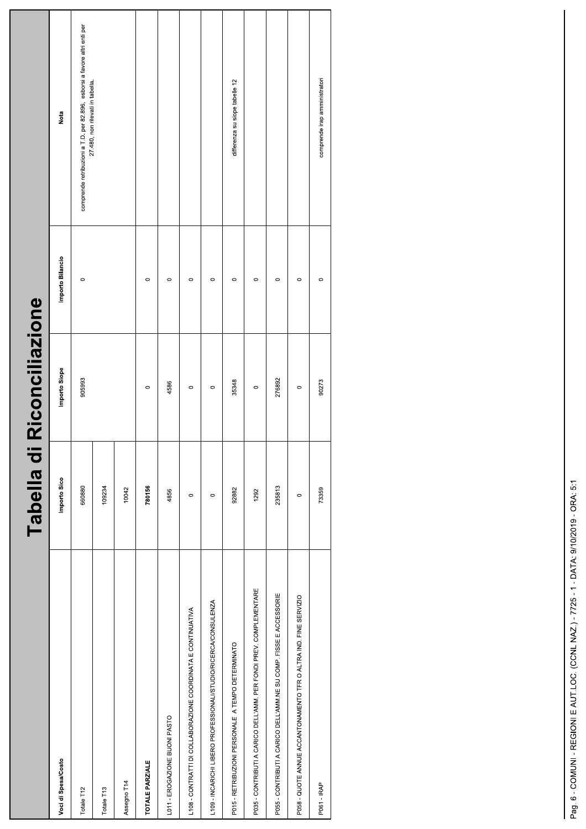|                                                                    | Tabella d    | Riconciliazione |                  |                                                                                                               |
|--------------------------------------------------------------------|--------------|-----------------|------------------|---------------------------------------------------------------------------------------------------------------|
| Voci di Spesa/Costo                                                | Importo Sico | Importo Siope   | Importo Bilancio | Nota                                                                                                          |
| Totale T12                                                         | 660880       | 905993          | $\circ$          | comprende retribuzioni a T.D. per 82.896, esborsi a favore altri enti per<br>27.480, non rilevati in tabella. |
| Totale T13                                                         | 109234       |                 |                  |                                                                                                               |
| Assegno T14                                                        | 10042        |                 |                  |                                                                                                               |
| <b>TOTALE PARZIALE</b>                                             | 780156       | $\circ$         | $\circ$          |                                                                                                               |
| L011 - EROGAZIONE BUONI PASTO                                      | 4856         | 4586            | $\circ$          |                                                                                                               |
| L108 - CONTRATTI DI COLLABORAZIONE COORDINATA E CONTINUATIVA       | $\circ$      | $\circ$         | $\circ$          |                                                                                                               |
| L109 - INCARICHI LIBERO PROFESSIONALI/STUDIO/RICERCA/CONSULENZA    | $\circ$      | $\circ$         | $\circ$          |                                                                                                               |
| P015 - RETRIBUZIONI PERSONALE A TEMPO DETERMINATO                  | 92882        | 35348           | $\circ$          | differenza su siope tabelle 12                                                                                |
| P035 - CONTRIBUTI A CARICO DELL'AMM. PER FONDI PREV. COMPLEMENTARE | 1292         | $\circ$         | $\circ$          |                                                                                                               |
| P055 - CONTRIBUTI A CARICO DELL'AMM.NE SU COMP. FISSE E ACCESSORIE | 235813       | 276892          | $\circ$          |                                                                                                               |
| P058 - QUOTE ANNUE ACCANTONAMENTO TFR O ALTRA IND. FINE SERVIZIO   | $\circ$      | $\circ$         | $\circ$          |                                                                                                               |
| P061 - IRAP                                                        | 73359        | 90273           | $\circ$          | comprende irap amministratori                                                                                 |
|                                                                    |              |                 |                  |                                                                                                               |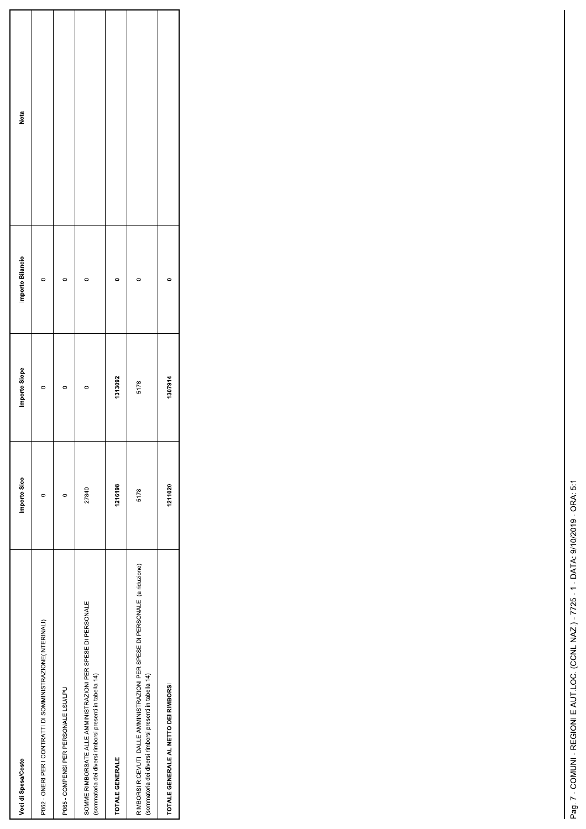| Voci di Spesa/Costo                                                                                                                      | Importo Sico | Importo Siope | Importo Bilancio | Nota |
|------------------------------------------------------------------------------------------------------------------------------------------|--------------|---------------|------------------|------|
| P062 - ONERI PER I CONTRATTI DI SOMMINISTRAZIONE(INTERINALI)                                                                             | O            |               |                  |      |
| P065 - COMPENSI PER PERSONALE LSU/LPU                                                                                                    | 0            | 0             |                  |      |
| SOMME RIMBORSATE ALLE AMMINISTRAZIONI PER SPESE DI PERSONALE<br>(sommatoria dei diversi rimborsi presenti in tabella 14)                 | 27840        |               |                  |      |
| TOTALE GENERALE                                                                                                                          | 1216198      | 1313092       |                  |      |
| RIMBORSI RICEVUTI DALLE AMMINISTRAZIONI PER SPESE DI PERSONALE (a riduzione)<br>(sommatoria dei diversi rimborsi presenti in tabella 14) | 5178         | 5178          |                  |      |
| TOTALE GENERALE AL NETTO DEI RIMBORSI                                                                                                    | 1211020      | 1307914       |                  |      |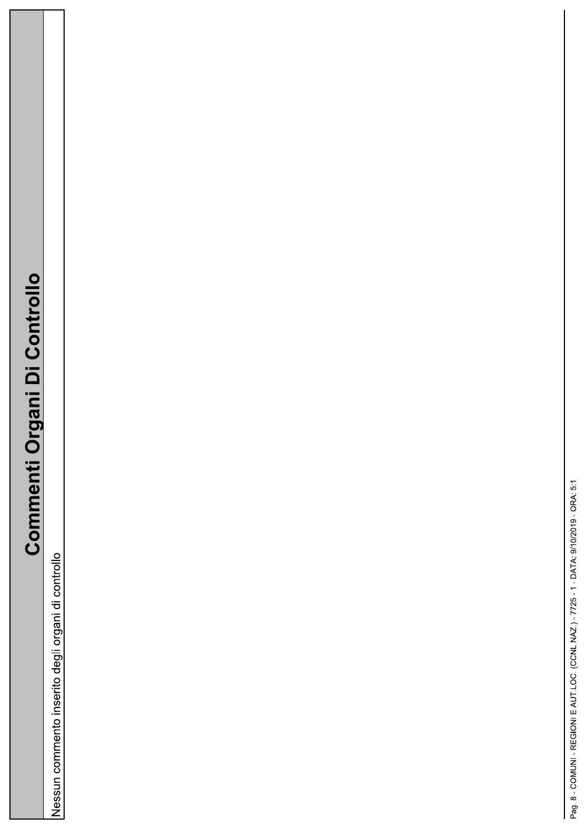## **Commenti Organi Di Controllo**

Nessun commento inserito degli organi di controllo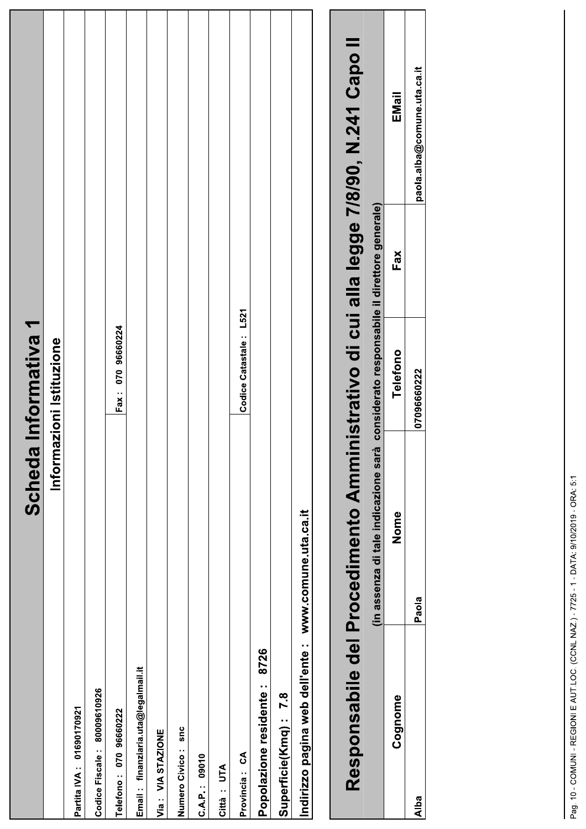|                                     | Scheda                                                                               | <b>I</b> Informativa 1                          |     |                             |
|-------------------------------------|--------------------------------------------------------------------------------------|-------------------------------------------------|-----|-----------------------------|
|                                     | Inform                                                                               | azioni Istituzione                              |     |                             |
| Partita IVA: 01690170921            |                                                                                      |                                                 |     |                             |
| 80009610926<br>Codice Fiscale:      |                                                                                      |                                                 |     |                             |
| 070 96660222<br>Telefono:           |                                                                                      | Fax: 070 96660224                               |     |                             |
| Email: finanziaria.uta@legalmail.it |                                                                                      |                                                 |     |                             |
| Via: VIA STAZIONE                   |                                                                                      |                                                 |     |                             |
| snc<br>Numero Civico:               |                                                                                      |                                                 |     |                             |
| C.A.P.: 09010                       |                                                                                      |                                                 |     |                             |
| Città: UTA                          |                                                                                      |                                                 |     |                             |
| Provincia: CA                       |                                                                                      | Codice Catastale: L521                          |     |                             |
| 8726<br>Popolazione residente:      |                                                                                      |                                                 |     |                             |
| Superficie(Kmq): 7.8                |                                                                                      |                                                 |     |                             |
| Indirizzo pagina web dell'ente :    | www.comune.uta.ca.it                                                                 |                                                 |     |                             |
|                                     |                                                                                      |                                                 |     |                             |
|                                     | Responsabile del Procedimento Amministrativo di cui alla legge 7/8/90, N.241 Capo II |                                                 |     |                             |
|                                     | (in assenza di tale indicazione sarà                                                 | considerato responsabile il direttore generale) |     |                             |
| Cognome                             | Nome                                                                                 | Telefono                                        | Fax | EMail                       |
| Alba                                | Paola                                                                                | 07096660222                                     |     | paola.alba@comune.uta.ca.it |
|                                     |                                                                                      |                                                 |     |                             |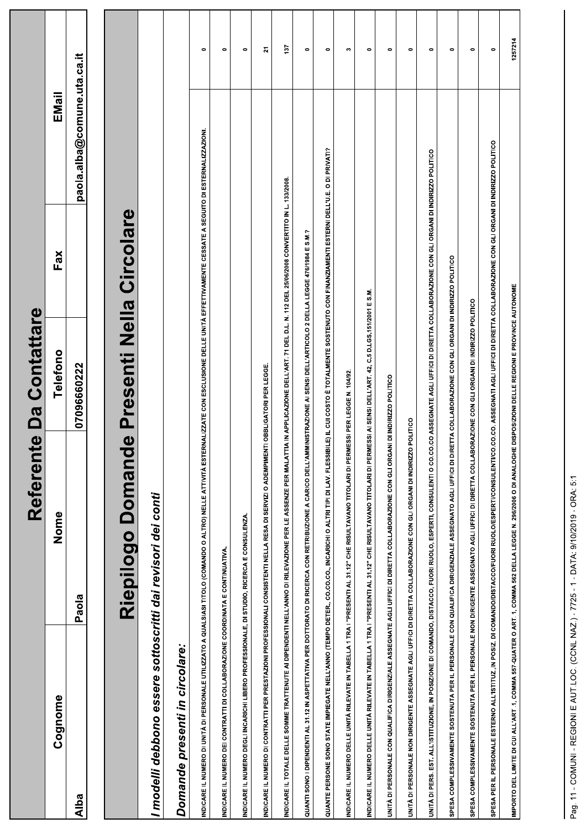|                                                                                           | Le<br>Referen                                                                                                                                                                                            | Contattare<br>Da |     |                             |           |
|-------------------------------------------------------------------------------------------|----------------------------------------------------------------------------------------------------------------------------------------------------------------------------------------------------------|------------------|-----|-----------------------------|-----------|
| Cognome                                                                                   | Nome                                                                                                                                                                                                     | Telefono         | Fax | EMail                       |           |
| Alba                                                                                      | Paola                                                                                                                                                                                                    | 07096660222      |     | paola.alba@comune.uta.ca.it |           |
|                                                                                           |                                                                                                                                                                                                          |                  |     |                             |           |
|                                                                                           | Riepilogo Domande Presenti Nella Circolare                                                                                                                                                               |                  |     |                             |           |
| I modelli debbono essere sottoscritti dai revisori dei conti                              |                                                                                                                                                                                                          |                  |     |                             |           |
| presenti in circolare:<br><b>Domande</b>                                                  |                                                                                                                                                                                                          |                  |     |                             |           |
|                                                                                           | INDICARE IL NUMERO DI UNITÀ DI PERSONALE UTILIZZATO A QUALSIASI TITOLO (COMANDO O ALTRO) NELLE ATTIVITÀ ESTERNALIZZATE CON ESCLUSIONE DELLE UNITÀ EFFETTIVAMENTE CESSATE A SEGUITO DI ESTERNALIZZAZIONI  |                  |     |                             | 0         |
| INDICARE IL NUMERO DEI CONTRATTI DI COLLABORAZIONE COORDINATA E CONTINUATIVA.             |                                                                                                                                                                                                          |                  |     |                             | $\bullet$ |
| INDICARE IL NUMERO DEGLI INCARICHI LIBERO PROFESSIONALE, DI STUDIO, RICERCA E CONSULENZA. |                                                                                                                                                                                                          |                  |     |                             | $\bullet$ |
|                                                                                           | INDICARE IL NUMERO DI CONTRATTI PER PRESTAZIONI PROFESSIONALI CONSISTENTI NELLA RESA DI SERVIZI O ADEMPIMENTI OBBLIGATORI PER LEGGE.                                                                     |                  |     |                             | 21        |
|                                                                                           | INDICARE IL TOTALE DELLE SOMME TRATTENUTE AI DIPENDENTI NELL'ANNO DI RILEVAZIONE PER LE ASSENZE PER MALATTIA IN APPLICAZIONE DELL'ART. 71 DEL D.L. N. 112 DEL 25/06/2008 CONVERTITO IN L. 133/2008.      |                  |     |                             | 137       |
|                                                                                           | QUANTI SONO I DIPERITI AL 31.12 IN ASPETTATIVA PER DOTTORATO DI RICERCA CON RETRIBUZIONE A CARICO DELL'AMMINISTRAZIONE AI SENSI DELL'ARTICOLO 2 DELLA LEGGE 476/1984 E S.M.?                             |                  |     |                             | $\bullet$ |
|                                                                                           | QUANTE PERSONE SONO STATE IMPIEGATE NELL'ANNO (TEMPO DETER., CO.CO.CO., INCARICHI O ALTRI TIPI DI LAV. FLESSIBILE) IL CUI COSTO È TOTALMENTE SOSTENUTO CON FINANZIAMENTI ESTERNI DELL'U.E. O DI PRIVATI? |                  |     |                             | $\bullet$ |
|                                                                                           | INDICARE IL NUMERO DELLE UNITÀ RILEVATE IN TABELLA 1 TRA I "PRESENTI AL 31.12" CHE RISULTAVANO TITOLARI DI PERMESSI PER LEGGE N. 10492.                                                                  |                  |     |                             | w         |
|                                                                                           | INDICARE IL NUMERO DELLE UNITÀ RILEVATE IN TABELLA 1 TRA I "PRESENTI AL 31.12" CHE RISULTAVANO TITOLARI DI PERMESSI AI SENSI DELL'ART. 42, C.5 D.LGS.15/12001 E S.M.                                     |                  |     |                             | $\bullet$ |
|                                                                                           | UNITÀ DI PERSONALE CON QUALIFICA DIRIGENZIALE ASSEGNATE AGLI UFFICI DI DIRETTA COLLABORAZIONE CON GLI ORGANI DI INDIRIZZO POLITICO                                                                       |                  |     |                             | $\bullet$ |
|                                                                                           | UNITÀ DI PERSONALE NON DIRIGENTE ASSEGNATE AGLI UFFICI DI DIRETTA COLLABORAZIONE CON GLI ORGANI DI INDIRIZZO POLITICO                                                                                    |                  |     |                             | $\bullet$ |
|                                                                                           | UNITÀ DI PERS. EST. ALL'ISTITUZIONE, IN POSIZIONE DI COMANDO, DISTACCO, FUORI RUOLO, ESPERTI, CONSULENTI O CO.CO.CO ASSEGNATE AGLI UFFICI DI DIRETTA COLLABORAZIONE CON GLI ORGANI DI INDIRIZZO POLITICO |                  |     |                             | $\bullet$ |
|                                                                                           | SPESA COMPLESSIVAMENTE SOSTENUTA PER IL PERSONALE CON QUALIFICA DIRIGENZIALE ASSEGNATO AGLI UFFICI DI DIRETTA COLLABORAZIONE CON GLI ORGANI DI INDIRIZZO POLITICO                                        |                  |     |                             | $\bullet$ |
|                                                                                           | SPESA COMPLESSIVAMENTE SOSTENUTA PER IL PERSONALE NON DIRIGENTE ASSEGNATO AGLI UFFICI DI DIRETTA COLLABORAZIONE CON GLI ORGANI DI INDIRIZZO POLITICO                                                     |                  |     |                             | 0         |
|                                                                                           | SPESA PER IL PERSONALE ESTERNO ALL'ISTITUZ, IN POSIZ. DI COMANDO/DISTACCO/FUORI RUOLO/ESPERTI/COLOSULENTICO, ASSEGNATI AGLI UFFICI DIRETTA COLLABORAZIONE CON GLI ORGANI DINDIRIZZO POLITICO             |                  |     |                             | $\bullet$ |
|                                                                                           | IMPORTO DEL LIMITE DI CUI ALL'ART .1, COMIAA 557-QUATER O ART. 1, COMIAA 562 DELLA LEGGE N. 296/2006 O DI ANALOGHE DISPOSIZIONI DELLE REGIONI E PROVINCE AUTONOME                                        |                  |     |                             | 1257214   |
|                                                                                           |                                                                                                                                                                                                          |                  |     |                             |           |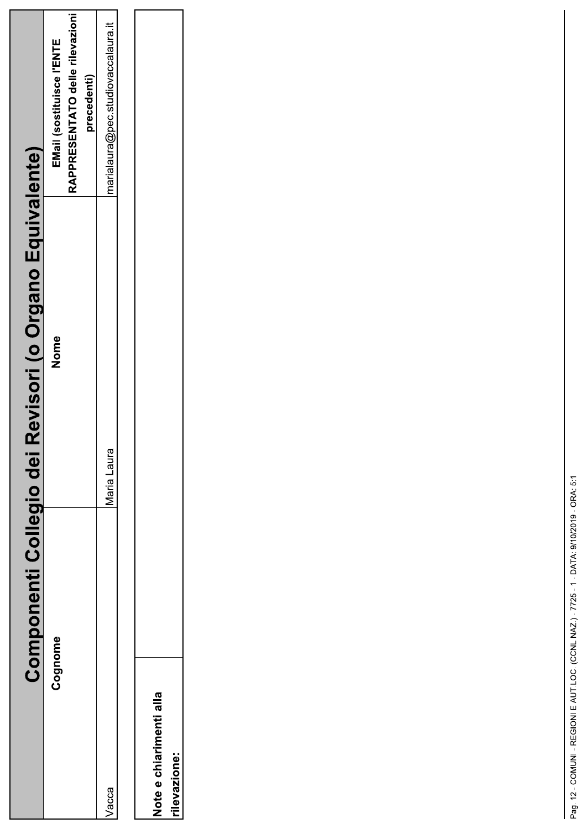| Componenti Collegio dei                 | Revisori (o Organo Equivalente) |                                                                             |
|-----------------------------------------|---------------------------------|-----------------------------------------------------------------------------|
| Cognome                                 | Nome                            | RAPPRESENTATO delle rilevazioni<br>EMail (sostituisce l'ENTE<br>precedenti) |
| Vacca                                   | Maria Laura                     | marialaura@pec.studiovaccalaura.it                                          |
| Note e chiarimenti alla<br>rilevazione: |                                 |                                                                             |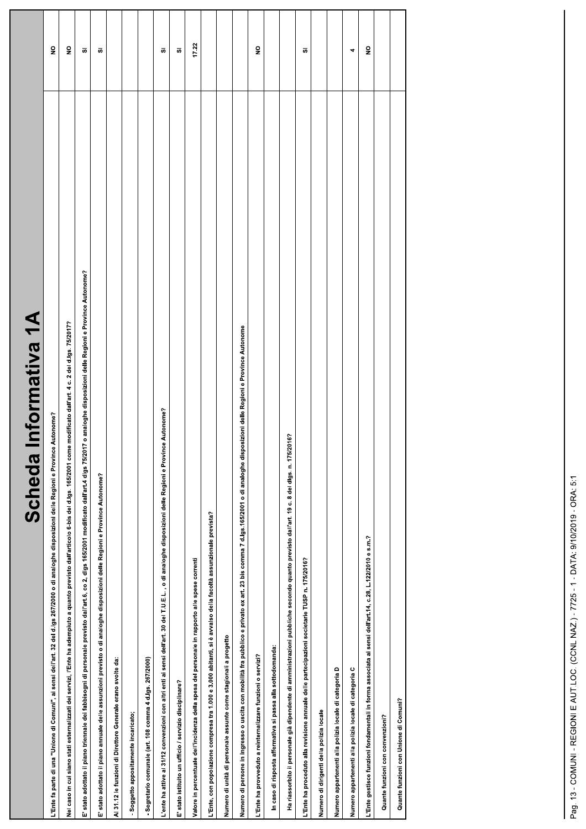| Informativa 1A<br>Scheda                                                                                                                                                                                |                         |
|---------------------------------------------------------------------------------------------------------------------------------------------------------------------------------------------------------|-------------------------|
| L'Ente fa parte di una "Unione di Comuni", ai sensi dell'art. 32 del d.lgs 267/2000 o di analoghe disposizioni delle Regioni e Province Autonome?                                                       | $\frac{1}{2}$           |
| Nel caso in cui siano stati esternalizzati dei servizi, l'Ente ha adempiuto a quanto previsto dall'articolo 6-bis del d.lgs. 165/2001 come modificato dall'art. 4 c. 2 del d.lgs. 75/2017?              | $\frac{1}{2}$           |
| E' stato adottato il piano triennale dei fabbisogni di personale previsto dall'art.6, co 2, digs 165/2011 modificato dall'art.4 digs 75/2017 o analoghe disposizioni delle Regioni e Province Autonome? | ō,                      |
| E' stato adottato il piano annuale delle assunzioni previsto o di analoghe disposizioni delle Regioni e Province Autonome?                                                                              | ō,                      |
| Al 31.12 le funzioni di Direttore Generale erano svolte da:                                                                                                                                             |                         |
| - Soggetto appositamente incaricato;                                                                                                                                                                    |                         |
| - Segretario comunale (art. 108 comma 4 d.lgs. 267/2000)                                                                                                                                                |                         |
| L'ente ha attive al 31/12 convenzioni con altri enti ai sensi dell'art. 30 del T.U.E.L. , o di analoghe disposizioni delle Regioni e Province Autonome?                                                 | ō,                      |
| E' stato istituito un ufficio / servizio disciplinare?                                                                                                                                                  | s.                      |
| Valore in percentuale dell'incidenza della spesa del personale in rapporto alle spese correnti                                                                                                          | 17.22                   |
| L'Ente, con popolazione compresa tra 1.000 e 3.000 abitanti, si è avvalso della facoltà assunzionale prevista?                                                                                          |                         |
| Numero di unità di personale assunte come stagionali a progetto                                                                                                                                         |                         |
| Numero di persone in ingresso o uscita con mobilità fra pubblico e privato ex art. 23 bis comma 7 d.lgs.165/2001 o di analoghe disposizioni delle Regioni e Province Autonome                           |                         |
| L'Ente ha provveduto a reinternalizzare funzioni o servizi?                                                                                                                                             | $\frac{1}{2}$           |
| In caso di risposta affermativa si passa alla sottodomanda:                                                                                                                                             |                         |
| Ha riassorbito il personale già dipendente di amministrazioni pubbliche secondo quanto previsto dall'art. 19 c. 8 del digs. n. 175/2016?                                                                |                         |
| L'Ente ha proceduto alla revisione annuale delle partecipazioni societarie TUSP n. 175/2016?                                                                                                            | ō                       |
| Numero di dirigenti della polizia locale                                                                                                                                                                |                         |
| Numero appartenenti alla polizia locale di categoria D                                                                                                                                                  |                         |
| Numero appartenenti alla polizia locale di categoria C                                                                                                                                                  | 4                       |
| L'Ente gestisce funzioni fondamentali in forma associata ai sensi dell'art.14, c.28, L.122/2010 e s.m.?                                                                                                 | $\overline{\mathbf{z}}$ |
| Quante funzioni con convenzioni?                                                                                                                                                                        |                         |
| Quante funzioni con Unione di Comuni?                                                                                                                                                                   |                         |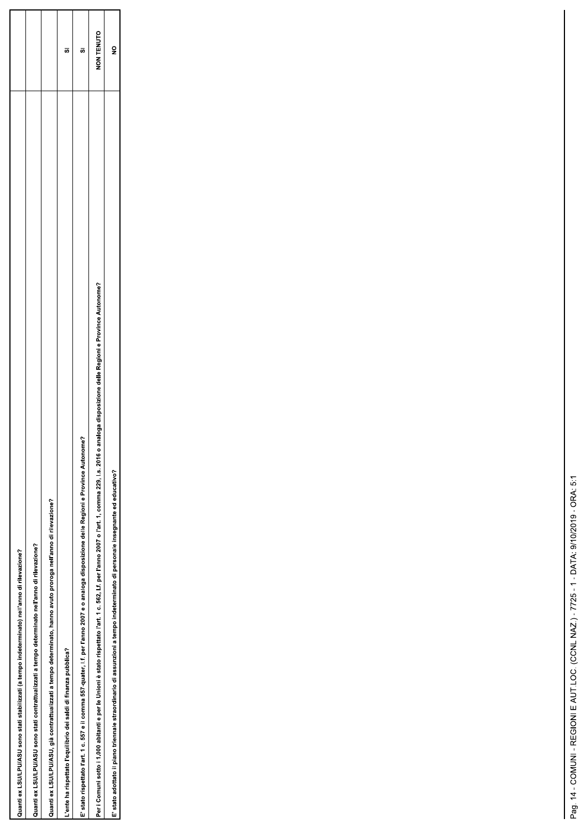| Quanti ex LSU/LPU/ASU sono stati stabilizzati (a tempo indeterminato) nell'anno di rilevazione?                                                                                                            |            |
|------------------------------------------------------------------------------------------------------------------------------------------------------------------------------------------------------------|------------|
| Quanti ex LSU/LPU/ASU sono stati contrattualizzati a tempo determinato nell'anno di rilevazione?                                                                                                           |            |
| Quanti ex LSU/LPU/ASU, già contrattualizzati a tempo determinato, hanno avuto proroga nell'anno di rilevazione?                                                                                            |            |
| Jente ha rispettato l'equilibrio dei saldi di finanza pubblica?                                                                                                                                            | U.         |
| E' stato rispettato l'art. 1 c. 557 e il comma 557-quater, l.f. per l'anno 2007 e o analoga disposizione delle Regioni e Province Autonome?                                                                | Ù.         |
| o analoga disposizione delle Regioni e Province Autonome?<br>Per i Comuni sotto i 1.000 abitanti e per le Unioni è stato rispettato l'art. 1 c. 562, l.f. per l'anno 2007 o l'art. 1, comma 229, l.s. 2016 | NON TENUTO |
| E' stato adottato il piano triennale straordinario di assunzioni a tempo indeterminato di personale insegnante ed educativo?                                                                               |            |

L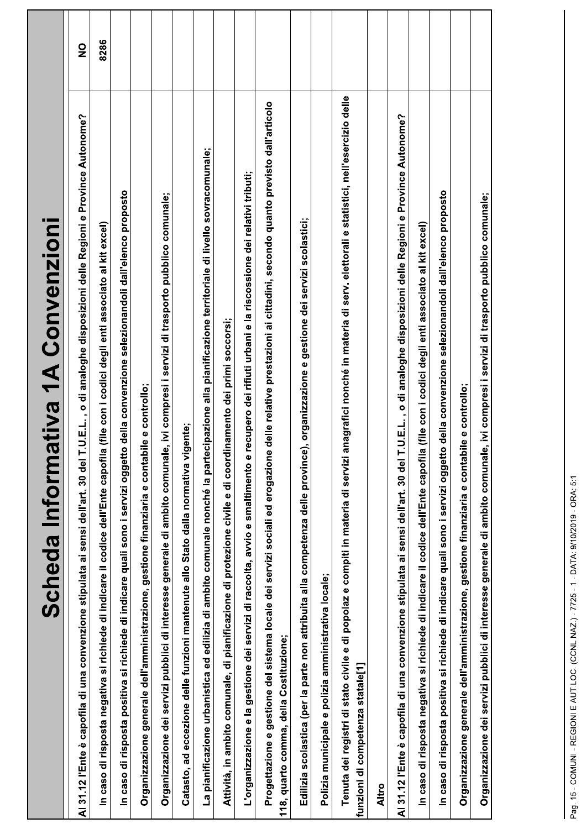| Scheda Informativa 1A Convenzioni                                                                                                                                                                            |               |
|--------------------------------------------------------------------------------------------------------------------------------------------------------------------------------------------------------------|---------------|
| <b>LU.E.L., o di analoghe disposizioni delle Regioni e Province Autonome?</b><br>30 del 7<br>Al 31.12 l'Ente è capofila di una convenzione stipulata ai sensi dell'art.                                      | $\frac{1}{2}$ |
| In caso di risposta negativa si richiede di indicare il codice dell'Ente capofila (file con i codici degli enti associato al kit excel)                                                                      | 8286          |
| In caso di risposta positiva si richiede di indicare quali sono i servizi oggetto della convenzione selezionandoli dall'elenco proposto                                                                      |               |
| Organizzazione generale dell'amministrazione, gestione finanziaria e contabile e controllo;                                                                                                                  |               |
| e, ivi compresi i servizi di trasporto pubblico comunale;<br>Organizzazione dei servizi pubblici di interesse generale di ambito comunal                                                                     |               |
| Catasto, ad eccezione delle funzioni mantenute allo Stato dalla normativa vigente;                                                                                                                           |               |
| La pianificazione urbanistica ed edilizia di ambito comunale nonché la partecipazione alla pianificazione territoriale di livello sovracomunale;                                                             |               |
| Attività, in ambito comunale, di pianificazione di protezione civile e di coordinamento dei primi soccorsi;                                                                                                  |               |
| recupero dei rifiuti urbani e la riscossione dei relativi tributi;<br>L'organizzazione e la gestione dei servizi di raccolta, avvio e smaltimento e                                                          |               |
| Progettazione e gestione del sistema locale dei servizi sociali ed erogazione delle relative prestazioni ai cittadini, secondo quanto previsto dall'articolo<br>118, quarto comma, della Costituzione;       |               |
| Edilizia scolastica (per la parte non attribuita alla competenza delle province), organizzazione e gestione dei servizi scolastici;                                                                          |               |
| Polizia municipale e polizia amministrativa locale;                                                                                                                                                          |               |
| anagrafici nonché in materia di serv. elettorali e statistici, nell'esercizio delle<br>Tenuta dei registri di stato civile e di popolaz e compiti in materia di servizi<br>funzioni di competenza statale[1] |               |
| <b>Altro</b>                                                                                                                                                                                                 |               |
| r.U.E.L., o di analoghe disposizioni delle Regioni e Province Autonome?<br>Al 31.12 l'Ente è capofila di una convenzione stipulata ai sensi dell'art. 30 del 1                                               |               |
| caso di risposta negativa si richiede di indicare il codice dell'Ente capofila (file con i codici degli enti associato al kit excel)<br>$\mathbf{a}$                                                         |               |
| In caso di risposta positiva si richiede di indicare quali sono i servizi oggetto della convenzione selezionandoli dall'elenco proposto                                                                      |               |
| Organizzazione generale dell'amministrazione, gestione finanziaria e contabile e controllo;                                                                                                                  |               |
| e, ivi compresi i servizi di trasporto pubblico comunale;<br>Organizzazione dei servizi pubblici di interesse generale di ambito comunal                                                                     |               |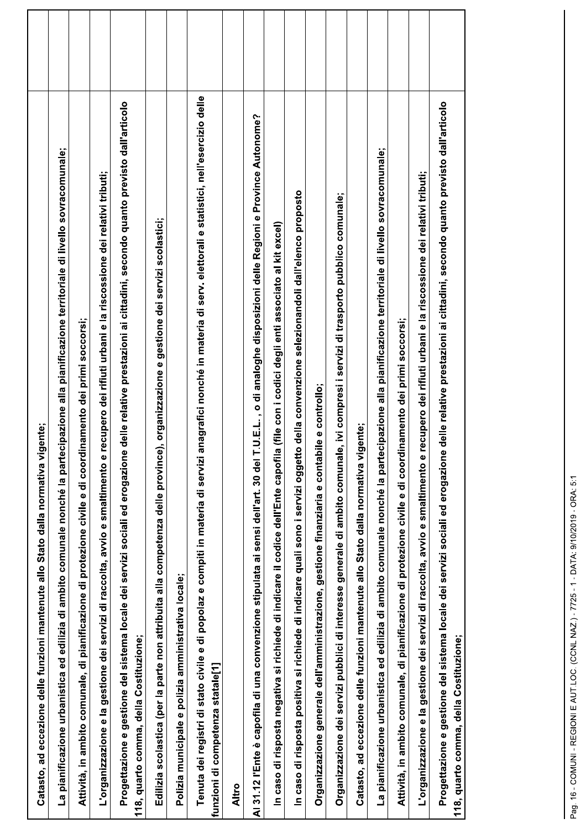| Catasto, ad eccezione delle funzioni mantenute allo Stato dalla normativa vigente;                                                                                                                           |  |
|--------------------------------------------------------------------------------------------------------------------------------------------------------------------------------------------------------------|--|
| La pianificazione urbanistica ed edilizia di ambito comunale nonché la partecipazione alla pianificazione territoriale di livello sovracomunale;                                                             |  |
| Attività, in ambito comunale, di pianificazione di protezione civile e di coordinamento dei primi soccorsi;                                                                                                  |  |
| recupero dei rifiuti urbani e la riscossione dei relativi tributi;<br>L'organizzazione e la gestione dei servizi di raccolta, avvio e smaltimento e                                                          |  |
| Progettazione e gestione del sistema locale dei servizi sociali ed erogazione delle relative prestazioni ai cittadini, secondo quanto previsto dall'articolo<br>118, quarto comma, della Costituzione;       |  |
| Edilizia scolastica (per la parte non attribuita alla competenza delle province), organizzazione e gestione dei servizi scolastici;                                                                          |  |
| Polizia municipale e polizia amministrativa locale;                                                                                                                                                          |  |
| anagrafici nonché in materia di serv. elettorali e statistici, nell'esercizio delle<br>Tenuta dei registri di stato civile e di popolaz e compiti in materia di servizi<br>funzioni di competenza statale[1] |  |
| Altro                                                                                                                                                                                                        |  |
| T.U.E.L., o di analoghe disposizioni delle Regioni e Province Autonome?<br>Al 31.12 l'Ente è capofila di una convenzione stipulata ai sensi dell'art. 30 del                                                 |  |
| la (file con i codici degli enti associato al kit excel)<br>In caso di risposta negativa si richiede di indicare il codice dell'Ente capofi                                                                  |  |
| In caso di risposta positiva si richiede di indicare quali sono i servizi oggetto della convenzione selezionandoli dall'elenco proposto                                                                      |  |
| bile e controllo;<br>Organizzazione generale dell'amministrazione, gestione finanziaria e conta                                                                                                              |  |
| Organizzazione dei servizi pubblici di interesse generale di ambito comunale, ivi compresi i servizi di trasporto pubblico comunale;                                                                         |  |
| Catasto, ad eccezione delle funzioni mantenute allo Stato dalla normativa vigente;                                                                                                                           |  |
| La pianificazione urbanistica ed edilizia di ambito comunale nonché la partecipazione alla pianificazione territoriale di livello sovracomunale;                                                             |  |
| Attività, in ambito comunale, di pianificazione di protezione civile e di coordinamento dei primi soccorsi;                                                                                                  |  |
| recupero dei rifiuti urbani e la riscossione dei relativi tributi;<br>L'organizzazione e la gestione dei servizi di raccolta, avvio e smaltimento e                                                          |  |
| Progettazione e gestione del sistema locale dei servizi sociali ed erogazione delle relative prestazioni ai cittadini, secondo quanto previsto dall'articolo<br>118, quarto comma, della Costituzione;       |  |
|                                                                                                                                                                                                              |  |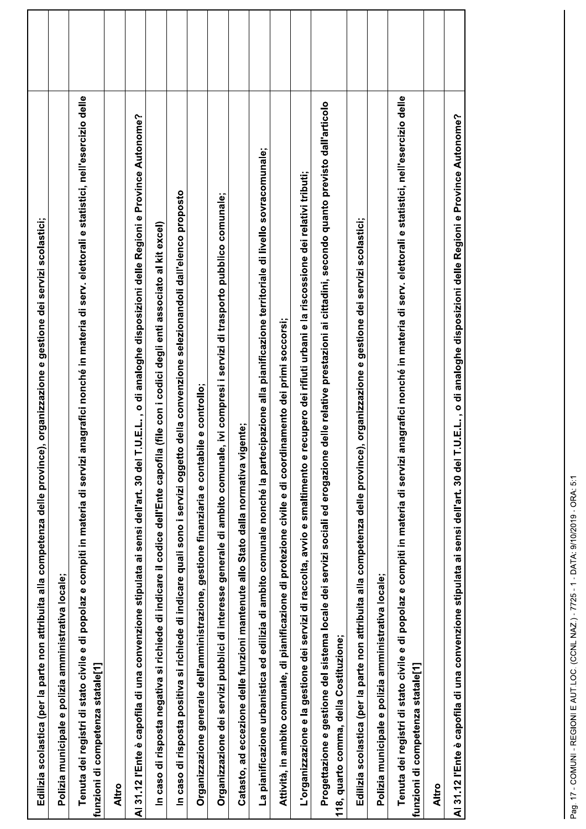| Edilizia scolastica (per la parte non attribuita alla competenza delle province), organizzazione e gestione dei servizi scolastici;                                                                          |  |
|--------------------------------------------------------------------------------------------------------------------------------------------------------------------------------------------------------------|--|
| Polizia municipale e polizia amministrativa locale;                                                                                                                                                          |  |
| anagrafici nonché in materia di serv. elettorali e statistici, nell'esercizio delle<br>Tenuta dei registri di stato civile e di popolaz e compiti in materia di servizi<br>funzioni di competenza statale[1] |  |
| Altro                                                                                                                                                                                                        |  |
| T.U.E.L., o di analoghe disposizioni delle Regioni e Province Autonome?<br>Al 31.12 l'Ente è capofila di una convenzione stipulata ai sensi dell'art. 30 del                                                 |  |
| In caso di risposta negativa si richiede di indicare il codice dell'Ente capofila (file con i codici degli enti associato al kit excel)                                                                      |  |
| In caso di risposta positiva si richiede di indicare quali sono i servizi oggetto della convenzione selezionandoli dall'elenco proposto                                                                      |  |
| Organizzazione generale dell'amministrazione, gestione finanziaria e contabile e controllo;                                                                                                                  |  |
| e, ivi compresi i servizi di trasporto pubblico comunale;<br>Organizzazione dei servizi pubblici di interesse generale di ambito comunal                                                                     |  |
| igente;<br>Catasto, ad eccezione delle funzioni mantenute allo Stato dalla normativa v                                                                                                                       |  |
| La pianificazione urbanistica ed edilizia di ambito comunale nonché la partecipazione alla pianificazione territoriale di livello sovracomunale;                                                             |  |
| Attività, in ambito comunale, di pianificazione di protezione civile e di coordinamento dei primi soccorsi;                                                                                                  |  |
| recupero dei rifiuti urbani e la riscossione dei relativi tributi;<br>L'organizzazione e la gestione dei servizi di raccolta, avvio e smaltimento e                                                          |  |
| Progettazione e gestione del sistema locale dei servizi sociali ed erogazione delle relative prestazioni ai cittadini, secondo quanto previsto dall'articolo<br>118, quarto comma, della Costituzione;       |  |
| Edilizia scolastica (per la parte non attribuita alla competenza delle province), organizzazione e gestione dei servizi scolastici;                                                                          |  |
| Polizia municipale e polizia amministrativa locale;                                                                                                                                                          |  |
| anagrafici nonché in materia di serv. elettorali e statistici, nell'esercizio delle<br>Tenuta dei registri di stato civile e di popolaz e compiti in materia di servizi<br>funzioni di competenza statale[1] |  |
| <b>Altro</b>                                                                                                                                                                                                 |  |
| T.U.E.L., o di analoghe disposizioni delle Regioni e Province Autonome?<br>Al 31.12 l'Ente è capofila di una convenzione stipulata ai sensi dell'art. 30 del                                                 |  |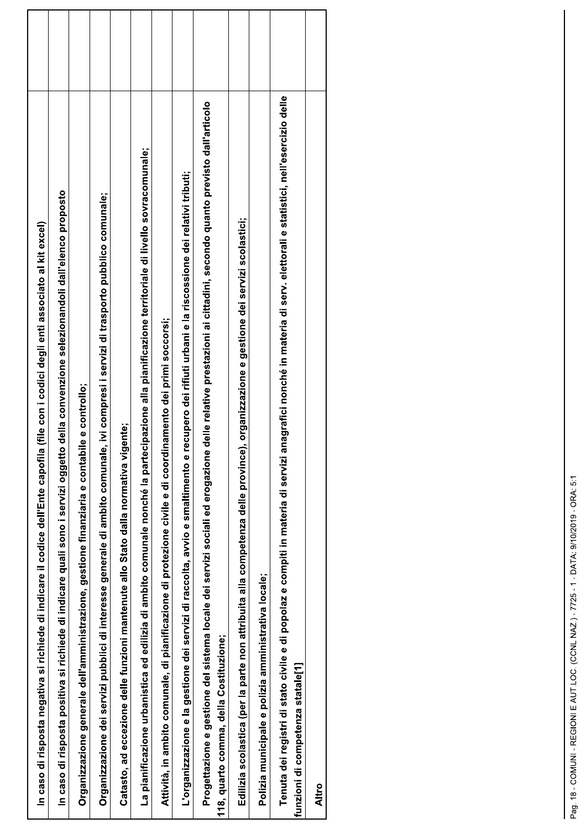| In caso di risposta negativa si richiede di indicare il codice dell'Ente capofila (file con i codici degli enti associato al kit excel)                                                                   |  |
|-----------------------------------------------------------------------------------------------------------------------------------------------------------------------------------------------------------|--|
| In caso di risposta postitva si richiede di indicare quali sono i servizi oggetto della convenzione selezionandoli dall'elenco proposto                                                                   |  |
| Organizzazione generale dell'amministrazione, gestione finanziaria e contabile e controllo;                                                                                                               |  |
| Organizzazione dei servizi pubblici di interesse generale di ambito comunale, ivi compresi i servizi di trasporto pubblico comunale;                                                                      |  |
| Catasto, ad eccezione delle funzioni mantenute allo Stato dalla normativa vigente;                                                                                                                        |  |
| La pianificazione urbanistica ed edilizia di ambito comunale nonché la partecipazione alla pianificazione territoriale di livello sovracomunale;                                                          |  |
| inamento dei primi soccorsi;<br>Attività, in ambito comunale, di pianificazione di protezione civile e di coord                                                                                           |  |
| recupero dei rifiuti urbani e la riscossione dei relativi tributi;<br>L'organizzazione e la gestione dei servizi di raccolta, avvio e smaltimento e                                                       |  |
| delle relative prestazioni ai cittadini, secondo quanto previsto dall'articolo<br>Progettazione e gestione del sistema locale dei servizi sociali ed erogazione<br>118, quarto comma, della Costituzione; |  |
| Edilizia scolastica (per la parte non attribuita alla competenza delle province), organizzazione e gestione dei servizi scolastici;                                                                       |  |
| Polizia municipale e polizia amministrativa locale;                                                                                                                                                       |  |
| Tenuta dei registri di stato civile e di popolaz e compiti in materia di servizi anagrafici nonché in materia di serv. elettorali e statistici, nell'esercizio delle<br>funzioni di competenza statale[1] |  |
| Altro                                                                                                                                                                                                     |  |
|                                                                                                                                                                                                           |  |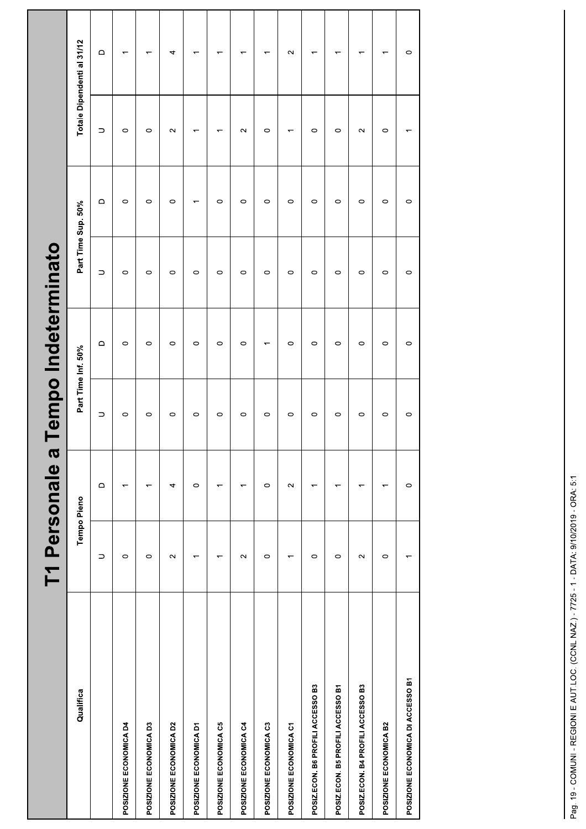|                                   |                          | T1 Personale a           |           | Tempo Indeterminato      |                    |                          |                          |                            |  |
|-----------------------------------|--------------------------|--------------------------|-----------|--------------------------|--------------------|--------------------------|--------------------------|----------------------------|--|
| Qualifica                         | Tempo Pieno              |                          |           | Part Time Inf. 50%       | Part Time Sup. 50% |                          |                          | Totale Dipendenti al 31/12 |  |
|                                   | $\supset$                | $\qquad \qquad \Box$     | $\supset$ | $\mathsf \Omega$         | $\supset$          | $\mathsf{\Omega}$        | $\supset$                | $\mathsf \Omega$           |  |
| POSIZIONE ECONOMICA D4            | $\circ$                  | ᠇                        | $\circ$   | $\circ$                  | $\circ$            | $\circ$                  | $\circ$                  | $\overline{\phantom{0}}$   |  |
| POSIZIONE ECONOMICA D3            | $\circ$                  | ↽                        | $\circ$   | $\circ$                  | $\circ$            | $\circ$                  | $\circ$                  | $\overline{\phantom{0}}$   |  |
| POSIZIONE ECONOMICA D2            | $\sim$                   | 4                        | $\circ$   | $\circ$                  | $\circ$            | $\circ$                  | $\sim$                   | 4                          |  |
| POSIZIONE ECONOMICA D1            | $\overline{ }$           | $\circ$                  | $\circ$   | $\circ$                  | $\circ$            | $\overline{\phantom{0}}$ | $\overline{\phantom{0}}$ | $\overline{ }$             |  |
| POSIZIONE ECONOMICA C5            | ↽                        | ↽                        | $\circ$   | $\circ$                  | $\circ$            | $\circ$                  | $\overline{\phantom{0}}$ | $\overline{\phantom{0}}$   |  |
| POSIZIONE ECONOMICA C4            | $\sim$                   | ᡪ                        | $\circ$   | $\circ$                  | $\circ$            | $\circ$                  | $\sim$                   | ٣                          |  |
| POSIZIONE ECONOMICA C3            | $\circ$                  | $\circ$                  | $\circ$   | $\overline{\phantom{0}}$ | $\circ$            | $\circ$                  | $\circ$                  | ٣                          |  |
| POSIZIONE ECONOMICA C1            | $\overline{\phantom{0}}$ | $\sim$                   | $\circ$   | $\circ$                  | $\circ$            | $\circ$                  | $\overline{\phantom{0}}$ | $\sim$                     |  |
| POSIZ.ECON. B6 PROFILI ACCESSO B3 | $\circ$                  | $\overline{\phantom{0}}$ | $\circ$   | $\circ$                  | $\circ$            | $\circ$                  | $\circ$                  | $\overline{\phantom{0}}$   |  |
| POSIZ.ECON. B5 PROFILI ACCESSO B1 | $\circ$                  | ↽                        | $\circ$   | $\circ$                  | $\circ$            | $\circ$                  | $\circ$                  | $\overline{\phantom{0}}$   |  |
| POSIZ.ECON. B4 PROFILI ACCESSO B3 | $\sim$                   | ↽                        | $\circ$   | $\circ$                  | $\circ$            | $\circ$                  | $\sim$                   | $\overline{\phantom{0}}$   |  |
| POSIZIONE ECONOMICA B2            | $\circ$                  | ᡪ                        | $\circ$   | $\circ$                  | $\circ$            | $\circ$                  | $\circ$                  | $\overline{\phantom{0}}$   |  |
| POSIZIONE ECONOMICA DI ACCESSO B1 | $\overline{\phantom{0}}$ | $\circ$                  | $\circ$   | $\circ$                  | $\circ$            | $\circ$                  | $\overline{ }$           | $\circ$                    |  |
|                                   |                          |                          |           |                          |                    |                          |                          |                            |  |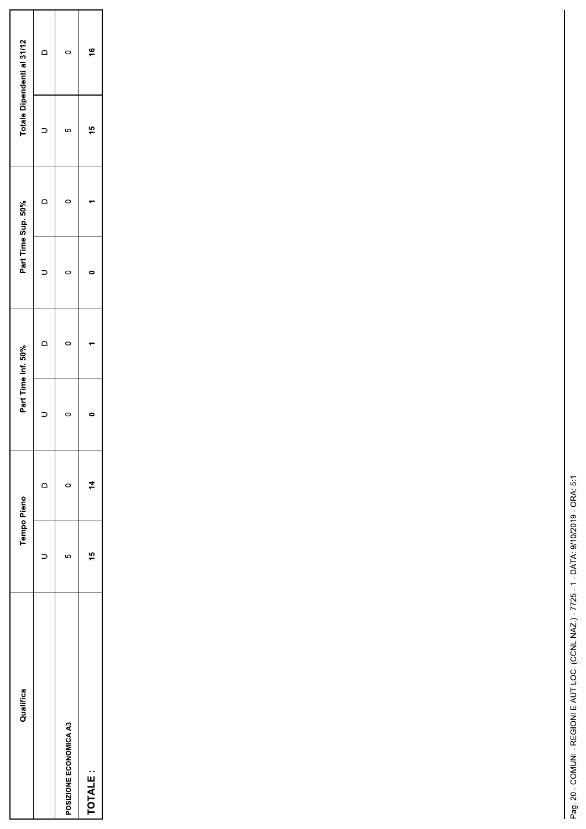| Qualifica              | Tempo Pieno |               | Part Time Inf. 50% | Part Time Sup. 50% |   |          | Totale Dipendenti al 31/12 |
|------------------------|-------------|---------------|--------------------|--------------------|---|----------|----------------------------|
|                        |             |               |                    |                    | ≏ |          | ≏                          |
| POSIZIONE ECONOMICA A3 | 5           | c             |                    |                    |   | <u>လ</u> |                            |
| TOTALE:                | ë           | $\frac{1}{4}$ |                    |                    |   | t5       | $\frac{6}{5}$              |

L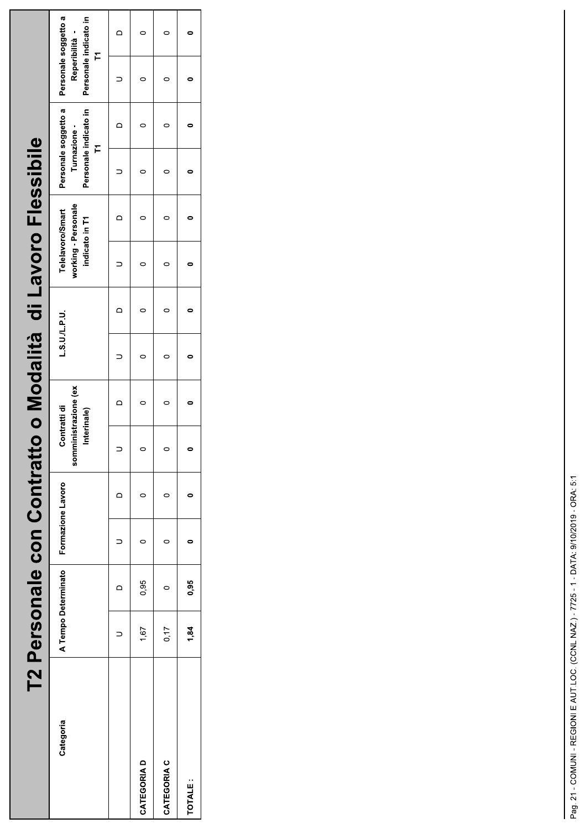|             | T2 Personale con Contratt |                     |                   |   |                                                     |         |          | to o Modalità di Lavoro Flessibile                        |                                                                   |                                                                      |  |
|-------------|---------------------------|---------------------|-------------------|---|-----------------------------------------------------|---------|----------|-----------------------------------------------------------|-------------------------------------------------------------------|----------------------------------------------------------------------|--|
| Categoria   |                           | A Tempo Determinato | Formazione Lavoro |   | somministrazione (ex<br>Contratti di<br>Interinale) | LSU/LPU |          | working - Personale<br>Telelavoro/Smart<br>indicato in T1 | Personale soggetto a<br>Personale indicato in<br>Turnazione-<br>F | Personale soggetto a<br>Personale indicato in<br>Reperibilità -<br>F |  |
|             |                           | $\Box$              |                   | ≏ |                                                     |         | $\Omega$ |                                                           |                                                                   |                                                                      |  |
| CATEGORIA D | 1,67                      | 0,95                |                   |   |                                                     |         |          |                                                           |                                                                   |                                                                      |  |
| CATEGORIA C | 0,17                      |                     |                   |   |                                                     |         |          |                                                           |                                                                   |                                                                      |  |
| TOTALE:     | 1,84                      | 0,95                |                   |   |                                                     |         |          |                                                           |                                                                   |                                                                      |  |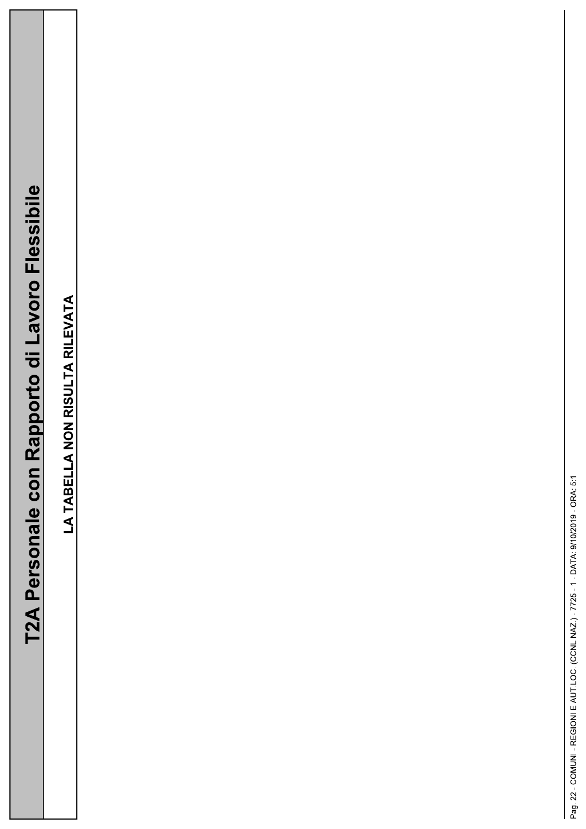| Flaccihi<br>ココラロウ  |
|--------------------|
|                    |
| Rapporto di Lavoro |
| T2A Personale con  |
|                    |

LA TABELLA NON RISULTA RILEVATA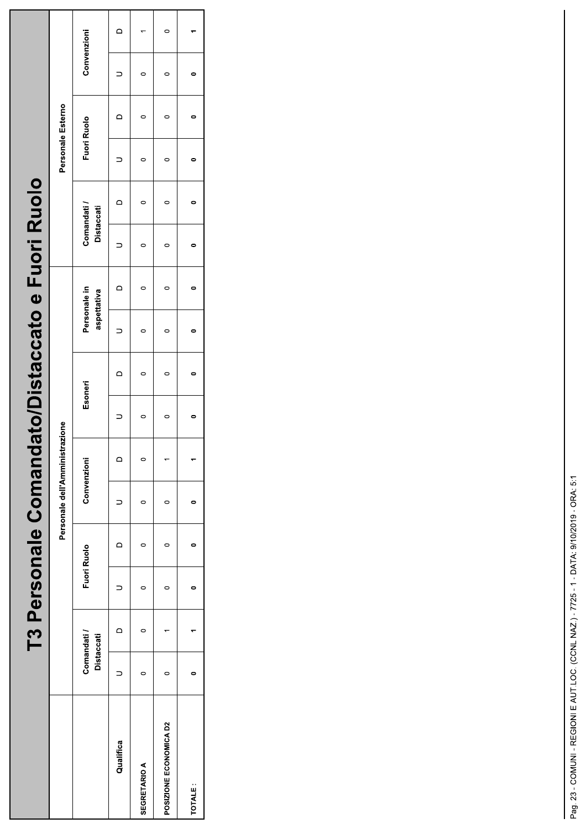|                        |                           |                | T3 Personale Comand |                                |         |         |         |              |                | lato/Distaccato e Fuori Ruolo |                |                    |                |             |        |
|------------------------|---------------------------|----------------|---------------------|--------------------------------|---------|---------|---------|--------------|----------------|-------------------------------|----------------|--------------------|----------------|-------------|--------|
|                        |                           |                |                     | Personale dell'Amministrazione |         |         |         |              |                |                               |                | Personale Esterno  |                |             |        |
|                        | Comandati /<br>Distaccati |                | Fuori Ruolo         | Convenzioni                    |         | Esoneri |         | Personale in | aspettativa    | Comandati /<br>Distaccati     |                | <b>Fuori Ruolo</b> |                | Convenzioni |        |
| Qualifica              |                           | $\overline{a}$ |                     |                                | $\circ$ |         | $\circ$ |              | $\overline{a}$ |                               | $\overline{a}$ |                    | $\overline{a}$ |             | $\Box$ |
| <b>SEGRETARIO A</b>    |                           |                | 0                   |                                | 0       | 0       |         |              |                |                               |                |                    |                | 0           |        |
| POSIZIONE ECONOMICA D2 |                           |                | 0                   |                                |         | $\circ$ |         |              |                |                               |                |                    |                | 0           |        |
| TOTALE:                |                           |                |                     |                                |         | 0       |         |              | 0              |                               |                |                    |                |             |        |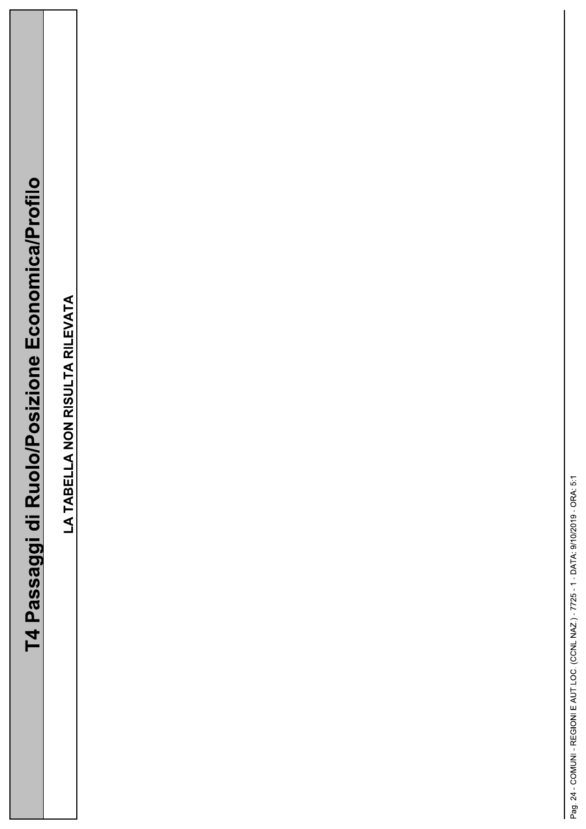T4 Passaggi di Ruolo/Posizione Economica/Profilo

LA TABELLA NON RISULTA RILEVATA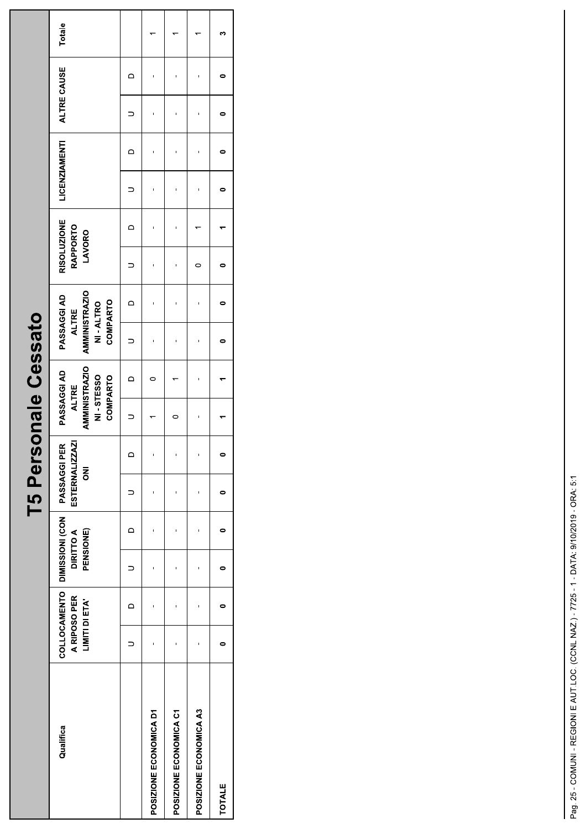|                        |                                |                                                                 |            | T5 Personale Cessato                             |         |                                                                                     |          |                                                                                    |          |                                                 |                          |                      |          |             |   |        |  |
|------------------------|--------------------------------|-----------------------------------------------------------------|------------|--------------------------------------------------|---------|-------------------------------------------------------------------------------------|----------|------------------------------------------------------------------------------------|----------|-------------------------------------------------|--------------------------|----------------------|----------|-------------|---|--------|--|
| Qualifica              | A RIPOSO PER<br>LIMITI DI ETA' | COLLOCAMENTO   DIMISSIONI (CON<br><b>DIRITTO A</b><br>PENSIONE) |            | ESTERNALIZZAZI<br>PASSAGGI PER<br>$\overline{z}$ |         | <b>AMMINISTRAZIO</b><br>PASSAGGI AD<br>NI-STESSO<br><b>COMPARTO</b><br><b>ALTRE</b> |          | <b>AMMINISTRAZIO</b><br>PASSAGGI AD<br><b>COMPARTO</b><br>NI-ALTRO<br><b>ALTRE</b> |          | <b>RISOLUZIONE</b><br><b>RAPPORTO</b><br>LAVORO |                          | <b>LICENZIAMENTI</b> |          | ALTRE CAUSE |   | Totale |  |
|                        | $\circ$                        |                                                                 | $\bigcirc$ |                                                  | $\circ$ |                                                                                     | $\Omega$ |                                                                                    | $\Omega$ |                                                 | $\overline{\phantom{0}}$ |                      | $\Omega$ |             | ≏ |        |  |
| POSIZIONE ECONOMICA D1 |                                |                                                                 |            |                                                  |         |                                                                                     |          |                                                                                    |          |                                                 |                          |                      |          |             |   |        |  |
| POSIZIONE ECONOMICA C1 |                                |                                                                 |            | 1                                                | 1       | 0                                                                                   |          |                                                                                    |          |                                                 |                          | ı                    |          |             |   |        |  |
| POSIZIONE ECONOMICA A3 |                                |                                                                 | 1          |                                                  |         | ı                                                                                   |          |                                                                                    |          | 0                                               |                          |                      |          |             |   |        |  |
| <b>TOTALE</b>          |                                |                                                                 |            |                                                  |         |                                                                                     |          |                                                                                    |          |                                                 |                          |                      |          |             |   |        |  |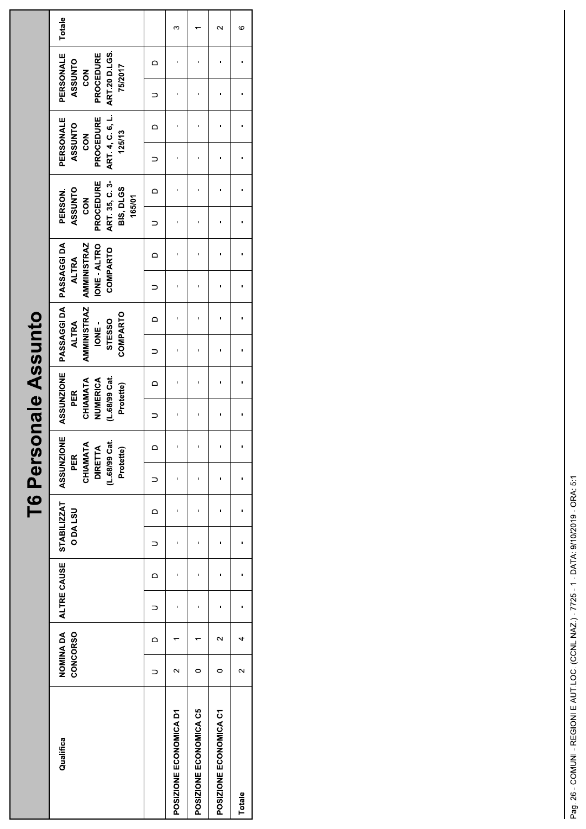T6 Personale Assunto

| Qualifica              | <b>CONCORSO</b>   |          | NOMINA DA ALTRE CAUSE |          | <b>ODALSU</b> |          | STABILIZZAT ASSUNZIONE<br>CHIAMATA<br><b>DIRETTA</b><br>Protette)<br>PER<br>$($ L $.68/99)$ | ಕ       | <b>ASSUNZIONE</b><br>(L.68/99 Cat.<br>CHIAMATA<br>NUMERICA<br>Protette)<br>PER |            | PASSAGGI DA   PASSAGGI DA<br><b>AMMINISTRAZ</b><br><b>COMPARTO</b><br>STESSO<br><b>ALTRA</b><br>IONE- |          | <b>AMMINISTRAZ</b><br><b>IONE-ALTRO</b><br><b>COMPARTO</b><br><b>ALTRA</b> |          | ART 35, C 3<br>PROCEDURE<br><b>BIS, DLGS</b><br><b>ASSUNTO</b><br>PERSON.<br>165/01<br><b>NOS</b> |          | ART 4, C. 6, L.<br>PERSONALE<br>PROCEDURE<br>ASSUNTO<br>125/13<br><b>NO2</b> |          | PERSONALE<br><b>ART 20 D.LGS.</b><br>PROCEDURE<br><b>ASSUNTO</b><br>75/2017<br><b>POS</b> |   | Totale |
|------------------------|-------------------|----------|-----------------------|----------|---------------|----------|---------------------------------------------------------------------------------------------|---------|--------------------------------------------------------------------------------|------------|-------------------------------------------------------------------------------------------------------|----------|----------------------------------------------------------------------------|----------|---------------------------------------------------------------------------------------------------|----------|------------------------------------------------------------------------------|----------|-------------------------------------------------------------------------------------------|---|--------|
|                        |                   | $\Omega$ |                       | $\Omega$ |               | $\Omega$ |                                                                                             | $\circ$ |                                                                                | $\bigcirc$ |                                                                                                       | $\Omega$ |                                                                            | $\Omega$ |                                                                                                   | $\Omega$ |                                                                              | $\Omega$ |                                                                                           | ≏ |        |
| POSIZIONE ECONOMICA D1 | $\mathbf{\Omega}$ |          |                       | ı        |               |          |                                                                                             | 1       |                                                                                |            |                                                                                                       |          |                                                                            |          |                                                                                                   | ı        |                                                                              |          |                                                                                           |   | ო      |
| POSIZIONE ECONOMICA C5 |                   |          |                       |          |               |          |                                                                                             | ı       |                                                                                |            |                                                                                                       |          |                                                                            |          |                                                                                                   |          |                                                                              |          |                                                                                           |   |        |
| POSIZIONE ECONOMICA C1 |                   | $\sim$   |                       | ı        |               |          |                                                                                             | 1       | ı                                                                              |            |                                                                                                       | ı        |                                                                            |          | ı                                                                                                 | ı        |                                                                              |          |                                                                                           |   | $\sim$ |
| Totale                 | $\sim$            |          |                       |          |               |          |                                                                                             | ı       |                                                                                |            |                                                                                                       |          |                                                                            |          |                                                                                                   |          |                                                                              |          |                                                                                           |   | ဖ      |
|                        |                   |          |                       |          |               |          |                                                                                             |         |                                                                                |            |                                                                                                       |          |                                                                            |          |                                                                                                   |          |                                                                              |          |                                                                                           |   |        |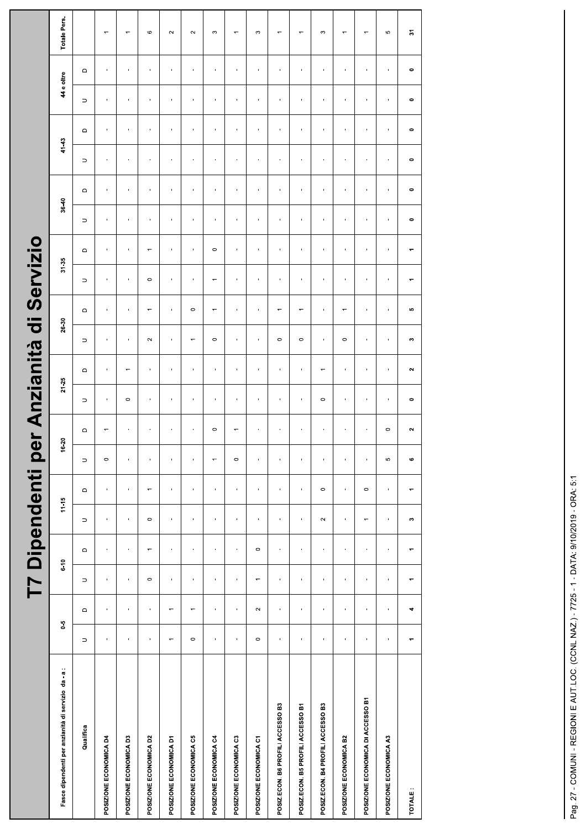|                                                     |                          |                          | T7 Dipendenti p          |                  |                |                          |                |                |                | er Anzianità             | $\ddot{\sigma}$ |                          | Servizio                 |                  |                |                |                |                          |                |                |                          |
|-----------------------------------------------------|--------------------------|--------------------------|--------------------------|------------------|----------------|--------------------------|----------------|----------------|----------------|--------------------------|-----------------|--------------------------|--------------------------|------------------|----------------|----------------|----------------|--------------------------|----------------|----------------|--------------------------|
| Fasce dipendenti per anzianità di servizio da - a : | $5-0$                    |                          | $6-10$                   |                  | $11 - 15$      |                          | 16.20          |                | $21 - 25$      |                          | 26-30           |                          | $31 - 35$                |                  | 36-40          |                | $41 - 43$      |                          | 44 e oltre     |                | Totale Pers.             |
| Qualifica                                           | $\supset$                | $\mathbf \Omega$         | $\supset$                | $\mathsf \Omega$ | $\supset$      | $\mathsf \Omega$         | $\supset$      | $\Box$         | $\Rightarrow$  | $\mathbf \Omega$         | $\supset$       | $\Box$                   | $\supset$                | $\mathbf \Omega$ | $\supset$      | $\Omega$       | $\supset$      | $\Omega$                 | $\supset$      | $\Omega$       |                          |
| POSIZIONE ECONOMICA D4                              | $\blacksquare$           | $\mathbf{r}$             | $\blacksquare$           | $\blacksquare$   | $\blacksquare$ | $\blacksquare$           | $\circ$        | $\overline{ }$ | $\mathbf{r}$   | $\blacksquare$           | $\blacksquare$  | $\mathbf{r}$             | $\blacksquare$           | $\blacksquare$   | $\blacksquare$ | $\blacksquare$ | $\mathbf{r}$   | $\mathbf{r}$             | $\blacksquare$ | $\blacksquare$ | $\overline{ }$           |
| POSIZIONE ECONOMICA D3                              | ï                        | ï                        | Î,                       | ı                | ï              | ï                        | $\blacksquare$ | $\mathbf{I}$   | $\circ$        | $\overline{\phantom{0}}$ | $\blacksquare$  | ï                        | Î,                       | $\blacksquare$   | ï              | ï              | ï              | ×                        | ï              | ı.             | $\overline{ }$           |
| POSIZIONE ECONOMICA D2                              | $\blacksquare$           | $\blacksquare$           | $\circ$                  | $\overline{ }$   | $\circ$        | $\leftarrow$             | $\blacksquare$ | $\mathbf{I}$   | $\mathbf{I}$   | $\blacksquare$           | $\sim$          | $\overline{\phantom{0}}$ | $\circ$                  | $\overline{ }$   | $\mathbf{r}$   | f,             | $\blacksquare$ | $\mathbf{I}$             | $\mathbf{I}$   | $\blacksquare$ | $\circ$                  |
| POSIZIONE ECONOMICA D1                              | $\overline{\phantom{0}}$ | $\overline{\phantom{0}}$ | $\blacksquare$           | $\blacksquare$   | $\blacksquare$ | $\blacksquare$           | $\blacksquare$ | $\mathbf{I}$   | $\mathbf{r}$   | $\blacksquare$           | $\blacksquare$  | $\mathbf{r}$             | $\blacksquare$           | $\blacksquare$   | $\blacksquare$ | $\blacksquare$ | $\mathbf{r}$   | $\blacksquare$           | $\blacksquare$ | f,             | $\sim$                   |
| POSIZIONE ECONOMICA C5                              | $\circ$                  | $\overline{}$            | J.                       | J.               | þ,             | ï                        | $\blacksquare$ | J.             | J.             | ï                        | $\overline{}$   | $\circ$                  | ï                        | J.               | ×              | ï              | ×              | $\overline{\phantom{a}}$ | ï              | ï              | $\sim$                   |
| POSIZIONE ECONOMICA C4                              | $\blacksquare$           | $\blacksquare$           | $\mathbf{I}$             | $\blacksquare$   | $\blacksquare$ | $\blacksquare$           | $\overline{ }$ | $\circ$        | $\mathbf{I}$   | $\blacksquare$           | $\circ$         | $\overline{\phantom{0}}$ | $\leftarrow$             | $\circ$          | $\blacksquare$ | ï              | $\mathbf{I}$   | $\mathbf{I}$             | $\blacksquare$ | $\blacksquare$ | $\infty$                 |
| POSIZIONE ECONOMICA C3                              | $\blacksquare$           | $\mathbf{r}$             | $\blacksquare$           | $\blacksquare$   | $\blacksquare$ | $\blacksquare$           | $\circ$        |                | $\blacksquare$ | $\blacksquare$           | $\mathbf{r}$    | $\mathbf{I}$             |                          | $\blacksquare$   | $\blacksquare$ |                | $\mathbf{r}$   | $\blacksquare$           | $\blacksquare$ | $\blacksquare$ | $\overline{ }$           |
| POSIZIONE ECONOMICA C1                              | $\circ$                  | $\sim$                   | $\overline{\phantom{0}}$ | $\circ$          | ï              | ï                        | $\blacksquare$ | $\mathbf{I}$   | $\mathbf{r}$   | i,                       | $\mathbf{r}$    | $\overline{\phantom{a}}$ | ï                        | $\mathbf{r}$     | ï              | ï              | ï              | ×                        | ï              | ï              | $\infty$                 |
| POSIZ.ECON. B6 PROFILI ACCESSO B3                   | $\blacksquare$           | $\blacksquare$           | $\blacksquare$           | $\blacksquare$   | $\blacksquare$ | $\blacksquare$           | $\blacksquare$ | $\blacksquare$ | $\mathbf{r}$   | $\blacksquare$           | $\circ$         | $\leftarrow$             | f,                       | $\mathbf{r}$     | $\blacksquare$ | f,             | f.             | $\mathbf{I}$             | $\mathbf{r}$   | ï              |                          |
| POSIZ.ECON. B5 PROFILI ACCESSO B1                   | $\blacksquare$           | $\mathbf{r}$             | $\blacksquare$           | $\blacksquare$   | $\blacksquare$ | $\blacksquare$           | $\blacksquare$ | $\blacksquare$ | $\mathbf{r}$   | $\blacksquare$           | $\circ$         | $\overline{ }$           | $\blacksquare$           | $\mathbf{r}$     | $\blacksquare$ | $\blacksquare$ | $\mathbf{r}$   | $\mathbf{I}$             | $\blacksquare$ | $\blacksquare$ | $\overline{ }$           |
| POSIZ.ECON. B4 PROFILI ACCESSO B3                   | ł,                       | ł,                       | Î,                       | $\blacksquare$   | $\sim$         | $\circ$                  | $\blacksquare$ | $\blacksquare$ | $\circ$        | $\overline{ }$           | $\blacksquare$  | $\mathbf{r}$             | ï                        | Î,               | Î.             | ł,             | ï              | $\blacksquare$           | $\blacksquare$ | ï              | S                        |
| POSIZIONE ECONOMICA B2                              | $\blacksquare$           | $\mathbf{r}$             | $\mathbf{I}$             | $\blacksquare$   | $\blacksquare$ | $\blacksquare$           | $\blacksquare$ | $\blacksquare$ | $\mathbf{r}$   | $\blacksquare$           | $\circ$         | $\overline{\phantom{0}}$ | f,                       | $\blacksquare$   | $\mathbf{r}$   | $\blacksquare$ | $\mathbf{I}$   | $\mathbf{I}$             | $\mathbf{r}$   | ı              |                          |
| POSIZIONE ECONOMICA DI ACCESSO B1                   | $\blacksquare$           | $\mathbf{I}$             | $\mathbf{I}$             | $\blacksquare$   | $\overline{ }$ | $\circ$                  | $\blacksquare$ | $\blacksquare$ | $\mathbf{r}$   | $\blacksquare$           | $\mathbf{r}$    | $\mathbf{r}$             | $\blacksquare$           | $\blacksquare$   | $\blacksquare$ | $\blacksquare$ | $\mathbf{I}$   | $\blacksquare$           | $\mathbf{r}$   | $\blacksquare$ | $\overline{ }$           |
| POSIZIONE ECONOMICA A3                              | ï                        | $\blacksquare$           | ï                        | $\blacksquare$   | $\blacksquare$ | $\blacksquare$           | Ю              | $\circ$        | $\mathbf{r}$   | $\blacksquare$           | $\blacksquare$  | $\bar{\phantom{a}}$      | $\blacksquare$           | $\blacksquare$   | $\blacksquare$ | J.             | $\mathbf{r}$   | $\mathbf{I}$             | $\blacksquare$ | $\blacksquare$ | Ю                        |
| TOTALE:                                             |                          | 4                        |                          | $\overline{ }$   | $\mathfrak{S}$ | $\overline{\phantom{0}}$ | $\bullet$      | $\sim$         | $\bullet$      | $\mathbf{a}$             | s               | ю                        | $\overline{\phantom{0}}$ | ٠                | $\bullet$      | $\bullet$      | $\bullet$      | $\bullet$                | $\bullet$      | $\bullet$      | $\overline{\phantom{0}}$ |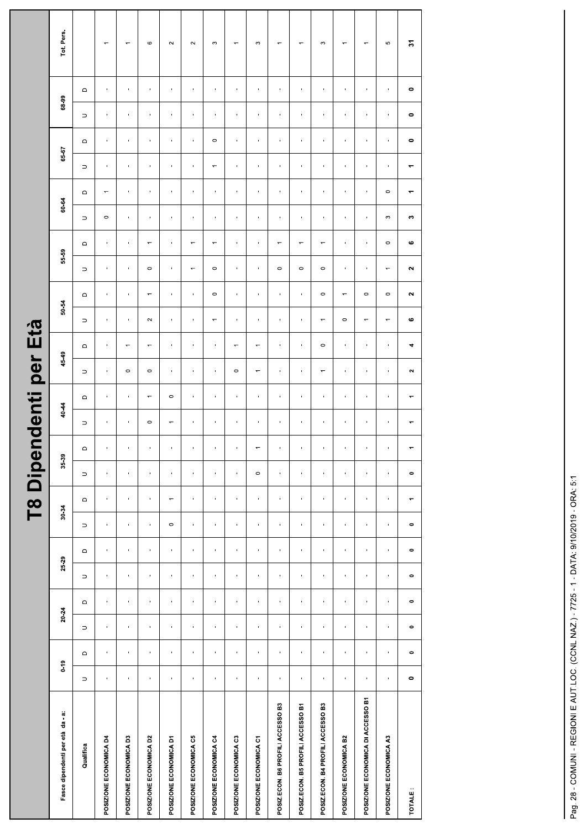|                                   |                |                             |                |                           |                                     |                           |                           |                | <b>T8 Dipende</b>         |                          | nti                      | per                      | Età                      |                          |                          |                          |                          |                                                          |                          |                             |                           |                        |                          |
|-----------------------------------|----------------|-----------------------------|----------------|---------------------------|-------------------------------------|---------------------------|---------------------------|----------------|---------------------------|--------------------------|--------------------------|--------------------------|--------------------------|--------------------------|--------------------------|--------------------------|--------------------------|----------------------------------------------------------|--------------------------|-----------------------------|---------------------------|------------------------|--------------------------|
| Fasce dipendenti per età da - a:  | $0 - 19$       |                             | 20.24          |                           | 25-29                               |                           | 30-34                     |                | 35-39                     |                          | 40-44                    | 45-49                    |                          | 50-54                    |                          | 55-59                    |                          | 60-64                                                    |                          | 65-67                       |                           | 68-99                  | Tot. Pers.               |
| Qualifica                         | $\supset$      | $\hfill \Box$               | $\supset$      | $\hfill \Box$             | $\mathrel{\mathsf{d}}$<br>$\supset$ | $\supset$                 | $\qquad \qquad \Box$      | $\supset$      | $\mathsf \Omega$          | $\supset$                | $\hfill \Box$            | $\supset$                | $\mathsf \Omega$         | $\supset$                | $\mathrel{\mathsf{d}}$   | $\supset$                | $\hfill\square$          | $\hfill\square$<br>$\supset$                             | $\supset$                | $\hfill\square$             | $\supset$                 | $\mathrel{\mathsf{d}}$ |                          |
| POSIZIONE ECONOMICA D4            | $\mathbf{u}$   | $\mathbf{r}$                | $\mathbf{I}$   | $\sim$                    | $\mathbf{I}$<br>$\mathbf{r}$        | $\blacksquare$            | $\mathbf{I}$              | $\mathbf{I}$   | $\mathcal{A}$             | $\blacksquare$           | $\blacksquare$           | $\sim$                   | $\sim$                   | $\blacksquare$           | $\sim$                   | $\blacksquare$           | $\blacksquare$           | $\overline{\phantom{m}}$<br>$\circ$                      | $\blacksquare$           | $\sim$                      | $\blacksquare$            | $\sim$                 | $\overline{\phantom{m}}$ |
| POSIZIONE ECONOMICA D3            | $\mathbf{r}$   | $\mathbf{r}_\perp$          | $\mathbf{r}$   | $\mathbf{r}$              | $\mathbf{r}$<br>$\mathbf{r}_\perp$  | $\mathbf{r}_\perp$        | $\mathbf{r}$              | $\mathbf{u}$   | $\mathbf{r}$              | $\blacksquare$           | $\mathbf{u}$ .           | $\circ$                  | $\overline{\phantom{a}}$ | $\mathbf{r}$             | $\mathbf{L}_{\rm{c}}$    | $\mathbf{u}$ .           | $\mathbf{r}$             | $\mathbf{u}$ .<br>$\mathbf{L}$                           | $\mathbf{r}$             | $\mathbf{u}$                | $\mathbf{u}$ .            | $\mathbf{L}$           | $\overline{\phantom{m}}$ |
| POSIZIONE ECONOMICA D2            | $\mathbf{I}$   | $\mathbf{L}_{\mathrm{eff}}$ | $\mathbf{u}$ . | $\mathbf{L}_{\mathrm{c}}$ | $\mathbf{u}$<br>$\mathbf{u}$        | $\mathbf{I}$              | $\mathbf{L}_{\mathrm{c}}$ | $\mathbf{L}$   | $\mathbf{L}_{\mathrm{c}}$ | $\circ$                  | $\overline{\phantom{m}}$ | $\circ$                  | $\overline{\phantom{m}}$ | $\sim$                   | $\overline{\phantom{m}}$ | $\circ$                  | $\overline{\phantom{m}}$ | $\mathbf{L}_{\mathrm{c}}$<br>$\mathbf{L}_{\mathrm{eff}}$ | $\mathbf{u}$             | $\mathbf{1}$                | $\mathbf{L}_{\mathrm{c}}$ | $\mathbf{L}$           | $\circ$                  |
| POSIZIONE ECONOMICA D1            | $\mathbf{1}$   | $\mathbf{r}$                | $\mathbf{r}$   | $\sim$                    | $\mathbf{r}$<br>$\mathbf{r}$        | $\circ$                   | $\overline{\phantom{m}}$  | $\mathbf{u}$   | $\mathbf{u}$              | $\overline{\phantom{m}}$ | $\circ$                  | $\mathbf{u}$             | $\sim$                   | $\mathbf{u}$             | $\mathbf{H}$             | $\sim$                   | $\mathbf{u}$             | $\mathbf{u}$<br>$\mathcal{A}$ .                          | $\mathbf{r}$             | $\sim$                      | $\sim$                    | $\mathbf{u}$           | $\sim$                   |
| POSIZIONE ECONOMICA C5            | $\mathbf{u}$   | $\mathbf{L}$                | $\mathbf{r}$   | $\sim$                    | $\mathbf{u}$<br>$\mathbf{r}$        | $\mathbf{L}$              | $\mathbf{1}$              | $\mathbf{r}$   | $\sim$                    | $\mathbf{r}$             | $\mathbf{u}$             | $\sim$                   | $\mathbf{u}$             | $\sim$                   | $\sim$                   | $\overline{\phantom{m}}$ | $\overline{\phantom{m}}$ | $\sim$<br>$\sim$                                         | $\mathbf{r}$             | $\sim$                      | $\sim$                    | $\mathbf{L}$           | $\sim$                   |
| POSIZIONE ECONOMICA C4            | $\mathbf{u}$   | $\blacksquare$              | $\mathbf{r}$   | $\mathbf{u}$              | $\mathbf{I}$<br>$\blacksquare$      | $\mathbf{r}$              | $\blacksquare$            | $\mathbf{u}$   | $\mathbf{r}$              | $\mathbf{I}$             | $\mathbf{u}$             | $\mathbf{u}$             | $\sim$ 1 $\sim$          | $\overline{\phantom{m}}$ | $\circ$                  | $\circ$                  | $\overline{\phantom{m}}$ | $\mathbf{L}$<br>$\mathbf{H}$                             | $\overline{\phantom{m}}$ | $\circ$                     | $\mathbf{L}$              | $\mathbf{L}$           | $\infty$                 |
| POSIZIONE ECONOMICA C3            | $\blacksquare$ | $\blacksquare$              | $\blacksquare$ | $\mathbf{L}$              | $\blacksquare$<br>$\blacksquare$    | $\blacksquare$            | $\blacksquare$            | $\blacksquare$ | $\blacksquare$            |                          | $\mathbf{u}$ .           | $\circ$                  | $\overline{\phantom{0}}$ | $\blacksquare$           | $\mathbf{H}$ .           | $\mathbf{I}$             | $\mathbf{u}$ .           | $\blacksquare$<br>$\mathbf{H}$ .                         | $\blacksquare$           | $\mathbf{H}_{\mathrm{eff}}$ | $\blacksquare$            | $\mathbf{u}$ .         | $\overline{\phantom{m}}$ |
| POSIZIONE ECONOMICA C1            | $\mathbf{1}$   | $\mathbf{r}$                | $\mathbf{r}$   | $\mathbf{u}$              | $\mathbf{r}$<br>$\blacksquare$      | $\mathcal{A}$             | $\mathbf{r}$              | $\circ$        | $\overline{\phantom{m}}$  | $\mathbf{u}$             | $\sim$                   | $\overline{\phantom{m}}$ | $\overline{\phantom{m}}$ | $\mathbf{u}$             | $\sim$                   | $\mathbf{u}$             | $\sim$                   | $\sim$<br>$\sim 0$                                       | $\mathbf{u}$             | $\sim 0.1$                  | $\sim$                    | $\pm$                  | $\infty$                 |
| POSIZ.ECON. B6 PROFILI ACCESSO B3 | $\mathbf{1}$   | $\blacksquare$              | $\mathbf{r}$   | $\mathbf{L}$              | $\mathbf{L}$<br>$\mathbf{L}$        | $\mathbf{L}$              | $\mathbf{L}$              | $\mathbf{r}$   | $\mathbf{L}$              | $\blacksquare$           | $\mathbf{u}$             | $\mathbf{H}$             | $\mathbf{L}$             | $\mathbf{I}$             | $\mathbf{I}$             | $\circ$                  | $\overline{\phantom{m}}$ | $\mathbf{L}_{\mathrm{c}}$<br>$\mathbf{u}$ .              | $\mathbf{r}$             | $\mathbf{L}_{\rm{c}}$       | $\mathbf{L}$              | $\mathbf{u}$           | $\overline{\phantom{m}}$ |
| POSIZ.ECON. B5 PROFILI ACCESSO B1 | $\mathbf{H}$   | $\blacksquare$              | $\mathbf{H}$   | $\mathbf{H}$              | $\mathbf{u}$<br>$\blacksquare$      | $\mathbf{L}$              | $\mathbf{r}$              | $\mathbf{H}$   | $\mathbf{H}$              |                          | $\mathbf{L}$             | $\mathbf{H}$             | $\sim$                   | $\mathbf{u}$             | $\mathbf{L}$             | $\circ$                  | $\overline{\phantom{m}}$ | $\mathbf{L}$<br>$\mathbf{H}$                             | $\mathbf{r}$             | $\mathbf{H}$                | $\mathbf{r}$              | $\mathbf{L}$           | $\overline{\phantom{m}}$ |
| POSIZ.ECON. B4 PROFILI ACCESSO B3 | $\mathbf{r}$   | $\mathbf{r}$                | $\mathbf{r}$   | $\mathbf{r}$              | $\mathbf{r}$<br>$\mathbf{r}$        | $\mathbf{r}$              | $\mathbf{r}$              | $\mathbf{r}$   | $\mathbf{r}$              | $\mathbf{r}$             | $\mathbf{u}$ .           | $\overline{\phantom{m}}$ | $\circ$                  | $\overline{\phantom{m}}$ | $\circ$                  | $\circ$                  | $\overline{\phantom{m}}$ | $\mathbf{u}$ .<br>$\mathbf{u}$ .                         | $\mathbf{r}$             | $\mathbf{L}$                | $\mathbf{r}$              | $\mathbf{r}$           | $\boldsymbol{\infty}$    |
| POSIZIONE ECONOMICA B2            | $\mathbf{u}$   | $\mathbf{I}$                | $\mathbf{u}$   | $\mathbf{u}$              | $\mathbf{u}$<br>$\mathbf{I}$        | $\mathbf{1}$              | $\mathbf{I}$              | $\mathbf{1}$   | $\mathbf{u}$              | $\blacksquare$           | $\mathbf{u}$             | $\sim$                   | $\sim 10^{-1}$           | $\circ$                  | $\overline{\phantom{m}}$ | $\mathbf{u}$             | $\mathbf{I}$             | $\sim$<br>$\sim$                                         | $\mathbf{u}$             | $\sim$ 1 $\sim$             | $\mathbf{u}$              | $\mathcal{A}$          | $\overline{\phantom{m}}$ |
| POSIZIONE ECONOMICA DI ACCESSO B1 | $\mathbf{1}$   | $\mathbf{r}$                | $\mathbf{r}$   | $\mathbf{L}$              | $\mathbf{r}$<br>$\mathbf{r}$        | $\mathbf{r}$              | $\mathbf{r}$              | $\mathbf{u}$   | $\mathbf{r}$              | $\blacksquare$           | $\mathbf{r}$             | $\mathbf{r}$             | $\mathbf{u}$             | $\overline{\phantom{m}}$ | $\circ$                  | $\mathbf{u}$ .           | $\mathbf{L}$             | $\mathbf{L}_{\rm{in}}$<br>$\mathbf{L}$                   | $\mathbf{L}$             | $\mathbf{u}$ .              | $\mathbf{u}$ .            | $\mathbf{u}$ .         | $\overline{\phantom{m}}$ |
| POSIZIONE ECONOMICA A3            | $\mathbf{u}$   | $\mathbf{u}$ .              | $\mathbf{u}$ . | $\mathbf{u}$              | $\mathbf{L}$<br>$\mathbf{u}$        | $\mathbf{L}_{\mathrm{c}}$ | $\mathbf{L}_{\rm{c}}$     | $\mathbf{r}$   | $\mathbf{u}$              |                          | $\mathbf{u}$ .           | $\mathbf{u}$ .           | $\mathbf{L}$             | $\overline{\phantom{m}}$ | $\circ$                  | $\overline{\phantom{m}}$ | $\circ$                  | $\circ$<br>$\mathfrak{S}$                                | $\mathbf{r}$             | $\mathbf{u}$                | $\mathbf{L}$              | $\mathbf{L}$           | 5                        |
| TOTALE:                           | $\bullet$      | $\bullet$                   | $\bullet$      | $\bullet$                 | $\bullet$<br>$\bullet$              | $\bullet$                 | $\blacktriangledown$      | $\bullet$      | $\overline{\phantom{a}}$  | $\blacktriangledown$     | $\overline{\phantom{a}}$ | $\sim$                   | $\blacktriangleleft$     | $\mathbf{o}$             | $\sim$                   | $\sim$                   | $\pmb{\omega}$           | $\blacktriangledown$<br><b>CO</b>                        | $\blacktriangledown$     | $\bullet$                   | $\bullet$                 | $\bullet$              | $\mathbb{S}$             |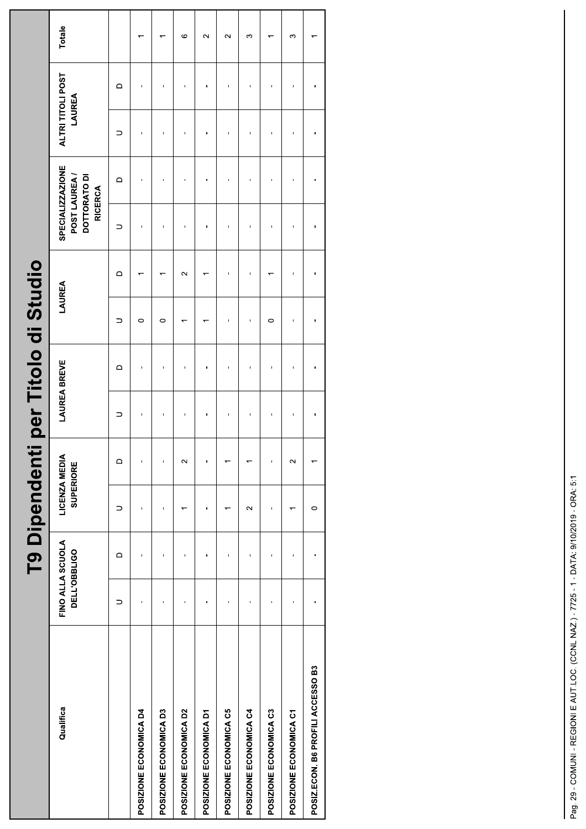|                                   |                                  |          | <b>T9 Dipendenti</b>              |          |   | per Titolo di Studio |         |                   |                                                                           |          |                             |          |         |  |
|-----------------------------------|----------------------------------|----------|-----------------------------------|----------|---|----------------------|---------|-------------------|---------------------------------------------------------------------------|----------|-----------------------------|----------|---------|--|
| Qualifica                         | FINO ALLA SCUOLA<br>DELL'OBBLIGO |          | LICENZA MEDIA<br><b>SUPERIORE</b> |          |   | <b>LAUREA BREVE</b>  | LAUREA  |                   | <b>SPECIALIZZAZIONE</b><br>POST LAUREA/<br>DOTTORATO DI<br><b>RICERCA</b> |          | ALTRI TITOLI POST<br>LAUREA |          | Totale  |  |
|                                   | ⊃                                | $\Omega$ | ⊃                                 | $\Omega$ | ⊃ | $\Omega$             | ⊃       | $\Omega$          |                                                                           | $\Omega$ | ⊃                           | $\Omega$ |         |  |
| POSIZIONE ECONOMICA D4            | Ï                                | ï        | Ï                                 | f,       |   | ï                    | $\circ$ |                   |                                                                           |          |                             |          |         |  |
| POSIZIONE ECONOMICA D3            |                                  |          |                                   | ı        |   |                      | $\circ$ |                   |                                                                           |          |                             |          |         |  |
| POSIZIONE ECONOMICA D2            | ı                                | ı        |                                   | $\sim$   |   |                      |         | $\mathbf{\Omega}$ |                                                                           |          |                             |          | $\circ$ |  |
| POSIZIONE ECONOMICA D1            |                                  | ï        |                                   | f,       |   |                      |         |                   |                                                                           |          |                             |          | $\sim$  |  |
| POSIZIONE ECONOMICA C5            |                                  | ï        |                                   |          |   |                      |         |                   |                                                                           |          |                             |          | $\sim$  |  |
| POSIZIONE ECONOMICA C4            | ı                                | ı        | $\sim$                            |          |   |                      |         |                   |                                                                           |          |                             |          | ω       |  |
| POSIZIONE ECONOMICA C3            |                                  | ï        |                                   | f,       |   | ï                    | $\circ$ |                   |                                                                           |          |                             |          |         |  |
| POSIZIONE ECONOMICA C1            |                                  | ï        |                                   | $\sim$   |   |                      |         |                   |                                                                           |          |                             |          | S       |  |
| POSIZ.ECON. B6 PROFILI ACCESSO B3 |                                  | ı        | $\circ$                           |          | ı | ı                    |         |                   |                                                                           |          |                             |          |         |  |
|                                   |                                  |          |                                   |          |   |                      |         |                   |                                                                           |          |                             |          |         |  |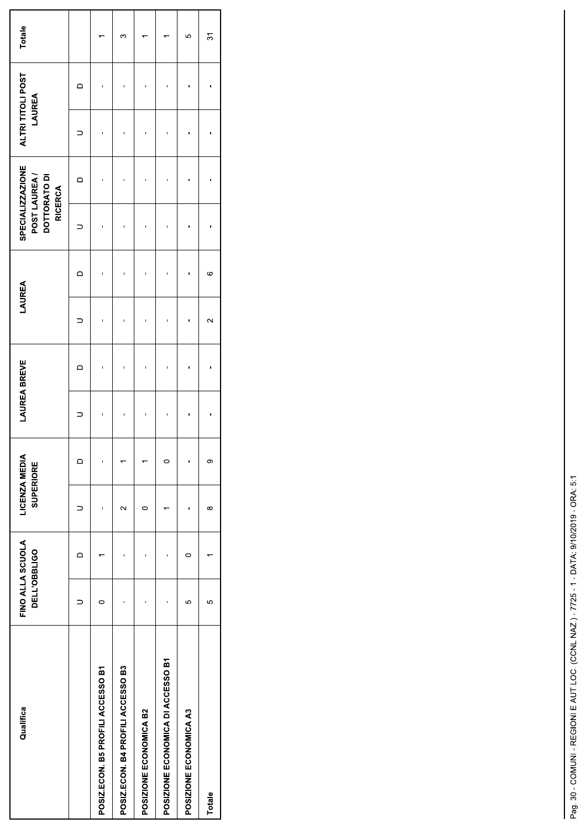| Qualifica                         | FINO ALLA SCUOLA<br><b>DELL'OBBLIGO</b> |   | LICENZA MEDIA<br><b>SUPERIORE</b> |   | <b>LAUREA BREVE</b> |   | LAUREA            |   | SPECIALIZZAZIONE<br>POST LAUREA/<br>DOTTORATO DI<br><b>RICERCA</b> |   | ALTRI TITOLI POST<br>LAUREA |   | Totale |
|-----------------------------------|-----------------------------------------|---|-----------------------------------|---|---------------------|---|-------------------|---|--------------------------------------------------------------------|---|-----------------------------|---|--------|
|                                   |                                         | ≏ |                                   | ≏ |                     | ≏ |                   | ⊂ |                                                                    | ≏ |                             | ≏ |        |
| POSIZ.ECON. B5 PROFILI ACCESSO B1 |                                         |   |                                   | ı |                     |   |                   |   |                                                                    |   |                             |   |        |
| POSIZ.ECON. B4 PROFILI ACCESSO B3 |                                         |   | $\sim$                            |   | ī                   |   |                   |   |                                                                    |   |                             |   | ∽      |
| POSIZIONE ECONOMICA B2            |                                         |   | 0                                 |   |                     |   |                   |   |                                                                    |   |                             |   |        |
| POSIZIONE ECONOMICA DI ACCESSO B1 |                                         |   |                                   | c |                     |   |                   |   |                                                                    |   |                             |   |        |
| POSIZIONE ECONOMICA A3            | 5                                       | 0 |                                   | ï |                     |   |                   |   |                                                                    |   |                             |   | 5      |
| Totale                            | မာ                                      |   | $\infty$                          | σ |                     |   | $\mathbf{\Omega}$ | ဖ |                                                                    |   |                             |   | స్     |
|                                   |                                         |   |                                   |   |                     |   |                   |   |                                                                    |   |                             |   |        |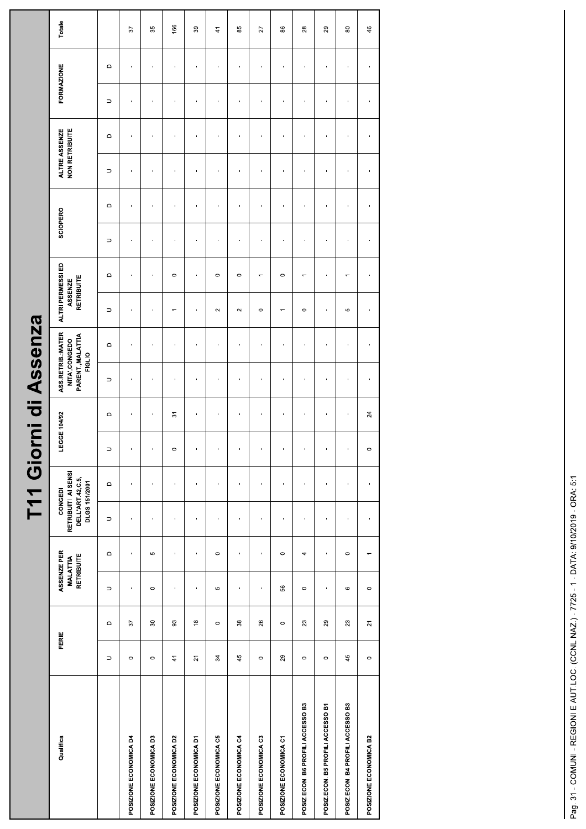| r<br>F                  |
|-------------------------|
|                         |
| ASSEPT                  |
| $\overline{\mathbf{o}}$ |
| E                       |
|                         |
|                         |
|                         |

|                                   |                         |                            |                                              |                | T11 Giorni d                                                        |                | $\overline{\phantom{a}}$ | Assenza                                                            |                        |                                            |                          |                                  |                |                                        |                |                   |                |
|-----------------------------------|-------------------------|----------------------------|----------------------------------------------|----------------|---------------------------------------------------------------------|----------------|--------------------------|--------------------------------------------------------------------|------------------------|--------------------------------------------|--------------------------|----------------------------------|----------------|----------------------------------------|----------------|-------------------|----------------|
| Qualifica                         | FERIE                   |                            | ASSENZE PER<br>RETRIBUITE<br><b>MALATTIA</b> |                | RETRIBUITI AI SENSI<br>DELL'ART.42,C.5,<br>DLGS 151/2001<br>CONGEDI |                | LEGGE 104/92             | ASS.RETRIB.:MATER<br>PARENT., MALATTIA<br>NITA', CONGEDO<br>FIGLIO |                        | ALTRI PERMESSI ED<br>RETRIBUITE<br>ASSENZE |                          | SCIOPERO                         |                | <b>NON RETRIBUITE</b><br>ALTRE ASSENZE |                | <b>FORMAZIONE</b> | Totale         |
|                                   | $\supset$               | $\hfill \Box$              | $\hfill \Box$<br>$\supset$                   | $\supset$      | $\hfill \Box$                                                       | $\supset$      | $\mathrel{\mathsf{d}}$   | $\supset$                                                          | $\mathrel{\mathsf{d}}$ | $\supset$                                  | $\Box$                   | $\mathsf \Omega$<br>$\supset$    | $\supset$      | $\hfill \Box$                          | $\supset$      | $\mathsf \Omega$  |                |
| POSIZIONE ECONOMICA D4            | $\circ$                 | $\sqrt{6}$                 | $\mathbf{r}$<br>$\mathbf{r}$                 | ×              | $\mathbf{I}$                                                        | $\,$           |                          | $\mathbf{u}$                                                       | $\,$                   | $\mathbf{r}$                               | $\mathbf{I}$             | $\mathbf{r}$<br>$\mathbf{I}$     | $\mathbf{r}$   | $\mathbf{u}$                           | $\mathbf{u}$   | $\mathbf{r}$      | 57             |
| POSIZIONE ECONOMICA D3            | $\circ$                 | $\rm ^{30}$                | Ю<br>$\circ$                                 | $\mathbf{I}$   | $\mathbf{I}$                                                        | $\mathbf{I}$   | $\mathbf{L}$             | $\mathbf{L}$                                                       | $\mathbf{I}$           | $\mathbf{u}$                               | $\mathbf{L}$             | $\mathbf{L}$<br>$\mathbf{u}$     | $\mathbf{L}$   | $\mathbf{L}$                           | $\mathbf{I}$   | $\mathbf{L}$      | 35             |
| POSIZIONE ECONOMICA D2            | $\frac{4}{3}$           | $\mathbb{S}$               | $\mathbf{r}$<br>$\mathbf{L}$                 | $\blacksquare$ | $\blacksquare$                                                      | $\circ$        | $\overline{\mathcal{E}}$ | $\mathbf{r}$                                                       | $\mathbf{r}$           | $\overline{\phantom{a}}$                   | $\circ$                  | $\blacksquare$<br>$\mathbf{L}$   | $\blacksquare$ | $\blacksquare$                         | $\mathbf{r}$   | $\blacksquare$    | 166            |
| POSIZIONE ECONOMICA D1            | $\overline{\mathsf{S}}$ | $\overset{\circ}{=}$       | $\blacksquare$<br>$\mathbf{r}$               | $\mathbf{r}$   | $\mathbf{u}$                                                        | $\blacksquare$ | $\mathbf{r}$             | $\mathbf{r}$                                                       | $\mathbf{r}$           | $\blacksquare$                             | $\mathbf{r}$             | $\mathbf{r}$<br>$\mathbf{r}$     | $\mathbf{r}$   | $\mathbf{u}$                           | $\mathbf{r}$   | ×.                | 39             |
| POSIZIONE ECONOMICA C5            | 34                      | $\circ$                    | $\circ$<br>Ю                                 | $\mathbf{I}$   | $\mathbf{I}$                                                        | $\mathbf{I}$   | $\mathbf{r}$             | $\mathbf{1}$                                                       | $\mathbf{I}$           | $\sim$                                     | $\circ$                  | $\mathbf{r}$<br>$\mathbf{1}$     | $\blacksquare$ | $\mathbf{1}$                           | $\mathbf{r}$   | $\mathbf{u}$      | $\frac{4}{3}$  |
| POSIZIONE ECONOMICA C4            | 45                      | 38                         | $\blacksquare$<br>$\blacksquare$             | $\blacksquare$ | $\blacksquare$                                                      | $\blacksquare$ | $\blacksquare$           | $\mathbf{r}$                                                       | $\mathbf{I}$           | $\sim$                                     | $\circ$                  | $\blacksquare$<br>$\mathbf{u}$   | $\blacksquare$ | $\mathbf{r}$                           | $\mathbf{r}$   | $\blacksquare$    | 85             |
| POSIZIONE ECONOMICA C3            | $\circ$                 | $26\,$                     | ٠<br>$\blacksquare$                          | $\blacksquare$ | $\blacksquare$                                                      | $\blacksquare$ | $\mathbf{r}$             | $\mathbf{r}$                                                       | $\mathbf{r}$           | $\circ$                                    | $\overline{\phantom{m}}$ | $\mathbf{r}$<br>$\mathbf{r}$     | $\mathbf{r}$   | $\blacksquare$                         | $\blacksquare$ | $\blacksquare$    | 27             |
| POSIZIONE ECONOMICA C1            | $29\,$                  | $\circ$                    | $\circ$<br>56                                | $\blacksquare$ | $\,$                                                                | $\blacksquare$ | $\blacksquare$           | $\mathbf{I}$                                                       | $\mathbf{I}$           | $\overline{\phantom{m}}$                   | $\circ$                  | $\blacksquare$<br>$\mathbf{I}$   | $\blacksquare$ | $\blacksquare$                         | $\mathbf{I}$   | $\blacksquare$    | 86             |
| POSIZ.ECON. B6 PROFILI ACCESSO B3 | $\circ$                 | $\boldsymbol{\mathcal{Z}}$ | 4<br>$\circ$                                 | $\blacksquare$ | $\blacksquare$                                                      | $\mathbf{r}$   | $\blacksquare$           | $\mathbf{r}$                                                       | $\blacksquare$         | $\circ$                                    | $\overline{\phantom{m}}$ | $\blacksquare$<br>$\blacksquare$ | $\blacksquare$ | $\mathbf{r}$                           | $\mathbf{r}$   | $\blacksquare$    | $_{28}$        |
| POSIZ.ECON. B5 PROFILI ACCESSO B1 | $\circ$                 | $29\,$                     | $\mathbf{r}$<br>$\mathbf{r}$                 | $\mathbf{r}$   | $\mathbf{u}$                                                        | $\mathbf{r}$   | $\blacksquare$           | $\mathbf{L}$                                                       | $\mathbf{r}$           | $\mathbf{r}$                               | $\mathbf{r}$             | $\mathbf{r}$<br>$\mathbf{r}$     | $\mathbf{r}$   | $\mathbf{L}$                           | $\mathbf{r}$   | $\mathbf{r}$      | 29             |
| POSIZ.ECON. B4 PROFILI ACCESSO B3 | 45                      | $23\,$                     | $\circ$<br>$\mathbf \Omega$                  | $\mathbf{I}$   | $\mathbf{L}$                                                        | $\mathbf{I}$   | $\mathbf{u}$             | $\mathbf{L}$                                                       | $\mathbf{L}$           | Ю                                          | $\overline{\phantom{m}}$ | $\mathbf{r}$<br>$\mathbf{L}$     | $\mathbf{L}$   | $\mathbf{I}$                           | $\mathbf{u}$   | $\mathbf{H}$      | $\rm ^{\rm 8}$ |
| POSIZIONE ECONOMICA B2            | $\circ$                 | $\overline{z}$             | $\leftarrow$<br>$\circ$                      | $\blacksquare$ | $\mathbf{r}$                                                        | $\circ$        | $\overline{24}$          | $\mathbf{I}$                                                       | $\mathbf{r}$           | $\blacksquare$                             | $\mathbf{L}$             | $\mathbf{r}$<br>$\mathbf{1}$     | $\mathbf{I}$   | $\mathbf{I}$                           | $\mathbf{r}$   | $\mathbf{r}$      | 46             |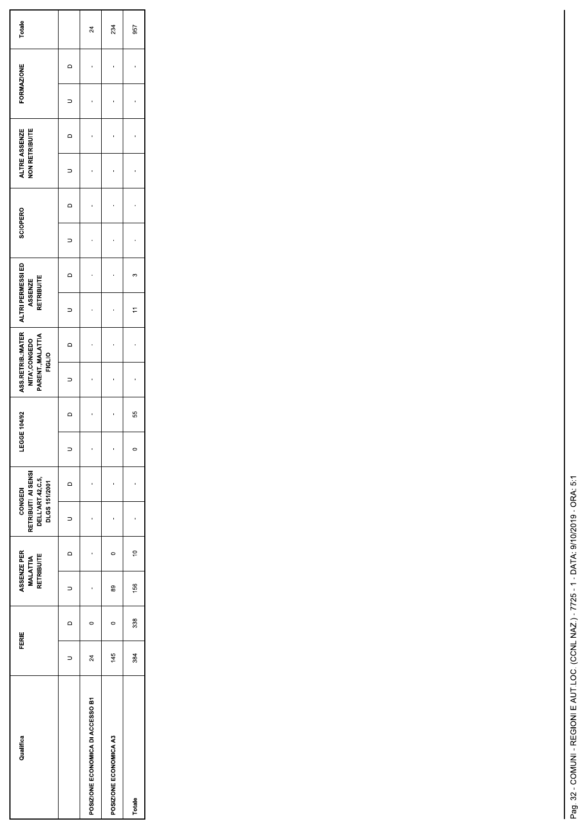| Qualifica                         | <b>FERIE</b>    |                | ASSENZE PER<br><b>MALATTIA</b><br>RETRIBUITE |             | RETRIBUITI AI SENSI<br>DELL'ART.42, C.5,<br>DLGS 151/2001<br>CONGEDI |          | EGGE 104/92 |        | ASS RETRIB MATER<br>PARENT., MALATTIA<br>NITA', CONGEDO<br><b>FIGLIO</b> |                | ALTRI PERMESSI ED<br>RETRIBUITE<br>ASSENZE |         | SCIOPERO |                | <b>NON RETRIBUITE</b><br>ALTRE ASSENZE |        | <b>FORMAZIONE</b> |        | Totale |
|-----------------------------------|-----------------|----------------|----------------------------------------------|-------------|----------------------------------------------------------------------|----------|-------------|--------|--------------------------------------------------------------------------|----------------|--------------------------------------------|---------|----------|----------------|----------------------------------------|--------|-------------------|--------|--------|
|                                   |                 | $\circ$        |                                              | $\circ$     |                                                                      | $\Omega$ |             | $\Box$ | $\Rightarrow$                                                            | $\overline{a}$ | $\supset$                                  | $\circ$ |          | $\overline{a}$ |                                        | $\Box$ |                   | $\Box$ |        |
| POSIZIONE ECONOMICA DI ACCESSO B1 | $\overline{24}$ | $\overline{a}$ |                                              |             |                                                                      |          |             |        |                                                                          |                |                                            |         |          |                |                                        |        |                   |        | 24     |
| POSIZIONE ECONOMICA A3            | 145             | $\circ$        | 89                                           |             |                                                                      |          |             |        |                                                                          |                |                                            |         |          |                |                                        |        |                   |        | 234    |
| Totale                            | 384             | 338            | 156                                          | $\tilde{=}$ |                                                                      |          | $\circ$     | 55     |                                                                          |                |                                            | ω       |          |                |                                        |        |                   |        | 957    |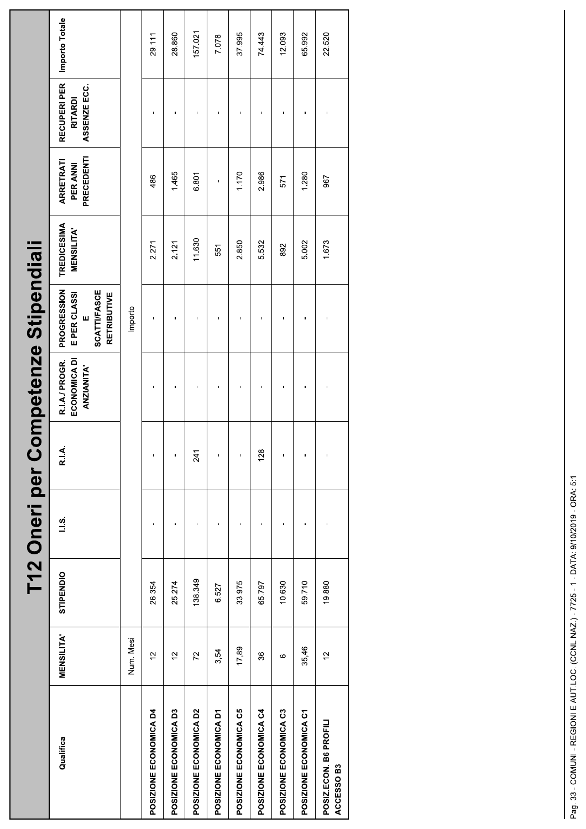|                                      |                  |           |               |       | [12 Oneri per Competenze Stipendiali                |                                                                               |                                        |                                     |                                               |                |
|--------------------------------------|------------------|-----------|---------------|-------|-----------------------------------------------------|-------------------------------------------------------------------------------|----------------------------------------|-------------------------------------|-----------------------------------------------|----------------|
| Qualifica                            | <b>MENSILITA</b> | STIPENDIO | $\frac{3}{1}$ | R.I.A | R.I.A./ PROGR.<br>ECONOMICA DI<br><b>ANZIANITA'</b> | PROGRESSION<br><b>SCATTI/FASCE</b><br>E PER CLASSI<br><b>RETRIBUTIVE</b><br>ш | <b>TREDICESIMA</b><br><b>MENSILITA</b> | PRECEDENTI<br>ARRETRATI<br>PER ANNI | RECUPERI PER<br>ASSENZE ECC<br><b>RITARDI</b> | Importo Totale |
|                                      | Num. Mesi        |           |               |       |                                                     | Importo                                                                       |                                        |                                     |                                               |                |
| POSIZIONE ECONOMICA D4               | $\frac{1}{2}$    | 26.354    | п             |       |                                                     |                                                                               | 2.271                                  | 486                                 |                                               | 29.111         |
| POSIZIONE ECONOMICA D3               | $\frac{1}{2}$    | 25.274    |               |       |                                                     |                                                                               | 2.121                                  | 1465                                |                                               | 28.860         |
| POSIZIONE ECONOMICA D2               | 72               | 138.349   |               | 241   |                                                     |                                                                               | 11.630                                 | 6.801                               |                                               | 157.021        |
| POSIZIONE ECONOMICA D1               | 3,54             | 6.527     |               |       |                                                     |                                                                               | 551                                    |                                     |                                               | 7.078          |
| POSIZIONE ECONOMICA C5               | 17,89            | 33.975    | f,            |       |                                                     |                                                                               | 2.850                                  | 1170                                |                                               | 37.995         |
| POSIZIONE ECONOMICA C4               | 36               | 65.797    |               | 128   |                                                     |                                                                               | 5.532                                  | 2.986                               |                                               | 74.443         |
| POSIZIONE ECONOMICA C3               | ဖ                | 10.630    | f,            |       |                                                     |                                                                               | 892                                    | 571                                 |                                               | 12.093         |
| POSIZIONE ECONOMICA C1               | 35,46            | 59.710    |               |       |                                                     |                                                                               | 5.002                                  | 1.280                               |                                               | 65.992         |
| POSIZ.ECON. B6 PROFILI<br>ACCESSO B3 | $\frac{1}{2}$    | 19.880    |               |       |                                                     |                                                                               | 1.673                                  | 967                                 |                                               | 22.520         |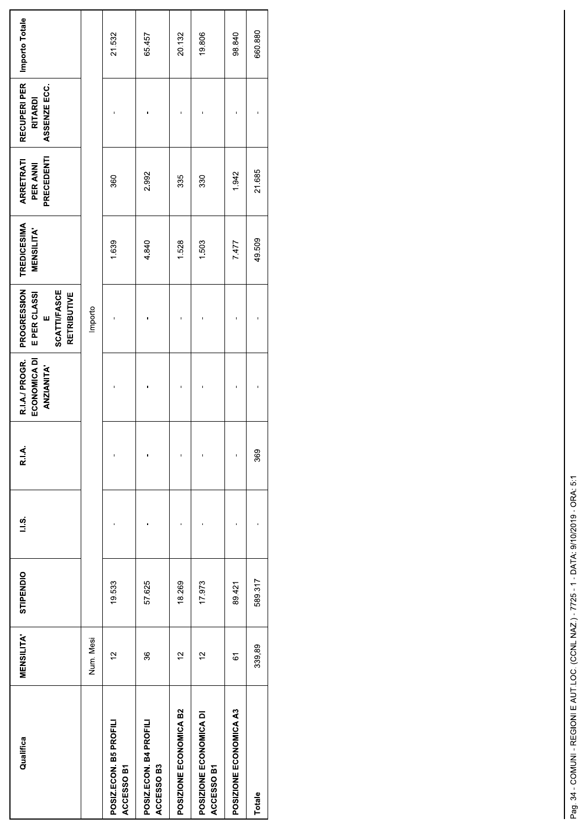| Qualifica                            | <b>MENSILITA</b> | STIPENDIO | $\frac{3}{1}$ | R.I.A. | R.I.A./ PROGR.<br>ECONOMICA DI<br><b>ANZIANITA'</b> | PROGRESSION<br><b>SCATTI/FASCE</b><br>E PER CLASSI<br><b>RETRIBUTIVE</b><br>w | <b>TREDICESIMA</b><br><b>MENSILITA</b> | PRECEDENTI<br><b>ARRETRATI</b><br>PER ANNI | RECUPERI PER<br>ASSENZE ECC.<br><b>RITARDI</b> | Importo Totale |
|--------------------------------------|------------------|-----------|---------------|--------|-----------------------------------------------------|-------------------------------------------------------------------------------|----------------------------------------|--------------------------------------------|------------------------------------------------|----------------|
|                                      | Num. Mesi        |           |               |        |                                                     | Importo                                                                       |                                        |                                            |                                                |                |
| POSIZ.ECON. B5 PROFILI<br>ACCESSO B1 | $\frac{1}{2}$    | 19.533    |               |        |                                                     |                                                                               | 1.639                                  | 360                                        |                                                | 21.532         |
| POSIZ.ECON. B4 PROFILI<br>ACCESSO B3 | 36               | 57.625    |               |        |                                                     |                                                                               | 4.840                                  | 2.992                                      |                                                | 65.457         |
| POSIZIONE ECONOMICA B2               | $\frac{1}{2}$    | 18269     |               |        |                                                     |                                                                               | 1.528                                  | 335                                        |                                                | 20.132         |
| POSIZIONE ECONOMICA DI<br>ACCESSO B1 | $\frac{1}{2}$    | 17.973    |               |        |                                                     |                                                                               | 1.503                                  | 330                                        |                                                | 19.806         |
| POSIZIONE ECONOMICA A3               | 67               | 89.421    |               |        |                                                     |                                                                               | 7.477                                  | 1.942                                      |                                                | 98.840         |
| Totale                               | 339,89           | 589317    |               | 369    |                                                     |                                                                               | 49509                                  | 21 685                                     |                                                | 660.880        |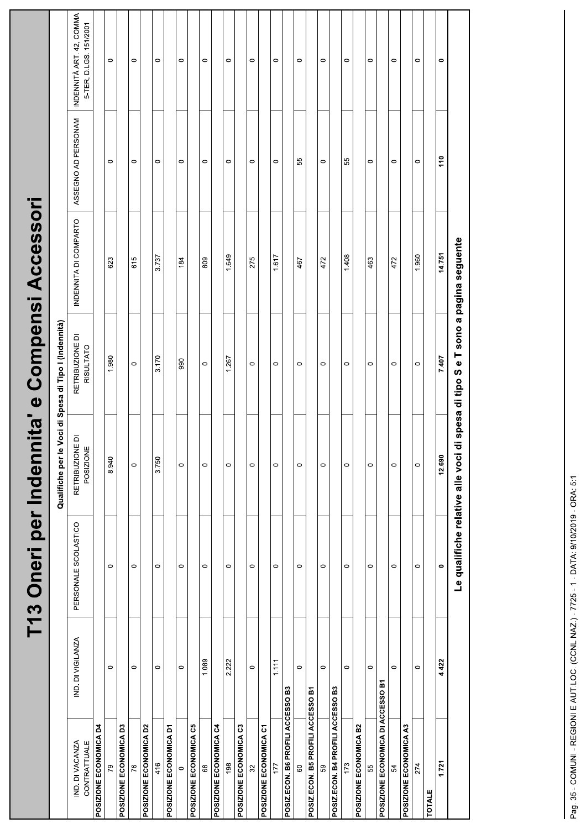|                                   |                   | T13 Oneri per Indenn |                                                                                | Qualifiche per le Voci di Spesa di Tipo I (Indennità) | iita' e Compensi Accessori |                     |                                                    |
|-----------------------------------|-------------------|----------------------|--------------------------------------------------------------------------------|-------------------------------------------------------|----------------------------|---------------------|----------------------------------------------------|
| IND. DI VACANZA<br>CONTRATTUALE   | IND. DI VIGILANZA | PERSONALE SCOLASTICO | $\overline{\Omega}$<br><b>RETRIBUZIONE</b><br>POSIZIONE                        | RETRIBUZIONE DI<br>RISULTATO                          | INDENNITA DI COMPARTO      | ASSEGNO AD PERSONAM | INDENNITÀ ART. 42, COMMA<br>5-TER, D.LGS. 151/2001 |
| POSIZIONE ECONOMICA D4            |                   |                      |                                                                                |                                                       |                            |                     |                                                    |
| 79                                | $\circ$           | $\circ$              | 8.940                                                                          | 1.980                                                 | 623                        | $\circ$             | $\circ$                                            |
| POSIZIONE ECONOMICA D3            |                   |                      |                                                                                |                                                       |                            |                     |                                                    |
| 76                                | $\circ$           | $\circ$              | $\circ$                                                                        | $\circ$                                               | 615                        | $\circ$             | $\circ$                                            |
| POSIZIONE ECONOMICA D2            |                   |                      |                                                                                |                                                       |                            |                     |                                                    |
| 416                               | $\circ$           | $\circ$              | 3.750                                                                          | 3.170                                                 | 3.737                      | $\circ$             | $\circ$                                            |
| POSIZIONE ECONOMICA D1            |                   |                      |                                                                                |                                                       |                            |                     |                                                    |
| 0                                 | $\circ$           | $\circ$              | $\circ$                                                                        | 990                                                   | 184                        | $\circ$             | $\circ$                                            |
| POSIZIONE ECONOMICA C5            |                   |                      |                                                                                |                                                       |                            |                     |                                                    |
| 89                                | 1.089             | $\circ$              | $\circ$                                                                        | $\circ$                                               | 809                        | $\circ$             | $\circ$                                            |
| POSIZIONE ECONOMICA C4            |                   |                      |                                                                                |                                                       |                            |                     |                                                    |
| 198                               | 2.222             | $\circ$              | $\circ$                                                                        | 1.267                                                 | 1.649                      | $\circ$             | $\circ$                                            |
| POSIZIONE ECONOMICA C3            |                   |                      |                                                                                |                                                       |                            |                     |                                                    |
| $\mathfrak{L}$                    | $\circ$           | $\circ$              | $\circ$                                                                        | $\circ$                                               | 275                        | $\circ$             | $\circ$                                            |
| POSIZIONE ECONOMICA C1            |                   |                      |                                                                                |                                                       |                            |                     |                                                    |
| 177                               | 1.111             | $\circ$              | $\circ$                                                                        | $\circ$                                               | 1.617                      | $\circ$             | $\circ$                                            |
| POSIZ.ECON. B6 PROFILI ACCESSO B3 |                   |                      |                                                                                |                                                       |                            |                     |                                                    |
| $\rm ^{\rm o}$                    | $\circ$           | 0                    | $\circ$                                                                        | $\circ$                                               | 467                        | 55                  | $\circ$                                            |
| POSIZ.ECON. B5 PROFILI ACCESSO B1 |                   |                      |                                                                                |                                                       |                            |                     |                                                    |
| 59                                | $\circ$           | $\circ$              | $\circ$                                                                        | $\circ$                                               | 472                        | $\circ$             | $\circ$                                            |
| POSIZ.ECON. B4 PROFILI ACCESSO B3 |                   |                      |                                                                                |                                                       |                            |                     |                                                    |
| 173                               | $\circ$           | $\circ$              | $\circ$                                                                        | $\circ$                                               | 1.408                      | 55                  | $\circ$                                            |
| POSIZIONE ECONOMICA B2            |                   |                      |                                                                                |                                                       |                            |                     |                                                    |
| 55                                | $\circ$           | $\circ$              | $\circ$                                                                        | $\circ$                                               | 463                        | $\circ$             | $\circ$                                            |
| POSIZIONE ECONOMICA DI ACCESSO B1 |                   |                      |                                                                                |                                                       |                            |                     |                                                    |
| 54                                | $\circ$           | $\circ$              | $\circ$                                                                        | $\circ$                                               | 472                        | $\circ$             | $\circ$                                            |
| POSIZIONE ECONOMICA A3            |                   |                      |                                                                                |                                                       |                            |                     |                                                    |
| 274                               | $\circ$           | $\circ$              | $\circ$                                                                        | $\circ$                                               | 1.960                      | $\circ$             | $\circ$                                            |
| <b>TOTALE</b>                     |                   |                      |                                                                                |                                                       |                            |                     |                                                    |
| 1.721                             | 4.422             | $\bullet$            | 12.690                                                                         | 7.407                                                 | 14.751                     | 110                 | $\bullet$                                          |
|                                   |                   |                      | Le qualifiche relative alle voci di spesa di tipo S e T sono a pagina seguente |                                                       |                            |                     |                                                    |
|                                   |                   |                      |                                                                                |                                                       |                            |                     |                                                    |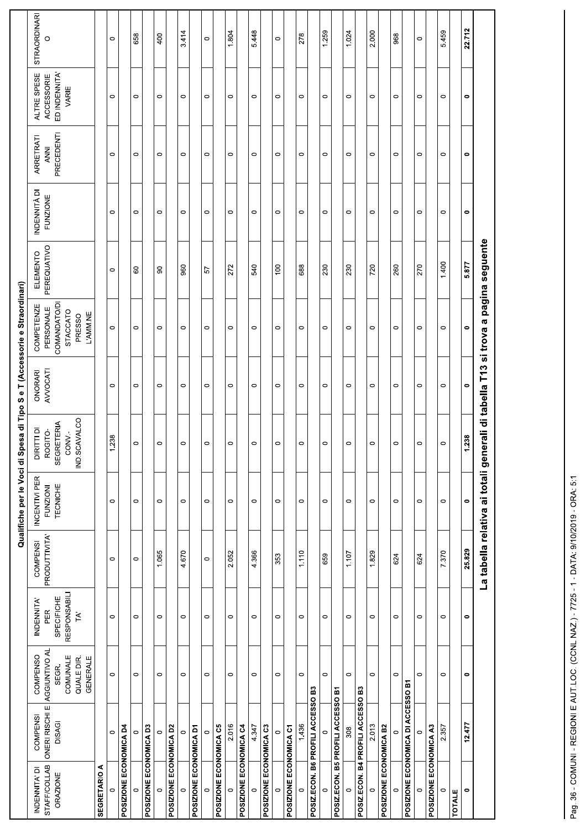|                                                         |                                                                  |                                                                |                                                                                   |                                  |                                              | Qualifiche per le Voci di Spesa di Tipo S e T (Accessorie e Straordinari)        |                     |                                                                                  |                         |                                 |                                       |                                                     |                          |
|---------------------------------------------------------|------------------------------------------------------------------|----------------------------------------------------------------|-----------------------------------------------------------------------------------|----------------------------------|----------------------------------------------|----------------------------------------------------------------------------------|---------------------|----------------------------------------------------------------------------------|-------------------------|---------------------------------|---------------------------------------|-----------------------------------------------------|--------------------------|
| <b>STAFF/COLLAB</b><br>INDENNITA' DI<br><b>ORAZIONE</b> | ONERI RISCHI E AGGIUNTIVO AL<br><b>COMPENSI</b><br><b>DISAGI</b> | COMPENSO<br>COMUNALE<br>QUALE DIR.<br><b>GENERALE</b><br>SEGR. | <b>RESPONSABILI</b><br>SPECIFICHE<br>INDENNITA'<br>PER<br>$\mathsf{T}^\mathsf{A}$ | PRODUTTIVITA'<br><b>COMPENSI</b> | INCENTIVI PER<br>TECNICHE<br><b>FUNZIONI</b> | IND.SCAVALCO<br>SEGRETERIA<br>DIRITTI DI<br>ROGITO-<br>CONV.-                    | AVVOCATI<br>ONORARI | COMANDATO/DI<br>COMPETENZE<br>PERSONALE<br>STACCATO<br>L'AMM.NE<br><b>PRESSO</b> | PEREQUATIVO<br>ELEMENTO | INDENNITÀ DI<br><b>FUNZIONE</b> | PRECEDENT<br>ARRETRATI<br><b>ANNI</b> | ED INDENNITA'<br>ALTRE SPESE<br>ACCESSORIE<br>VARIE | <b>STRAORDINARI</b><br>O |
| <b>SEGRETARIO A</b>                                     |                                                                  |                                                                |                                                                                   |                                  |                                              |                                                                                  |                     |                                                                                  |                         |                                 |                                       |                                                     |                          |
| $\circ$                                                 | $\circ$                                                          | $\circ$                                                        | $\circ$                                                                           | $\circ$                          | $\circ$                                      | 1.238                                                                            | $\circ$             | $\circ$                                                                          | $\circ$                 | $\circ$                         | $\circ$                               | $\circ$                                             | $\circ$                  |
| POSIZIONE ECONOMICA D4                                  |                                                                  |                                                                |                                                                                   |                                  |                                              |                                                                                  |                     |                                                                                  |                         |                                 |                                       |                                                     |                          |
| $\circ$                                                 | $\circ$                                                          | $\circ$                                                        | $\circ$                                                                           | $\circ$                          | $\circ$                                      | $\circ$                                                                          | $\circ$             | $\circ$                                                                          | 60                      | $\circ$                         | $\circ$                               | $\circ$                                             | 658                      |
| POSIZIONE ECONOMICA D3                                  |                                                                  |                                                                |                                                                                   |                                  |                                              |                                                                                  |                     |                                                                                  |                         |                                 |                                       |                                                     |                          |
| $\circ$                                                 | $\circ$                                                          | $\circ$                                                        | $\circ$                                                                           | 1.065                            | $\circ$                                      | $\circ$                                                                          | $\circ$             | $\circ$                                                                          | 8                       | $\circ$                         | $\circ$                               | $\circ$                                             | 400                      |
| POSIZIONE ECONOMICA D2                                  |                                                                  |                                                                |                                                                                   |                                  |                                              |                                                                                  |                     |                                                                                  |                         |                                 |                                       |                                                     |                          |
| $\circ$                                                 | $\circ$                                                          | $\circ$                                                        | $\circ$                                                                           | 4.670                            | $\circ$                                      | $\circ$                                                                          | $\circ$             | $\circ$                                                                          | 960                     | $\circ$                         | $\circ$                               | $\circ$                                             | 3.414                    |
| POSIZIONE ECONOMICA D1                                  |                                                                  |                                                                |                                                                                   |                                  |                                              |                                                                                  |                     |                                                                                  |                         |                                 |                                       |                                                     |                          |
| $\circ$                                                 | $\circ$                                                          | $\circ$                                                        | $\circ$                                                                           | $\circ$                          | $\circ$                                      | $\circ$                                                                          | $\circ$             | $\circ$                                                                          | 57                      | $\circ$                         | $\circ$                               | $\circ$                                             | $\circ$                  |
| POSIZIONE ECONOMICA C5                                  |                                                                  |                                                                |                                                                                   |                                  |                                              |                                                                                  |                     |                                                                                  |                         |                                 |                                       |                                                     |                          |
| $\circ$                                                 | 2.016                                                            | $\circ$                                                        | $\circ$                                                                           | 2.052                            | $\circ$                                      | $\circ$                                                                          | $\circ$             | $\circ$                                                                          | 272                     | $\circ$                         | $\circ$                               | $\circ$                                             | 1.804                    |
| POSIZIONE ECONOMICA C4                                  |                                                                  |                                                                |                                                                                   |                                  |                                              |                                                                                  |                     |                                                                                  |                         |                                 |                                       |                                                     |                          |
| $\circ$                                                 | 4.347                                                            | $\circ$                                                        | $\circ$                                                                           | 4.366                            | $\circ$                                      | $\circ$                                                                          | $\circ$             | $\circ$                                                                          | 540                     | $\circ$                         | $\circ$                               | $\circ$                                             | 5.448                    |
| POSIZIONE ECONOMICA C3                                  |                                                                  |                                                                |                                                                                   |                                  |                                              |                                                                                  |                     |                                                                                  |                         |                                 |                                       |                                                     |                          |
| $\circ$                                                 | $\circ$                                                          | $\circ$                                                        | $\circ$                                                                           | 353                              | $\circ$                                      | $\circ$                                                                          | $\circ$             | $\circ$                                                                          | 100                     | $\circ$                         | $\circ$                               | 0                                                   | $\circ$                  |
| POSIZIONE ECONOMICA C1                                  |                                                                  |                                                                |                                                                                   |                                  |                                              |                                                                                  |                     |                                                                                  |                         |                                 |                                       |                                                     |                          |
| $\circ$                                                 | 1.436                                                            | $\circ$                                                        | $\circ$                                                                           | 1.110                            | $\circ$                                      | $\circ$                                                                          | $\circ$             | $\circ$                                                                          | 688                     | $\circ$                         | $\circ$                               | $\circ$                                             | 278                      |
|                                                         | POSIZ.ECON. B6 PROFILI ACCESSO B3                                |                                                                |                                                                                   |                                  |                                              |                                                                                  |                     |                                                                                  |                         |                                 |                                       |                                                     |                          |
| $\circ$                                                 | $\circ$                                                          | $\circ$                                                        | $\circ$                                                                           | 659                              | $\circ$                                      | $\circ$                                                                          | $\circ$             | $\circ$                                                                          | 230                     | $\circ$                         | $\circ$                               | $\circ$                                             | 1.259                    |
|                                                         | POSIZ.ECON. B5 PROFILI ACCESSO B1                                |                                                                |                                                                                   |                                  |                                              |                                                                                  |                     |                                                                                  |                         |                                 |                                       |                                                     |                          |
| $\circ$                                                 | 308                                                              | $\circ$                                                        | $\circ$                                                                           | 1.107                            | $\circ$                                      | $\circ$                                                                          | $\circ$             | $\circ$                                                                          | 230                     | $\circ$                         | $\circ$                               | $\circ$                                             | 1.024                    |
|                                                         | POSIZ.ECON. B4 PROFILI ACCESSO B3                                |                                                                |                                                                                   |                                  |                                              |                                                                                  |                     |                                                                                  |                         |                                 |                                       |                                                     |                          |
| $\circ$                                                 | 2.013                                                            | $\circ$                                                        | $\circ$                                                                           | 1.829                            | $\circ$                                      | $\circ$                                                                          | 0                   | $\circ$                                                                          | 720                     | $\circ$                         | 0                                     | 0                                                   | 2.000                    |
| POSIZIONE ECONOMICA B2                                  |                                                                  |                                                                |                                                                                   |                                  |                                              |                                                                                  |                     |                                                                                  |                         |                                 |                                       |                                                     |                          |
| $\circ$                                                 | $\circ$                                                          | $\circ$                                                        | $\circ$                                                                           | 624                              | $\circ$                                      | $\circ$                                                                          | $\circ$             | $\circ$                                                                          | 260                     | $\circ$                         | $\circ$                               | $\circ$                                             | 968                      |
|                                                         | POSIZIONE ECONOMICA DI ACCESSO B1                                |                                                                |                                                                                   |                                  |                                              |                                                                                  |                     |                                                                                  |                         |                                 |                                       |                                                     |                          |
| $\circ$                                                 | $\circ$                                                          | $\circ$                                                        | $\circ$                                                                           | 624                              | $\circ$                                      | $\circ$                                                                          | $\circ$             | $\circ$                                                                          | 270                     | $\circ$                         | 0                                     | 0                                                   | $\circ$                  |
| POSIZIONE ECONOMICA A3                                  |                                                                  |                                                                |                                                                                   |                                  |                                              |                                                                                  |                     |                                                                                  |                         |                                 |                                       |                                                     |                          |
| $\circ$                                                 | 2.357                                                            | $\circ$                                                        | $\circ$                                                                           | 7.370                            | $\circ$                                      | $\circ$                                                                          | $\circ$             | $\circ$                                                                          | 1.400                   | $\circ$                         | $\circ$                               | $\circ$                                             | 5.459                    |
| <b>TOTALE</b>                                           |                                                                  |                                                                |                                                                                   |                                  |                                              |                                                                                  |                     |                                                                                  |                         |                                 |                                       |                                                     |                          |
| $\bullet$                                               | 12.477                                                           | $\bullet$                                                      | $\bullet$                                                                         | 25.829                           | $\bullet$                                    | 1.238                                                                            | $\bullet$           | $\bullet$                                                                        | 5.877                   | $\bullet$                       | $\bullet$                             | $\bullet$                                           | 22.712                   |
|                                                         |                                                                  |                                                                |                                                                                   |                                  |                                              | La tabella relativa ai totali generali di tabella T13 si trova a pagina seguente |                     |                                                                                  |                         |                                 |                                       |                                                     |                          |
|                                                         |                                                                  |                                                                |                                                                                   |                                  |                                              |                                                                                  |                     |                                                                                  |                         |                                 |                                       |                                                     |                          |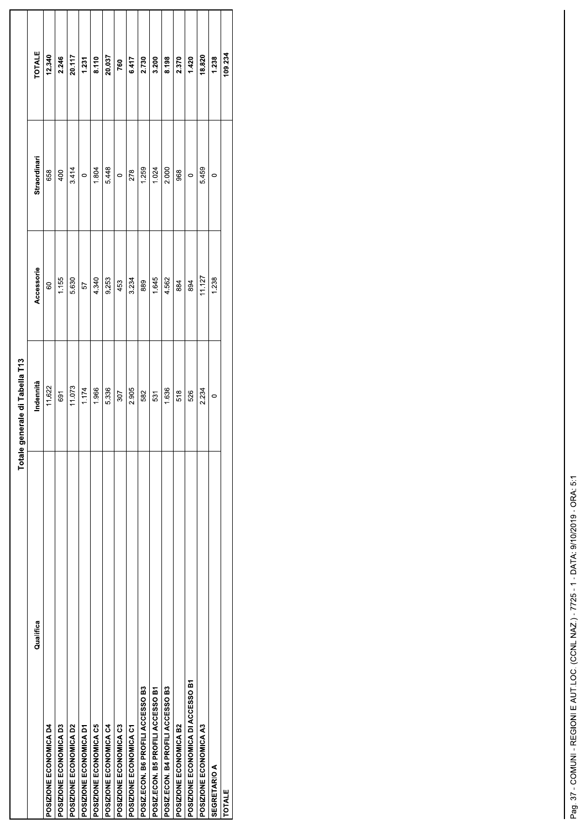|                                   | Totale generale di Tabella T13 |            |              |               |
|-----------------------------------|--------------------------------|------------|--------------|---------------|
| Qualifica                         | Indennità                      | Accessorie | Straordinari | <b>TOTALE</b> |
| POSIZIONE ECONOMICA D4            | 11.622                         | 60         | 658          | 12.340        |
| POSIZIONE ECONOMICA D3            | 691                            | 1.155      | 400          | 2.246         |
| POSIZIONE ECONOMICA D2            | 11.073                         | 5.630      | 3.414        | 20.117        |
| POSIZIONE ECONOMICA D1            | 1.174                          | 57         | $\circ$      | 1.231         |
| POSIZIONE ECONOMICA C5            | 1.966                          | 4.340      | 1.804        | 8.110         |
| POSIZIONE ECONOMICA C4            | 5.336                          | 9.253      | 5.448        | 20.037        |
| POSIZIONE ECONOMICA C3            | 307                            | 453        | $\circ$      | 760           |
| POSIZIONE ECONOMICA C1            | 2.905                          | 3.234      | 278          | 6.417         |
| POSIZ.ECON. B6 PROFILI ACCESSO B3 | 582                            | 889        | 1.259        | 2.730         |
| POSIZ.ECON. B5 PROFILI ACCESSO B1 | 531                            | 1.645      | 1.024        | 3.200         |
| POSIZ.ECON. B4 PROFILI ACCESSO B3 | 1.636                          | 4.562      | 2.000        | 8.198         |
| POSIZIONE ECONOMICA B2            | 518                            | 884        | 968          | 2.370         |
| POSIZIONE ECONOMICA DI ACCESSO B1 | 526                            | 894        | $\circ$      | 1.420         |
| POSIZIONE ECONOMICA A3            | 2.234                          | 11.127     | 5.459        | 18.820        |
| <b>SEGRETARIO A</b>               | $\circ$                        | 1.238      | $\circ$      | 1.238         |
| <b>TOTALE</b>                     |                                |            |              | 109.234       |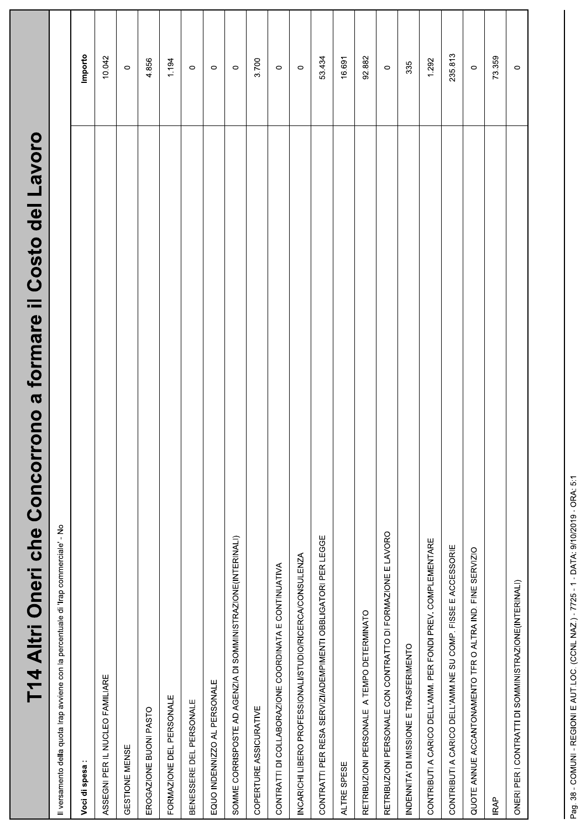| rono a formare il Costo del Lavoro<br>T14 Altri Oneri che Concor                     |         |
|--------------------------------------------------------------------------------------|---------|
| Il versamento della quota Irap avviene con la percentuale di 'Irap commerciale' - No |         |
| Voci di spesa:                                                                       | Importo |
| ASSEGNI PER IL NUCLEO FAMILIARE                                                      | 10.042  |
| GESTIONE MENSE                                                                       | $\circ$ |
| EROGAZIONE BUONI PASTO                                                               | 4.856   |
| FORMAZIONE DEL PERSONALE                                                             | 1.194   |
| BENESSERE DEL PERSONALE                                                              | $\circ$ |
| EQUO INDENNIZZO AL PERSONALE                                                         | $\circ$ |
| SOMME CORRISPOSTE AD AGENZIA DI SOMMINISTRAZIONE(INTERINALI)                         | $\circ$ |
| COPERTURE ASSICURATIVE                                                               | 3700    |
| CONTRATTI DI COLLABORAZIONE COORDINATA E CONTINUATIVA                                | $\circ$ |
| INCARICHI LIBERO PROFESSIONALI/STUDIO/RICERCA/CONSULENZA                             | $\circ$ |
| CONTRATTI PER RESA SERVIZI/ADEMPIMENTI OBBLIGATORI PER LEGGE                         | 53434   |
| ALTRE SPESE                                                                          | 16.691  |
| RETRIBUZIONI PERSONALE A TEMPO DETERMINATO                                           | 92.882  |
| RETRIBUZIONI PERSONALE CON CONTRATTO DI FORMAZIONE E LAVORO                          | $\circ$ |
| INDENNITA' DI MISSIONE E TRASFERIMENTO                                               | 335     |
| CONTRIBUTI A CARICO DELL'AMM. PER FONDI PREV. COMPLEMENTARE                          | 1.292   |
| CONTRIBUTI A CARICO DELL'AMM.NE SU COMP. FISSE E ACCESSORIE                          | 235.813 |
| QUOTE ANNUE ACCANTONAMENTO TFR O ALTRA IND. FINE SERVIZIO                            | $\circ$ |
| <b>IRAP</b>                                                                          | 73.359  |
| ONERI PER I CONTRATTI DI SOMMINISTRAZIONE(INTERINALI)                                | $\circ$ |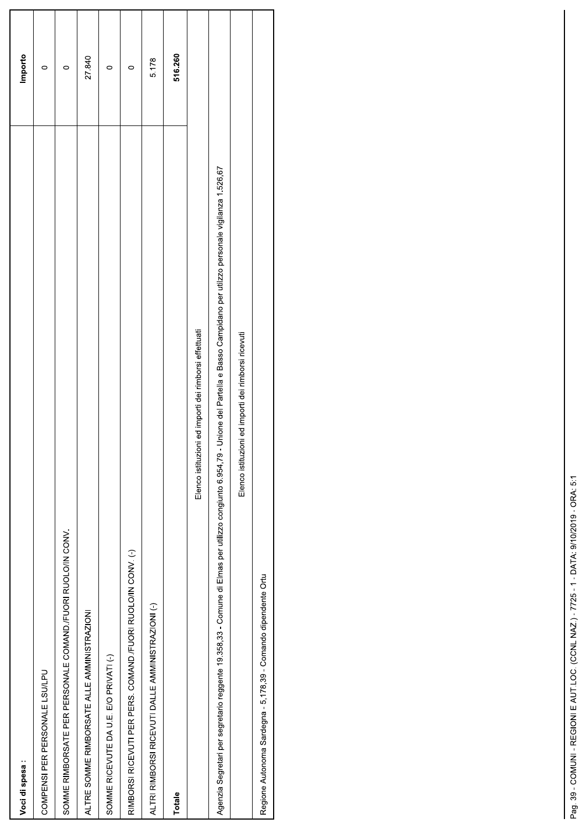| Voci di spesa:                                                                                                                                                                              | Importo |
|---------------------------------------------------------------------------------------------------------------------------------------------------------------------------------------------|---------|
| COMPENSI PER PERSONALE LSU/LPU                                                                                                                                                              | $\circ$ |
| SOMME RIMBORSATE PER PERSONALE COMAND./FUORI RUOLO/IN CONV.                                                                                                                                 | $\circ$ |
| ALTRE SOMME RIMBORSATE ALLE AMMINISTRAZIONI                                                                                                                                                 | 27.840  |
| SOMME RICEVUTE DA U E. E/O PRIVATI (-)                                                                                                                                                      | $\circ$ |
| RIMBORSI RICEVUTI PER PERS. COMAND./FUORI RUOLO/IN CONV. (-)                                                                                                                                | 0       |
| ALTRI RIMBORSI RICEVUTI DALLE AMMINISTRAZIONI (-)                                                                                                                                           | 5.178   |
| Totale                                                                                                                                                                                      | 516.260 |
| Elenco istituzioni ed importi dei rimborsi effettuati                                                                                                                                       |         |
| - Unione del Partella e Basso Campidano per utilzzo personale vigilanza 1.526,67<br>Agenzia Segretari per segretario reggente 19.358,33 - Comune di Elmas per utilizzo congiunto 6.954,79 - |         |
| Elenco istituzioni ed importi dei rimborsi ricevuti                                                                                                                                         |         |
| Regione Autonoma Sardegna - 5,178,39 - Comando dipendente Ortu                                                                                                                              |         |
|                                                                                                                                                                                             |         |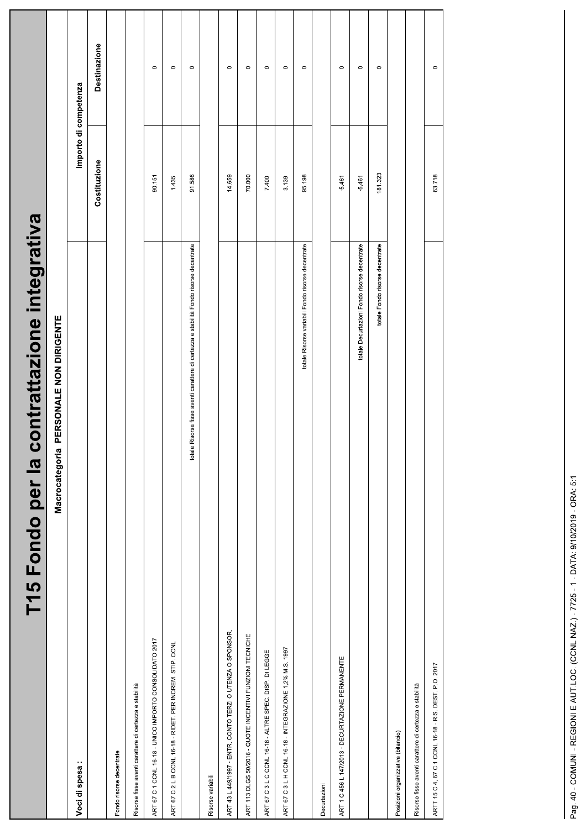| contrattazione integrativa<br>T15 Fondo per la                                         |              |                       |
|----------------------------------------------------------------------------------------|--------------|-----------------------|
| PERSONALE NON DIRIGENTE<br>Macrocategoria                                              |              |                       |
| Voci di spesa:                                                                         |              | Importo di competenza |
|                                                                                        | Costituzione | <b>Destinazione</b>   |
| Fondo risorse decentrate                                                               |              |                       |
| Risorse fisse aventi carattere di certezza e stabilità                                 |              |                       |
| ART 67 C 1 CCNL 16-18 - UNICO IMPORTO CONSOLIDATO 2017                                 | 90.151       | $\circ$               |
| ART 67 C 2 L B CCNL 16-18 - RIDET. PER INCREM. STIP. CCNL                              | 1.435        | $\circ$               |
| totale Risorse fisse aventi carattere di certezza e stabilità Fondo risorse decentrate | 91.586       | $\circ$               |
| Risorse variabili                                                                      |              |                       |
| ART 43 L 449/1997 - ENTR. CONTO TERZI O UTENZA O SPONSOR.                              | 14.659       | $\circ$               |
| ART 113 DLGS 50/2016 - QUOTE INCENTIVI FUNZIONI TECNICHE                               | 70.000       | $\circ$               |
| ART 67 C 3 L C CCNL 16-18 - ALTRE SPEC. DISP. DI LEGGE                                 | 7.400        | $\circ$               |
| ART 67 C 3 L H CCNL 16-18 - INTEGRAZIONE 1,2% M.S. 1997                                | 3.139        | $\circ$               |
| totale Risorse variabili Fondo risorse decentrate                                      | 95.198       | $\circ$               |
| Decurtazioni                                                                           |              |                       |
| ART 1 C 456 L 147/2013 - DECURTAZIONE PERMANENTE                                       | $-5.461$     | $\circ$               |
| totale Decurtazioni Fondo risorse decentrate                                           | $-5.461$     | $\circ$               |
| totale Fondo risorse decentrate                                                        | 181.323      | $\circ$               |
| Posizioni organizzative (bilancio)                                                     |              |                       |
| Risorse fisse aventi carattere di certezza e stabilità                                 |              |                       |
| ARTT 15 C 4, 67 C 1 CCNL 16-18 - RIS. DEST. P.O. 2017                                  | 63.718       | $\circ$               |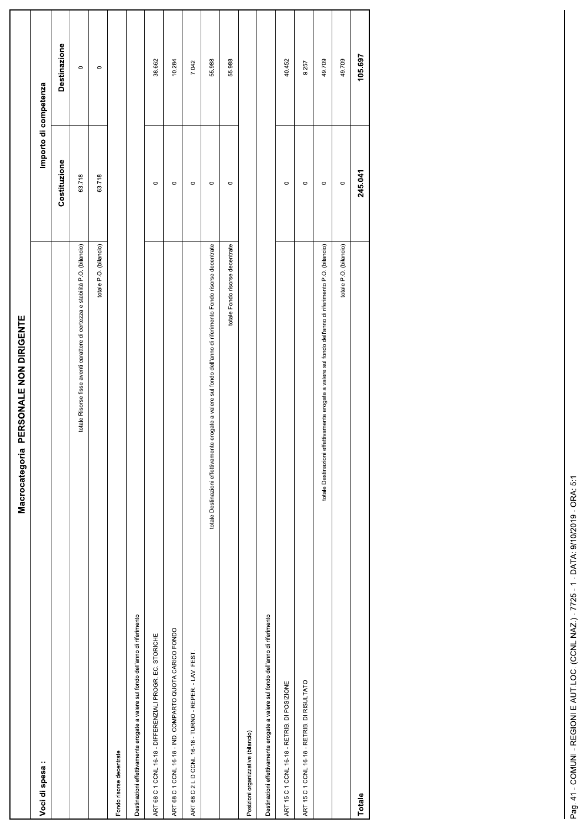| Macrocategoria PERSONALE NON DIRIGENTE                                                                          |                       |              |
|-----------------------------------------------------------------------------------------------------------------|-----------------------|--------------|
| Voci di spesa:                                                                                                  | Importo di competenza |              |
|                                                                                                                 | Costituzione          | Destinazione |
| totale Risorse fisse aventi carattere di certezza e stabilità P.O. (bilancio)                                   | 63.718                | $\circ$      |
| totale P.O. (bilancio)                                                                                          | 63.718                | $\circ$      |
| Fondo risorse decentrate                                                                                        |                       |              |
| Destinazioni effettivamente erogate a valere sul fondo dell'anno di riferimento                                 |                       |              |
| ART 68 C 1 CCNL 16-18 - DIFFERENZIALI PROGR. EC. STORICHE                                                       | $\circ$               | 38.662       |
| ART 68 C 1 CCNL 16-18 - IND. COMPARTO QUOTA CARICO FONDO                                                        | $\circ$               | 10.284       |
| ART 68 C 2 L D CCNL 16-18 - TURNO - REPER. - LAV. FEST.                                                         | $\circ$               | 7.042        |
| totale Destinazioni effettivamente erogate a valere sul fondo dell'anno di riferimento Fondo risorse decentrate | $\circ$               | 55.988       |
| totale Fondo risorse decentrate                                                                                 | $\circ$               | 55.988       |
| Posizioni organizzative (bilancio)                                                                              |                       |              |
| Destinazioni effettivamente erogate a valere sul fondo dell'anno di riferimento                                 |                       |              |
| ART 15 C 1 CCNL 16-18 - RETRIB. DI POSIZIONE                                                                    | $\circ$               | 40.452       |
| ART 15 C 1 CCNL 16-18 - RETRIB. DI RISULTATO                                                                    | $\circ$               | 9.257        |
| erogate a valere sul fondo dell'anno di riferimento P.O. (bilancio)<br>totale Destinazioni effettivamente       | $\circ$               | 49.709       |
| totale P.O. (bilancio)                                                                                          | $\circ$               | 49.709       |
| Totale                                                                                                          | 245.041               | 105.697      |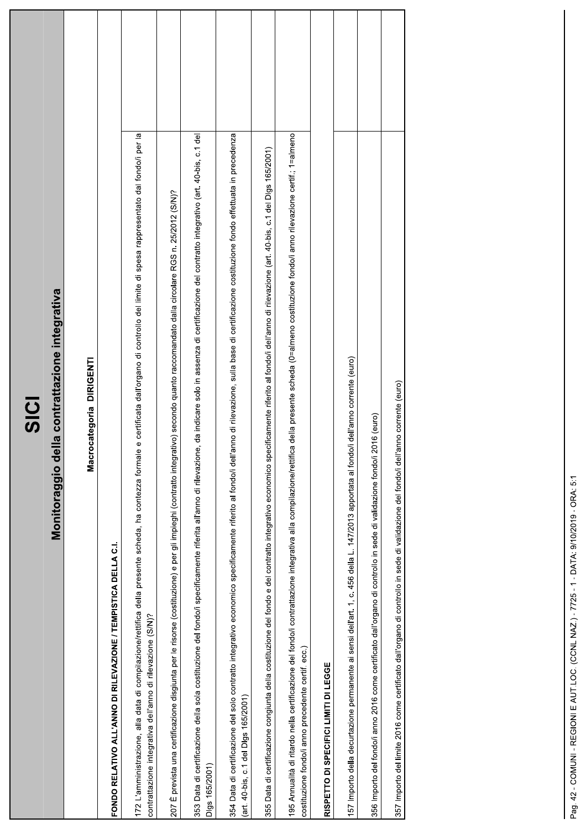| e certificata dall'organo di controllo del limite di spesa rappresentato dal fondo/i per la<br>195 Annualità di ritardo nella certificazione del fondo/i contrattazione integrativa alla compilazione/rettifica della presente scheda (0=almeno costituzione fondo/i anno rilevazione certif.; 1=almeno<br>354 Data di certificazione del solo contratto integrativo economico specificamente riferito al fondo/i dell'anno di rilevazione, sulla base di certificazione costituzione fondo effettuata in precedenza<br>353 Data di certificazione della sola costituzione del fondo/i specificamente riferita all'anno di rilevazione, da indicare solo in assenza di certificazione del contratto integrativo (art. 40-bis, c.1 del<br>355 Data di certificazione congiunta della costituzione del fondo e del contratto integrativo economico specificamente riferito al fondo/i dell'anno di rilevazione (art. 40-bis, c.1 del Digs 165/2001)<br>207 È prevista una certificazione disgiunta per le risorse (costituzione) e per gli impieghi (contratto integrativo) secondo quanto raccomandato dalla circolare RGS n. 25/2012 (S/N)?<br>Monitoraggio della contrattazione integrativa<br>Macrocategoria DIRIGENTI<br>172 L'amministrazione, alla data di compilazione/rettifica della presente scheda, ha contezza formale<br>FONDO RELATIVO ALL'ANNO DI RILEVAZIONE / TEMPISTICA DELLA C.I.<br>contrattazione integrativa dell'anno di rilevazione (S/N)?<br>costituzione fondo/i anno precedente certif. ecc.)<br>(art. 40-bis, c.1 del Digs 165/2001)<br>Digs 165/2001 |
|----------------------------------------------------------------------------------------------------------------------------------------------------------------------------------------------------------------------------------------------------------------------------------------------------------------------------------------------------------------------------------------------------------------------------------------------------------------------------------------------------------------------------------------------------------------------------------------------------------------------------------------------------------------------------------------------------------------------------------------------------------------------------------------------------------------------------------------------------------------------------------------------------------------------------------------------------------------------------------------------------------------------------------------------------------------------------------------------------------------------------------------------------------------------------------------------------------------------------------------------------------------------------------------------------------------------------------------------------------------------------------------------------------------------------------------------------------------------------------------------------------------------------------------------------------------------------------|
|                                                                                                                                                                                                                                                                                                                                                                                                                                                                                                                                                                                                                                                                                                                                                                                                                                                                                                                                                                                                                                                                                                                                                                                                                                                                                                                                                                                                                                                                                                                                                                                  |
|                                                                                                                                                                                                                                                                                                                                                                                                                                                                                                                                                                                                                                                                                                                                                                                                                                                                                                                                                                                                                                                                                                                                                                                                                                                                                                                                                                                                                                                                                                                                                                                  |
|                                                                                                                                                                                                                                                                                                                                                                                                                                                                                                                                                                                                                                                                                                                                                                                                                                                                                                                                                                                                                                                                                                                                                                                                                                                                                                                                                                                                                                                                                                                                                                                  |
|                                                                                                                                                                                                                                                                                                                                                                                                                                                                                                                                                                                                                                                                                                                                                                                                                                                                                                                                                                                                                                                                                                                                                                                                                                                                                                                                                                                                                                                                                                                                                                                  |
|                                                                                                                                                                                                                                                                                                                                                                                                                                                                                                                                                                                                                                                                                                                                                                                                                                                                                                                                                                                                                                                                                                                                                                                                                                                                                                                                                                                                                                                                                                                                                                                  |
|                                                                                                                                                                                                                                                                                                                                                                                                                                                                                                                                                                                                                                                                                                                                                                                                                                                                                                                                                                                                                                                                                                                                                                                                                                                                                                                                                                                                                                                                                                                                                                                  |
|                                                                                                                                                                                                                                                                                                                                                                                                                                                                                                                                                                                                                                                                                                                                                                                                                                                                                                                                                                                                                                                                                                                                                                                                                                                                                                                                                                                                                                                                                                                                                                                  |
|                                                                                                                                                                                                                                                                                                                                                                                                                                                                                                                                                                                                                                                                                                                                                                                                                                                                                                                                                                                                                                                                                                                                                                                                                                                                                                                                                                                                                                                                                                                                                                                  |
|                                                                                                                                                                                                                                                                                                                                                                                                                                                                                                                                                                                                                                                                                                                                                                                                                                                                                                                                                                                                                                                                                                                                                                                                                                                                                                                                                                                                                                                                                                                                                                                  |
| RISPETTO DI SPECIFICI LIMITI DI LEGGE                                                                                                                                                                                                                                                                                                                                                                                                                                                                                                                                                                                                                                                                                                                                                                                                                                                                                                                                                                                                                                                                                                                                                                                                                                                                                                                                                                                                                                                                                                                                            |
| 157 Importo della decurtazione permanente ai sensi dell'art. 1, c. 456 della L. 147/2013 apportata al fondoli dell'anno corrente (euro)                                                                                                                                                                                                                                                                                                                                                                                                                                                                                                                                                                                                                                                                                                                                                                                                                                                                                                                                                                                                                                                                                                                                                                                                                                                                                                                                                                                                                                          |
| 356 Importo del fondo/i anno 2016 come certificato dall'organo di controllo in sede di validazione fondo/i 2016 (euro)                                                                                                                                                                                                                                                                                                                                                                                                                                                                                                                                                                                                                                                                                                                                                                                                                                                                                                                                                                                                                                                                                                                                                                                                                                                                                                                                                                                                                                                           |
| 357 Importo del límite 2016 come certificato dall'organo di controllo in sede di validazione del fondoli dell'anno corrente (euro)                                                                                                                                                                                                                                                                                                                                                                                                                                                                                                                                                                                                                                                                                                                                                                                                                                                                                                                                                                                                                                                                                                                                                                                                                                                                                                                                                                                                                                               |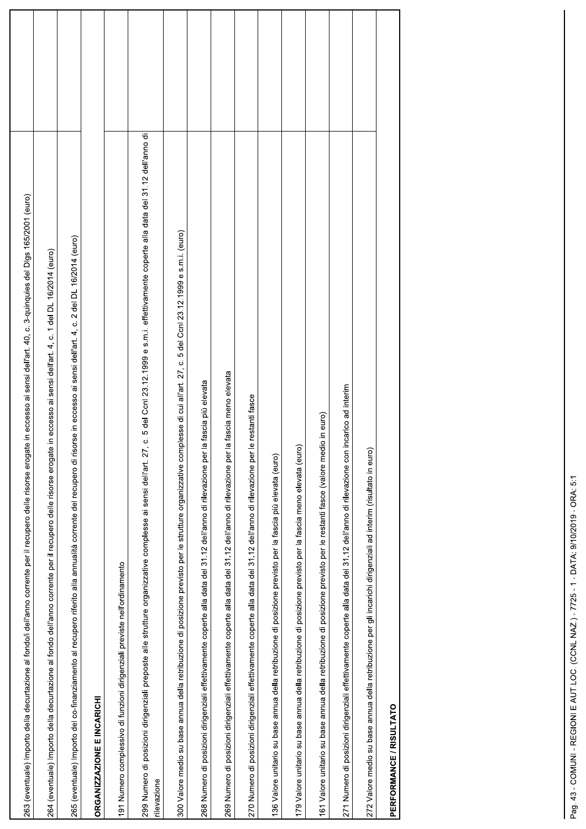| 263 (eventuale) Importo della decurtazione al fondo/i dell'anno corrente per il recupero delle risorse erogate in eccesso ai sensi dell'art. 40, c. 3-quinquies del Digs 165/2001 (euro)                             |  |
|----------------------------------------------------------------------------------------------------------------------------------------------------------------------------------------------------------------------|--|
| 264 (eventuale) Importo della decurtazione al fondo dell'anno corrente per il recupero delle risorse erogate in eccesso ai sensi dell'art. 4, c. 1 del DL 16/2014 (euro)                                             |  |
| 265 (eventuale) Importo del co-finanziamento al recupero riferito alla annualità corrente del recupero di risorse in eccesso ai sensi dell'art. 4, c. 2 del DL 16/2014 (euro)                                        |  |
| ORGANIZZAZIONE E INCARICHI                                                                                                                                                                                           |  |
| 191 Numero complessivo di funzioni dirigenziali previste nell'ordinamento                                                                                                                                            |  |
| 299 Numero di posizioni dirigenziali preposte alle strutture organizzative complesse ai sensi dell'art. 27, c. 5 del Ccnl 23.12.1999 e s.m.i. effettivamente coperte alla data del 31.12 dell'anno di<br>rilevazione |  |
| 300 Valore medio su base annua della retribuzione di posizione previsto per le strutture organizzative complesse di cui all'art. 27, c. 5 del Ccnl 23.12.1999 e s.m.i. (euro)                                        |  |
| la fascia più elevata<br>268 Numero di posizioni dirigenziali effettivamente coperte alla data del 31.12 dell'anno di rilevazione per                                                                                |  |
| la fascia meno elevata<br>269 Numero di posizioni dirigenziali effettivamente coperte alla data del 31.12 dell'anno di rilevazione per                                                                               |  |
| le restanti fasce<br>270 Numero di posizioni dirigenziali effettivamente coperte alla data del 31.12 dell'anno di rilevazione per                                                                                    |  |
| 136 Valore unitario su base annua della retribuzione di posizione previsto per la fascia più elevata (euro)                                                                                                          |  |
| ၉<br>179 Valore unitario su base annua della retribuzione di posizione previsto per la fascia meno elevata (eur                                                                                                      |  |
| 161 Valore unitario su base annua della retribuzione di posizione previsto per le restanti fasce (valore medio in euro)                                                                                              |  |
| incarico ad interim<br>271 Numero di posizioni dirigenziali effettivamente coperte alla data del 31.12 dell'anno di rilevazione con                                                                                  |  |
| 272 Valore medio su base annua della retribuzione per gli incarichi dirigenziali ad interim (risultato in euro                                                                                                       |  |
| PERFORMANCE / RISULTATO                                                                                                                                                                                              |  |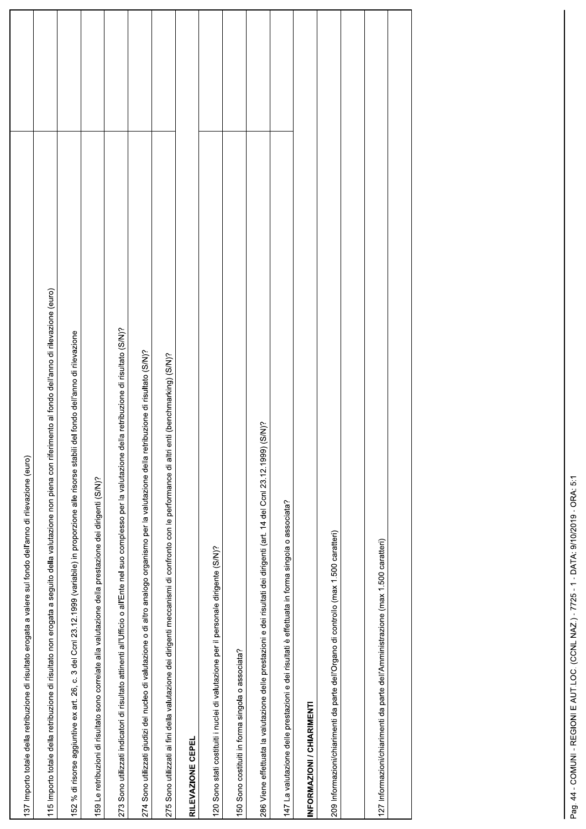| 137 Importo totale della retribuzione di risultato erogata a valere sul fondo dell'anno di rilevazione (euro)                                                 |  |
|---------------------------------------------------------------------------------------------------------------------------------------------------------------|--|
| 115 Importo totale della retribuzione di risultato non erogata a seguito della valutazione non piena con riferimento al fondo dell'anno di rilevazione (euro) |  |
| 152 % di risorse aggiuntive ex art. 26, c. 3 del Ccnl 23.12.1999 (variabile) in proporzione alle risorse stabili del fondo dell'anno di rilevazione           |  |
| 159 Le retribuzioni di risultato sono correlate alla valutazione della prestazione dei dirigenti (S/N)?                                                       |  |
| 273 Sono utilizzati indicatori di risultato attinenti all'Ufficio o all'Ente nel suo complesso per la valutazione della retribuzione di risultato (S/N)?      |  |
| 274 Sono utilizzati giudizi del nucleo di valutazione o di altro analogo organismo per la valutazione della retribuzione di risultato (S/N)?                  |  |
| 275 Sono utilizzati ai fini della valutazione dei dirigenti meccanismi di confronto con le performance di altri enti (benchmarking) (S/N)?                    |  |
| RILEVAZIONE CEPEL                                                                                                                                             |  |
| 120 Sono stati costituiti i nuclei di valutazione per il personale dirigente (S/N)?                                                                           |  |
| 150 Sono costituiti in forma singola o associata?                                                                                                             |  |
| 286 Viene effettuata la valutazione delle prestazioni e dei risultati dei dirigenti (art. 14 del Conl 23.12.1999) (S/N)?                                      |  |
| 147 La valutazione delle prestazioni e dei risultati è effettuata in forma singola o associata?                                                               |  |
| INFORMAZIONI / CHIARIMENTI                                                                                                                                    |  |
| 209 Informazioni/chiarimenti da parte dell'Organo di controllo (max 1.500 caratteri)                                                                          |  |
|                                                                                                                                                               |  |
| 127 Informazioni/chiarimenti da parte dell'Amministrazione (max 1.500 caratteri)                                                                              |  |
|                                                                                                                                                               |  |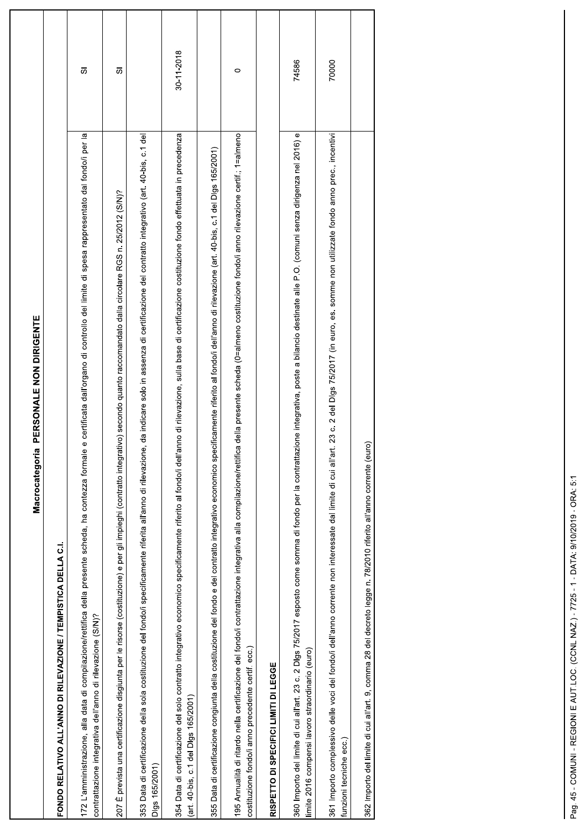| Macrocategoria PERSONALE NON DIRIGENTE                                                                                                                                                                                                                          |            |
|-----------------------------------------------------------------------------------------------------------------------------------------------------------------------------------------------------------------------------------------------------------------|------------|
| FONDO RELATIVO ALL'ANNO DI RILEVAZIONE / TEMPISTICA DELLA C.I.                                                                                                                                                                                                  |            |
| 172 L'amministrazione, alla data di compilazione/rettifica della presente scheda, ha contezza formale e certificata dall'organo di controllo del limite di spesa rappresentato dal fondo/i per la<br>contrattazione integrativa dell'anno di rilevazione (S/N)? | 5          |
| 207 È prevista una certificazione disgiunta per le risorse (costituzione) e per gli impieghi (contratto integrativo) secondo quanto raccomandato dalla circolare RGS n. 25/2012 (S/N)?                                                                          | σ          |
| 353 Data di certificazione della sola costituzione del fondo/i specificamente riferita all'anno di rilevazione, da indicare solo in assenza di certificazione del contratto integrativo (art. 40-bis, c.1 del<br>Digs 165/2001)                                 |            |
| 354 Data di certificazione del solo contratto integrativo economico specificamente riferito al fondo/i dell'anno di rilevazione, sulla base di certificazione costituzione fondo effettuata in precedenza<br>(art. 40-bis, c.1 del Digs 165/2001)               | 30-11-2018 |
| 355 Data di certificazione congiunta della costituzione del fondo e del contratto integrativo economico specificamente riferito al fondo/i dell'anno di rilevazione (art. 40-bis, c.1 del Digs 165/2001)                                                        |            |
| 195 Annualità di ritardo nella certificazione del fondo/i contrattazione integrativa alla compilazione/rettifica della presente scheda (0=almeno costituzione fondo/i anno rilevazione certif.; 1=almeno<br>costituzione fondo/i anno precedente certif. ecc.)  | $\circ$    |
| RISPETTO DI SPECIFICI LIMITI DI LEGGE                                                                                                                                                                                                                           |            |
| 360 Importo del limite di cui all'art. 23 c. 2 Digs 75/2017 esposto come somma di fondo per la contrattazione integrativa, poste a bilancio destinate alle P.O. (comuni senza dirigenza nel 2016) e<br>limite 2016 compensi lavoro straordinario (euro)         | 74586      |
| del Digs 75/2017 (in euro, es. somme non utilizzate fondo anno prec., incentivi<br>361 Importo complessivo delle voci del fondo/i dell'anno corrente non interessate dal limite di cui all'art. 23 c. 2<br>funzioni tecniche ecc.)                              | 70000      |
| 362 Importo del limite di cui all'art. 9, comma 28 del decreto legge n. 78/2010 riferito all'anno corrente (euro)                                                                                                                                               |            |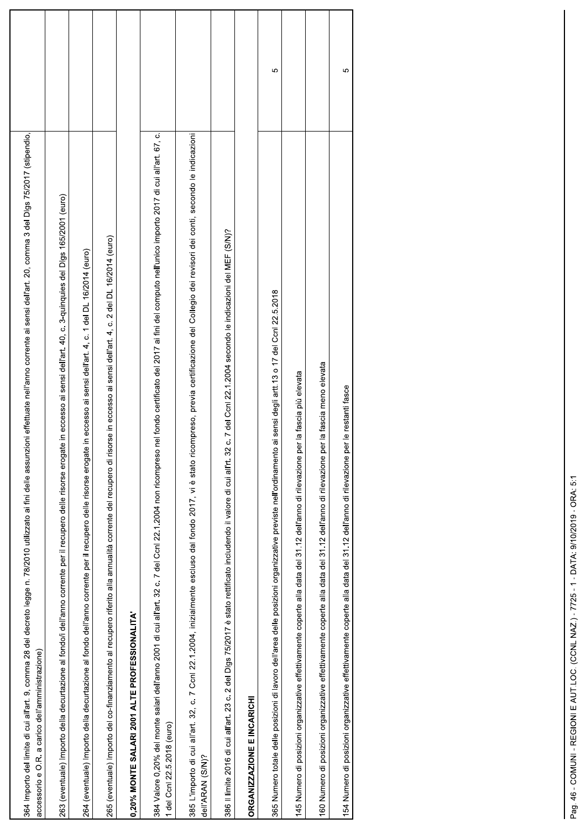| 964 Importo del limite di cui all'art. 9, comma 28 del decreto legge n. 78/2010 utilizzato ai fini delle assunzioni effettuate nell'anno corrente ai sensi dell'art. 20, comma 3 del Digs 75/2017 (stipendio,<br>O.R. a carico dell'amministrazione)<br>accessorio e |   |
|----------------------------------------------------------------------------------------------------------------------------------------------------------------------------------------------------------------------------------------------------------------------|---|
| 063 (eventuale) Importo della decurtazione al fondo/i dell'anno corrente per il recupero delle risorse erogate in eccesso ai sensi dell'art. 40, c. 3-quinquies del Digs 165/2001 (euro)                                                                             |   |
| 264 (eventuale) Importo della decurtazione al fondo dell'anno corrente per il recupero delle risorse erogate in eccesso ai sensi dell'art. 4, c. 1 del DL 16/2014 (euro)                                                                                             |   |
| 265 (eventuale) Importo del co-finanziamento al recupero riferito alla annualità corrente del recupero di risorse in eccesso ai sensi dell'art. 4, c. 2 del DL 16/2014 (euro)                                                                                        |   |
| 0,20% MONTE SALARI 2001 ALTE PROFESSIONALITA                                                                                                                                                                                                                         |   |
| 884 Valore 0,20% del monte salari dell'anno 2001 di cui all'art. 32 c. 7 del Coni 22 1.2004 non ricompreso nel fondo certificato del 2017 ai fini del computo nell'unico importo 2017 di cui all'art. 67, c.<br>del Ccnl 22.5.2018 (euro)                            |   |
| 885 L'importo di cui all'art. 32, c. 7 Ccnl 22.1.2004, inizialmente escluso dal fondo 2017, vi è stato ricompreso, previa certificazione del Collegio dei revisori dei conti, secondo le indicazioni<br>dell'ARAN (S/N)?                                             |   |
| c. 7 del Ccnl 22.1.2004 secondo le indicazioni del MEF (S/N)?<br>388 Il limite 2016 di cui all'art. 23 c. 2 del Dlgs 75/2017 è stato rettificato includendo il valore di cui all'rt. 32                                                                              |   |
| <b>DRGANIZZAZIONE E INCARICHI</b>                                                                                                                                                                                                                                    |   |
| ai sensi degli artt. 13 o 17 del Ccnl 22.5.2018<br>965 Numero totale delle posizioni di lavoro dell'area delle posizioni organizzative previste nell'ordinamento                                                                                                     | Ю |
| 145 Numero di posizioni organizzative effettivamente coperte alla data del 31.12 dell'anno di rilevazione per la fascia più elevata                                                                                                                                  |   |
| 160 Numero di posizioni organizzative effettivamente coperte alla data del 31.12 dell'anno di rilevazione per la fascia meno elevata                                                                                                                                 |   |
| 154 Numero di posizioni organizzative effettivamente coperte alla data del 31.12 dell'anno di rilevazione per le restanti fasce                                                                                                                                      | Ю |
|                                                                                                                                                                                                                                                                      |   |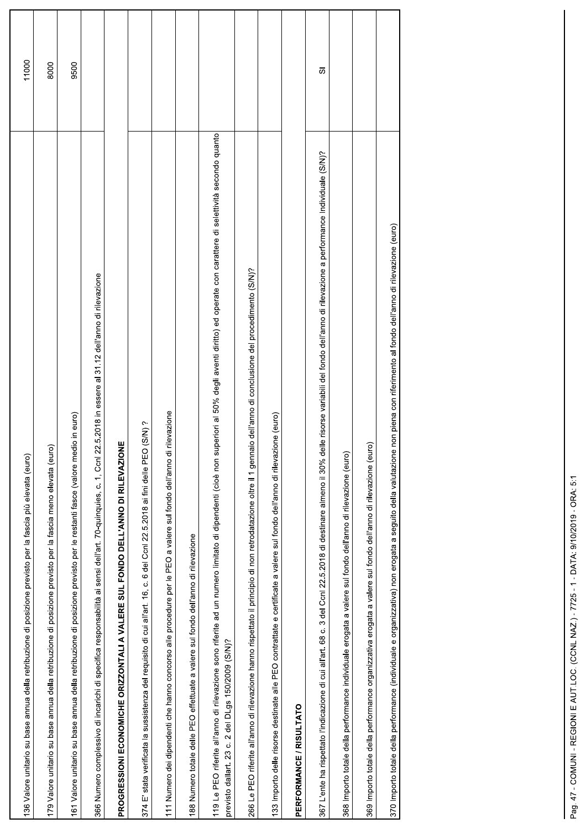| 136 Valore unitario su base annua della retribuzione di posizione previsto per la fascia più elevata (euro)                                                                                                                                                    | 11000 |
|----------------------------------------------------------------------------------------------------------------------------------------------------------------------------------------------------------------------------------------------------------------|-------|
| 179 Valore unitario su base annua della retribuzione di posizione previsto per la fascia meno elevata (euro)                                                                                                                                                   | 8000  |
| 161 Valore unitario su base annua della retribuzione di posizione previsto per le restanti fasce (valore medio in euro)                                                                                                                                        | 9500  |
| 1, Ccnl 22.5.2018 in essere al 31.12 dell'anno di rilevazione<br>366 Numero complessivo di incarichi di specifica responsabilità ai sensi dell'art. 70-quinquies, c.                                                                                           |       |
| 븾<br>PROGRESSIONI ECONOMICHE ORIZZONTALI A VALERE SUL FONDO DELL'ANNO DI RILEVAZIO                                                                                                                                                                             |       |
| 6 del Ccnl 22.5.2018 ai fini delle PEO (S/N)?<br>stata verificata la sussistenza del requisito di cui all'art. 16, c.<br>374 E'                                                                                                                                |       |
| rilevazione<br>111 Numero dei dipendenti che hanno concorso alle procedure per le PEO a valere sul fondo dell'anno di                                                                                                                                          |       |
| 188 Numero totale delle PEO effettuate a valere sul fondo dell'anno di rilevazione                                                                                                                                                                             |       |
| 119 Le PEO riferite all'anno di rilevazione sono riferite ad un numero limitato di dipendenti (cioè non superiori al 50% degli aventi diritto) ed operate con carattere di selettività secondo quanto<br>2 del DLgs 150/2009 (S/N)?<br>previsto dallart. 23 c. |       |
| PEO riferite all'anno di rilevazione hanno rispettato il principio di non retrodatazione oltre il 1 gennaio dell'anno di conclusione del procedimento (S/N)?<br>266 Le                                                                                         |       |
| 133 Importo delle risorse destinate alle PEO contrattate e certificate a valere sul fondo dell'anno di rilevazione (euro)                                                                                                                                      |       |
| PERFORMANCE / RISULTATO                                                                                                                                                                                                                                        |       |
| 367 L'ente ha rispettato l'indicazione di cui all'art. 68 c. 3 del Conl 22.5.2018 di destinare almeno il 30% delle risorse variabili del fondo dell'anno di rilevazione a performance Individuale (S/N)?                                                       | 5     |
| 368 Importo totale della performance individuale erogata a valere sul fondo dell'anno di rilevazione (euro)                                                                                                                                                    |       |
| 369 Importo totale della performance organizzativa erogata a valere sul fondo dell'anno di rilevazione (euro)                                                                                                                                                  |       |
| 370 Importo totale della performance (individuale e organizzativa) non erogata a seguito della valutazione non piena con riferimento al fondo dell'anno di rilevazione (euro)                                                                                  |       |